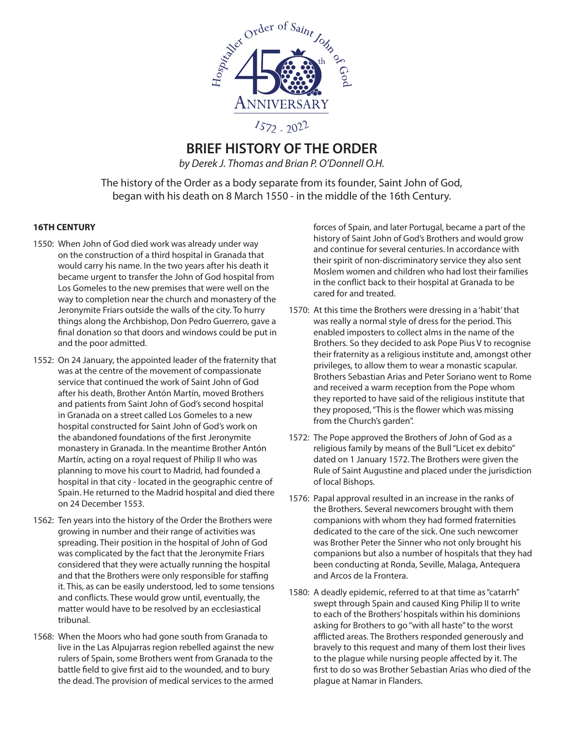

# **BRIEF HISTORY OF THE ORDER**

*by Derek J. Thomas and Brian P. O'Donnell O.H.*

The history of the Order as a body separate from its founder, Saint John of God, began with his death on 8 March 1550 - in the middle of the 16th Century.

### **16TH CENTURY**

- 1550: When John of God died work was already under way on the construction of a third hospital in Granada that would carry his name. In the two years after his death it became urgent to transfer the John of God hospital from Los Gomeles to the new premises that were well on the way to completion near the church and monastery of the Jeronymite Friars outside the walls of the city. To hurry things along the Archbishop, Don Pedro Guerrero, gave a final donation so that doors and windows could be put in and the poor admitted.
- 1552: On 24 January, the appointed leader of the fraternity that was at the centre of the movement of compassionate service that continued the work of Saint John of God after his death, Brother Antón Martín, moved Brothers and patients from Saint John of God's second hospital in Granada on a street called Los Gomeles to a new hospital constructed for Saint John of God's work on the abandoned foundations of the first Jeronymite monastery in Granada. In the meantime Brother Antón Martín, acting on a royal request of Philip II who was planning to move his court to Madrid, had founded a hospital in that city - located in the geographic centre of Spain. He returned to the Madrid hospital and died there on 24 December 1553.
- 1562: Ten years into the history of the Order the Brothers were growing in number and their range of activities was spreading. Their position in the hospital of John of God was complicated by the fact that the Jeronymite Friars considered that they were actually running the hospital and that the Brothers were only responsible for staffing it. This, as can be easily understood, led to some tensions and conflicts. These would grow until, eventually, the matter would have to be resolved by an ecclesiastical tribunal.
- 1568: When the Moors who had gone south from Granada to live in the Las Alpujarras region rebelled against the new rulers of Spain, some Brothers went from Granada to the battle field to give first aid to the wounded, and to bury the dead. The provision of medical services to the armed

forces of Spain, and later Portugal, became a part of the history of Saint John of God's Brothers and would grow and continue for several centuries. In accordance with their spirit of non-discriminatory service they also sent Moslem women and children who had lost their families in the conflict back to their hospital at Granada to be cared for and treated.

- 1570: At this time the Brothers were dressing in a 'habit' that was really a normal style of dress for the period. This enabled imposters to collect alms in the name of the Brothers. So they decided to ask Pope Pius V to recognise their fraternity as a religious institute and, amongst other privileges, to allow them to wear a monastic scapular. Brothers Sebastian Arias and Peter Soriano went to Rome and received a warm reception from the Pope whom they reported to have said of the religious institute that they proposed, "This is the flower which was missing from the Church's garden".
- 1572: The Pope approved the Brothers of John of God as a religious family by means of the Bull "Licet ex debito" dated on 1 January 1572. The Brothers were given the Rule of Saint Augustine and placed under the jurisdiction of local Bishops.
- 1576: Papal approval resulted in an increase in the ranks of the Brothers. Several newcomers brought with them companions with whom they had formed fraternities dedicated to the care of the sick. One such newcomer was Brother Peter the Sinner who not only brought his companions but also a number of hospitals that they had been conducting at Ronda, Seville, Malaga, Antequera and Arcos de la Frontera.
- 1580: A deadly epidemic, referred to at that time as "catarrh" swept through Spain and caused King Philip II to write to each of the Brothers' hospitals within his dominions asking for Brothers to go "with all haste" to the worst afflicted areas. The Brothers responded generously and bravely to this request and many of them lost their lives to the plague while nursing people affected by it. The first to do so was Brother Sebastian Arias who died of the plague at Namar in Flanders.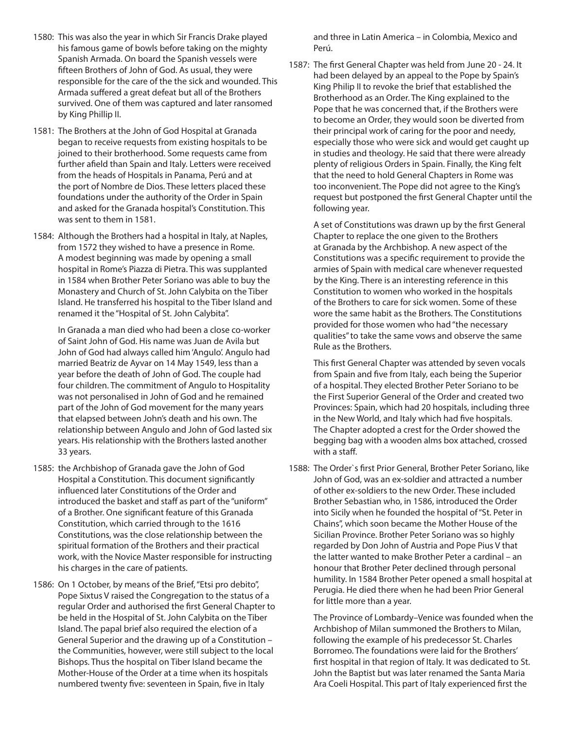- 1580: This was also the year in which Sir Francis Drake played his famous game of bowls before taking on the mighty Spanish Armada. On board the Spanish vessels were fifteen Brothers of John of God. As usual, they were responsible for the care of the the sick and wounded. This Armada suffered a great defeat but all of the Brothers survived. One of them was captured and later ransomed by King Phillip II.
- 1581: The Brothers at the John of God Hospital at Granada began to receive requests from existing hospitals to be joined to their brotherhood. Some requests came from further afield than Spain and Italy. Letters were received from the heads of Hospitals in Panama, Perú and at the port of Nombre de Dios. These letters placed these foundations under the authority of the Order in Spain and asked for the Granada hospital's Constitution. This was sent to them in 1581.
- 1584: Although the Brothers had a hospital in Italy, at Naples, from 1572 they wished to have a presence in Rome. A modest beginning was made by opening a small hospital in Rome's Piazza di Pietra. This was supplanted in 1584 when Brother Peter Soriano was able to buy the Monastery and Church of St. John Calybita on the Tiber Island. He transferred his hospital to the Tiber Island and renamed it the "Hospital of St. John Calybita".

 In Granada a man died who had been a close co-worker of Saint John of God. His name was Juan de Avila but John of God had always called him 'Angulo'. Angulo had married Beatriz de Ayvar on 14 May 1549, less than a year before the death of John of God. The couple had four children. The commitment of Angulo to Hospitality was not personalised in John of God and he remained part of the John of God movement for the many years that elapsed between John's death and his own. The relationship between Angulo and John of God lasted six years. His relationship with the Brothers lasted another 33 years.

- 1585: the Archbishop of Granada gave the John of God Hospital a Constitution. This document significantly influenced later Constitutions of the Order and introduced the basket and staff as part of the "uniform" of a Brother. One significant feature of this Granada Constitution, which carried through to the 1616 Constitutions, was the close relationship between the spiritual formation of the Brothers and their practical work, with the Novice Master responsible for instructing his charges in the care of patients.
- 1586: On 1 October, by means of the Brief, "Etsi pro debito", Pope Sixtus V raised the Congregation to the status of a regular Order and authorised the first General Chapter to be held in the Hospital of St. John Calybita on the Tiber Island. The papal brief also required the election of a General Superior and the drawing up of a Constitution – the Communities, however, were still subject to the local Bishops. Thus the hospital on Tiber Island became the Mother-House of the Order at a time when its hospitals numbered twenty five: seventeen in Spain, five in Italy

and three in Latin America – in Colombia, Mexico and Perú.

1587: The first General Chapter was held from June 20 - 24. It had been delayed by an appeal to the Pope by Spain's King Philip II to revoke the brief that established the Brotherhood as an Order. The King explained to the Pope that he was concerned that, if the Brothers were to become an Order, they would soon be diverted from their principal work of caring for the poor and needy, especially those who were sick and would get caught up in studies and theology. He said that there were already plenty of religious Orders in Spain. Finally, the King felt that the need to hold General Chapters in Rome was too inconvenient. The Pope did not agree to the King's request but postponed the first General Chapter until the following year.

 A set of Constitutions was drawn up by the first General Chapter to replace the one given to the Brothers at Granada by the Archbishop. A new aspect of the Constitutions was a specific requirement to provide the armies of Spain with medical care whenever requested by the King. There is an interesting reference in this Constitution to women who worked in the hospitals of the Brothers to care for sick women. Some of these wore the same habit as the Brothers. The Constitutions provided for those women who had "the necessary qualities" to take the same vows and observe the same Rule as the Brothers.

 This first General Chapter was attended by seven vocals from Spain and five from Italy, each being the Superior of a hospital. They elected Brother Peter Soriano to be the First Superior General of the Order and created two Provinces: Spain, which had 20 hospitals, including three in the New World, and Italy which had five hospitals. The Chapter adopted a crest for the Order showed the begging bag with a wooden alms box attached, crossed with a staff.

1588: The Order`s first Prior General, Brother Peter Soriano, like John of God, was an ex-soldier and attracted a number of other ex-soldiers to the new Order. These included Brother Sebastian who, in 1586, introduced the Order into Sicily when he founded the hospital of "St. Peter in Chains", which soon became the Mother House of the Sicilian Province. Brother Peter Soriano was so highly regarded by Don John of Austria and Pope Pius V that the latter wanted to make Brother Peter a cardinal – an honour that Brother Peter declined through personal humility. In 1584 Brother Peter opened a small hospital at Perugia. He died there when he had been Prior General for little more than a year.

 The Province of Lombardy–Venice was founded when the Archbishop of Milan summoned the Brothers to Milan, following the example of his predecessor St. Charles Borromeo. The foundations were laid for the Brothers' first hospital in that region of Italy. It was dedicated to St. John the Baptist but was later renamed the Santa Maria Ara Coeli Hospital. This part of Italy experienced first the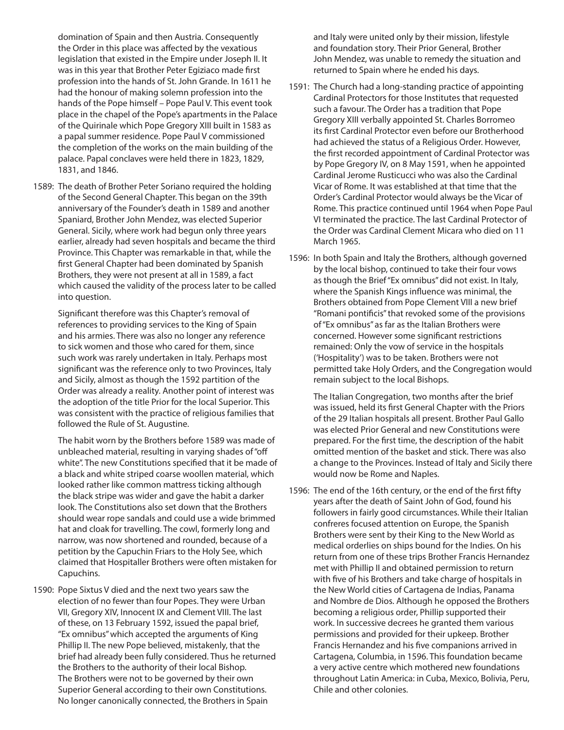domination of Spain and then Austria. Consequently the Order in this place was affected by the vexatious legislation that existed in the Empire under Joseph II. It was in this year that Brother Peter Egiziaco made first profession into the hands of St. John Grande. In 1611 he had the honour of making solemn profession into the hands of the Pope himself – Pope Paul V. This event took place in the chapel of the Pope's apartments in the Palace of the Quirinale which Pope Gregory XIII built in 1583 as a papal summer residence. Pope Paul V commissioned the completion of the works on the main building of the palace. Papal conclaves were held there in 1823, 1829, 1831, and 1846.

1589: The death of Brother Peter Soriano required the holding of the Second General Chapter. This began on the 39th anniversary of the Founder's death in 1589 and another Spaniard, Brother John Mendez, was elected Superior General. Sicily, where work had begun only three years earlier, already had seven hospitals and became the third Province. This Chapter was remarkable in that, while the first General Chapter had been dominated by Spanish Brothers, they were not present at all in 1589, a fact which caused the validity of the process later to be called into question.

 Significant therefore was this Chapter's removal of references to providing services to the King of Spain and his armies. There was also no longer any reference to sick women and those who cared for them, since such work was rarely undertaken in Italy. Perhaps most significant was the reference only to two Provinces, Italy and Sicily, almost as though the 1592 partition of the Order was already a reality. Another point of interest was the adoption of the title Prior for the local Superior. This was consistent with the practice of religious families that followed the Rule of St. Augustine.

 The habit worn by the Brothers before 1589 was made of unbleached material, resulting in varying shades of "off white". The new Constitutions specified that it be made of a black and white striped coarse woollen material, which looked rather like common mattress ticking although the black stripe was wider and gave the habit a darker look. The Constitutions also set down that the Brothers should wear rope sandals and could use a wide brimmed hat and cloak for travelling. The cowl, formerly long and narrow, was now shortened and rounded, because of a petition by the Capuchin Friars to the Holy See, which claimed that Hospitaller Brothers were often mistaken for Capuchins.

1590: Pope Sixtus V died and the next two years saw the election of no fewer than four Popes. They were Urban VII, Gregory XIV, Innocent IX and Clement VIII. The last of these, on 13 February 1592, issued the papal brief, "Ex omnibus" which accepted the arguments of King Phillip II. The new Pope believed, mistakenly, that the brief had already been fully considered. Thus he returned the Brothers to the authority of their local Bishop. The Brothers were not to be governed by their own Superior General according to their own Constitutions. No longer canonically connected, the Brothers in Spain

and Italy were united only by their mission, lifestyle and foundation story. Their Prior General, Brother John Mendez, was unable to remedy the situation and returned to Spain where he ended his days.

- 1591: The Church had a long-standing practice of appointing Cardinal Protectors for those Institutes that requested such a favour. The Order has a tradition that Pope Gregory XIII verbally appointed St. Charles Borromeo its first Cardinal Protector even before our Brotherhood had achieved the status of a Religious Order. However, the first recorded appointment of Cardinal Protector was by Pope Gregory IV, on 8 May 1591, when he appointed Cardinal Jerome Rusticucci who was also the Cardinal Vicar of Rome. It was established at that time that the Order's Cardinal Protector would always be the Vicar of Rome. This practice continued until 1964 when Pope Paul VI terminated the practice. The last Cardinal Protector of the Order was Cardinal Clement Micara who died on 11 March 1965.
- 1596: In both Spain and Italy the Brothers, although governed by the local bishop, continued to take their four vows as though the Brief "Ex omnibus" did not exist. In Italy, where the Spanish Kings influence was minimal, the Brothers obtained from Pope Clement VIII a new brief "Romani pontificis" that revoked some of the provisions of "Ex omnibus" as far as the Italian Brothers were concerned. However some significant restrictions remained: Only the vow of service in the hospitals ('Hospitality') was to be taken. Brothers were not permitted take Holy Orders, and the Congregation would remain subject to the local Bishops.

 The Italian Congregation, two months after the brief was issued, held its first General Chapter with the Priors of the 29 Italian hospitals all present. Brother Paul Gallo was elected Prior General and new Constitutions were prepared. For the first time, the description of the habit omitted mention of the basket and stick. There was also a change to the Provinces. Instead of Italy and Sicily there would now be Rome and Naples.

1596: The end of the 16th century, or the end of the first fifty years after the death of Saint John of God, found his followers in fairly good circumstances. While their Italian confreres focused attention on Europe, the Spanish Brothers were sent by their King to the New World as medical orderlies on ships bound for the Indies. On his return from one of these trips Brother Francis Hernandez met with Phillip II and obtained permission to return with five of his Brothers and take charge of hospitals in the New World cities of Cartagena de Indias, Panama and Nombre de Dios. Although he opposed the Brothers becoming a religious order, Phillip supported their work. In successive decrees he granted them various permissions and provided for their upkeep. Brother Francis Hernandez and his five companions arrived in Cartagena, Columbia, in 1596. This foundation became a very active centre which mothered new foundations throughout Latin America: in Cuba, Mexico, Bolivia, Peru, Chile and other colonies.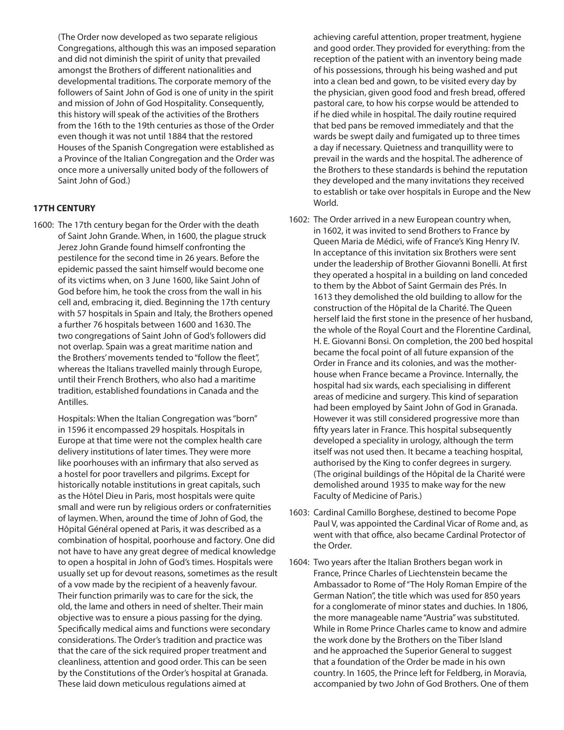(The Order now developed as two separate religious Congregations, although this was an imposed separation and did not diminish the spirit of unity that prevailed amongst the Brothers of different nationalities and developmental traditions. The corporate memory of the followers of Saint John of God is one of unity in the spirit and mission of John of God Hospitality. Consequently, this history will speak of the activities of the Brothers from the 16th to the 19th centuries as those of the Order even though it was not until 1884 that the restored Houses of the Spanish Congregation were established as a Province of the Italian Congregation and the Order was once more a universally united body of the followers of Saint John of God.)

## **17TH CENTURY**

1600: The 17th century began for the Order with the death of Saint John Grande. When, in 1600, the plague struck Jerez John Grande found himself confronting the pestilence for the second time in 26 years. Before the epidemic passed the saint himself would become one of its victims when, on 3 June 1600, like Saint John of God before him, he took the cross from the wall in his cell and, embracing it, died. Beginning the 17th century with 57 hospitals in Spain and Italy, the Brothers opened a further 76 hospitals between 1600 and 1630. The two congregations of Saint John of God's followers did not overlap. Spain was a great maritime nation and the Brothers' movements tended to "follow the fleet", whereas the Italians travelled mainly through Europe, until their French Brothers, who also had a maritime tradition, established foundations in Canada and the Antilles.

 Hospitals: When the Italian Congregation was "born" in 1596 it encompassed 29 hospitals. Hospitals in Europe at that time were not the complex health care delivery institutions of later times. They were more like poorhouses with an infirmary that also served as a hostel for poor travellers and pilgrims. Except for historically notable institutions in great capitals, such as the Hôtel Dieu in Paris, most hospitals were quite small and were run by religious orders or confraternities of laymen. When, around the time of John of God, the Hôpital Général opened at Paris, it was described as a combination of hospital, poorhouse and factory. One did not have to have any great degree of medical knowledge to open a hospital in John of God's times. Hospitals were usually set up for devout reasons, sometimes as the result of a vow made by the recipient of a heavenly favour. Their function primarily was to care for the sick, the old, the lame and others in need of shelter. Their main objective was to ensure a pious passing for the dying. Specifically medical aims and functions were secondary considerations. The Order's tradition and practice was that the care of the sick required proper treatment and cleanliness, attention and good order. This can be seen by the Constitutions of the Order's hospital at Granada. These laid down meticulous regulations aimed at

achieving careful attention, proper treatment, hygiene and good order. They provided for everything: from the reception of the patient with an inventory being made of his possessions, through his being washed and put into a clean bed and gown, to be visited every day by the physician, given good food and fresh bread, offered pastoral care, to how his corpse would be attended to if he died while in hospital. The daily routine required that bed pans be removed immediately and that the wards be swept daily and fumigated up to three times a day if necessary. Quietness and tranquillity were to prevail in the wards and the hospital. The adherence of the Brothers to these standards is behind the reputation they developed and the many invitations they received to establish or take over hospitals in Europe and the New World.

- 1602: The Order arrived in a new European country when, in 1602, it was invited to send Brothers to France by Queen Maria de Médici, wife of France's King Henry IV. In acceptance of this invitation six Brothers were sent under the leadership of Brother Giovanni Bonelli. At first they operated a hospital in a building on land conceded to them by the Abbot of Saint Germain des Prés. In 1613 they demolished the old building to allow for the construction of the Hôpital de la Charité. The Queen herself laid the first stone in the presence of her husband, the whole of the Royal Court and the Florentine Cardinal, H. E. Giovanni Bonsi. On completion, the 200 bed hospital became the focal point of all future expansion of the Order in France and its colonies, and was the motherhouse when France became a Province. Internally, the hospital had six wards, each specialising in different areas of medicine and surgery. This kind of separation had been employed by Saint John of God in Granada. However it was still considered progressive more than fifty years later in France. This hospital subsequently developed a speciality in urology, although the term itself was not used then. It became a teaching hospital, authorised by the King to confer degrees in surgery. (The original buildings of the Hôpital de la Charité were demolished around 1935 to make way for the new Faculty of Medicine of Paris.)
- 1603: Cardinal Camillo Borghese, destined to become Pope Paul V, was appointed the Cardinal Vicar of Rome and, as went with that office, also became Cardinal Protector of the Order.
- 1604: Two years after the Italian Brothers began work in France, Prince Charles of Liechtenstein became the Ambassador to Rome of "The Holy Roman Empire of the German Nation", the title which was used for 850 years for a conglomerate of minor states and duchies. In 1806, the more manageable name "Austria" was substituted. While in Rome Prince Charles came to know and admire the work done by the Brothers on the Tiber Island and he approached the Superior General to suggest that a foundation of the Order be made in his own country. In 1605, the Prince left for Feldberg, in Moravia, accompanied by two John of God Brothers. One of them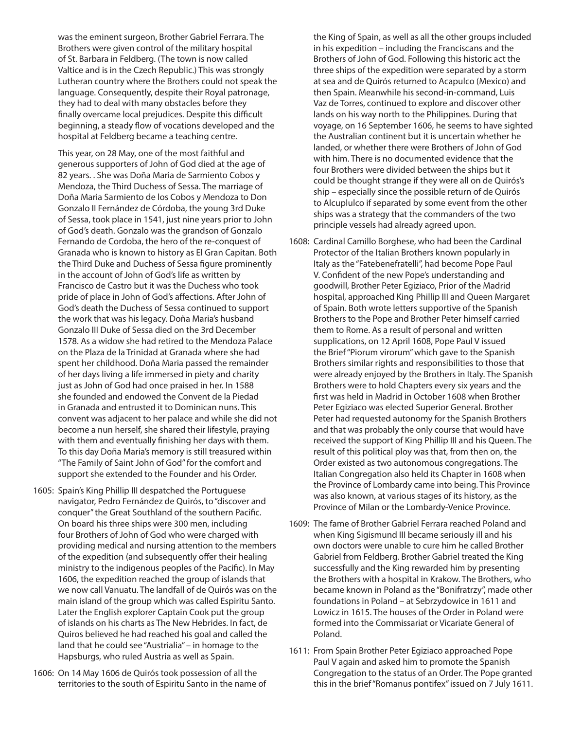was the eminent surgeon, Brother Gabriel Ferrara. The Brothers were given control of the military hospital of St. Barbara in Feldberg. (The town is now called Valtice and is in the Czech Republic.) This was strongly Lutheran country where the Brothers could not speak the language. Consequently, despite their Royal patronage, they had to deal with many obstacles before they finally overcame local prejudices. Despite this difficult beginning, a steady flow of vocations developed and the hospital at Feldberg became a teaching centre.

 This year, on 28 May, one of the most faithful and generous supporters of John of God died at the age of 82 years. . She was Doña Maria de Sarmiento Cobos y Mendoza, the Third Duchess of Sessa. The marriage of Doña Maria Sarmiento de los Cobos y Mendoza to Don Gonzalo II Fernández de Córdoba, the young 3rd Duke of Sessa, took place in 1541, just nine years prior to John of God's death. Gonzalo was the grandson of Gonzalo Fernando de Cordoba, the hero of the re-conquest of Granada who is known to history as El Gran Capitan. Both the Third Duke and Duchess of Sessa figure prominently in the account of John of God's life as written by Francisco de Castro but it was the Duchess who took pride of place in John of God's affections. After John of God's death the Duchess of Sessa continued to support the work that was his legacy. Doña Maria's husband Gonzalo III Duke of Sessa died on the 3rd December 1578. As a widow she had retired to the Mendoza Palace on the Plaza de la Trinidad at Granada where she had spent her childhood. Doña Maria passed the remainder of her days living a life immersed in piety and charity just as John of God had once praised in her. In 1588 she founded and endowed the Convent de la Piedad in Granada and entrusted it to Dominican nuns. This convent was adjacent to her palace and while she did not become a nun herself, she shared their lifestyle, praying with them and eventually finishing her days with them. To this day Doña Maria's memory is still treasured within "The Family of Saint John of God" for the comfort and support she extended to the Founder and his Order.

- 1605: Spain's King Phillip III despatched the Portuguese navigator, Pedro Fernández de Quirós, to "discover and conquer" the Great Southland of the southern Pacific. On board his three ships were 300 men, including four Brothers of John of God who were charged with providing medical and nursing attention to the members of the expedition (and subsequently offer their healing ministry to the indigenous peoples of the Pacific). In May 1606, the expedition reached the group of islands that we now call Vanuatu. The landfall of de Quirós was on the main island of the group which was called Espiritu Santo. Later the English explorer Captain Cook put the group of islands on his charts as The New Hebrides. In fact, de Quiros believed he had reached his goal and called the land that he could see "Austrialia" – in homage to the Hapsburgs, who ruled Austria as well as Spain.
- 1606: On 14 May 1606 de Quirós took possession of all the territories to the south of Espiritu Santo in the name of

the King of Spain, as well as all the other groups included in his expedition – including the Franciscans and the Brothers of John of God. Following this historic act the three ships of the expedition were separated by a storm at sea and de Quirós returned to Acapulco (Mexico) and then Spain. Meanwhile his second-in-command, Luis Vaz de Torres, continued to explore and discover other lands on his way north to the Philippines. During that voyage, on 16 September 1606, he seems to have sighted the Australian continent but it is uncertain whether he landed, or whether there were Brothers of John of God with him. There is no documented evidence that the four Brothers were divided between the ships but it could be thought strange if they were all on de Quirós's ship – especially since the possible return of de Quirós to Alcuplulco if separated by some event from the other ships was a strategy that the commanders of the two principle vessels had already agreed upon.

- 1608: Cardinal Camillo Borghese, who had been the Cardinal Protector of the Italian Brothers known popularly in Italy as the "Fatebenefratelli", had become Pope Paul V. Confident of the new Pope's understanding and goodwill, Brother Peter Egiziaco, Prior of the Madrid hospital, approached King Phillip III and Queen Margaret of Spain. Both wrote letters supportive of the Spanish Brothers to the Pope and Brother Peter himself carried them to Rome. As a result of personal and written supplications, on 12 April 1608, Pope Paul V issued the Brief "Piorum virorum" which gave to the Spanish Brothers similar rights and responsibilities to those that were already enjoyed by the Brothers in Italy. The Spanish Brothers were to hold Chapters every six years and the first was held in Madrid in October 1608 when Brother Peter Egiziaco was elected Superior General. Brother Peter had requested autonomy for the Spanish Brothers and that was probably the only course that would have received the support of King Phillip III and his Queen. The result of this political ploy was that, from then on, the Order existed as two autonomous congregations. The Italian Congregation also held its Chapter in 1608 when the Province of Lombardy came into being. This Province was also known, at various stages of its history, as the Province of Milan or the Lombardy-Venice Province.
- 1609: The fame of Brother Gabriel Ferrara reached Poland and when King Sigismund III became seriously ill and his own doctors were unable to cure him he called Brother Gabriel from Feldberg. Brother Gabriel treated the King successfully and the King rewarded him by presenting the Brothers with a hospital in Krakow. The Brothers, who became known in Poland as the "Bonifratrzy", made other foundations in Poland – at Sebrzydowice in 1611 and Lowicz in 1615. The houses of the Order in Poland were formed into the Commissariat or Vicariate General of Poland.
- 1611: From Spain Brother Peter Egiziaco approached Pope Paul V again and asked him to promote the Spanish Congregation to the status of an Order. The Pope granted this in the brief "Romanus pontifex" issued on 7 July 1611.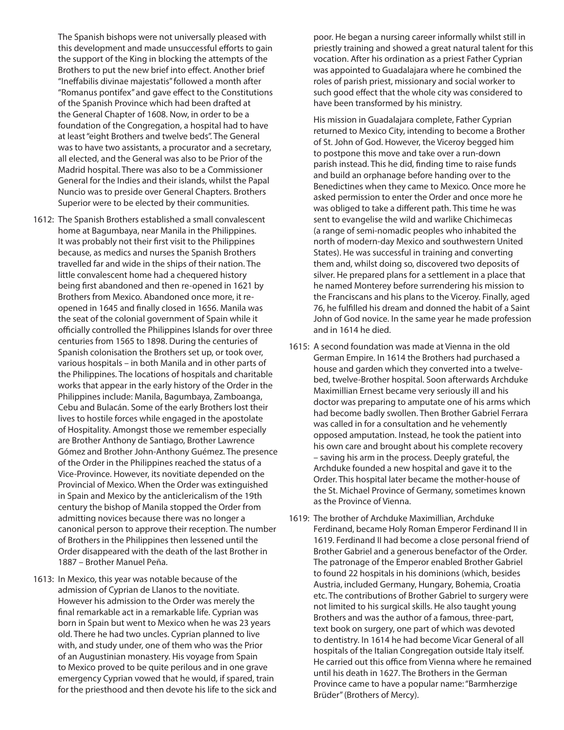The Spanish bishops were not universally pleased with this development and made unsuccessful efforts to gain the support of the King in blocking the attempts of the Brothers to put the new brief into effect. Another brief "Ineffabilis divinae majestatis" followed a month after "Romanus pontifex" and gave effect to the Constitutions of the Spanish Province which had been drafted at the General Chapter of 1608. Now, in order to be a foundation of the Congregation, a hospital had to have at least "eight Brothers and twelve beds". The General was to have two assistants, a procurator and a secretary, all elected, and the General was also to be Prior of the Madrid hospital. There was also to be a Commissioner General for the Indies and their islands, whilst the Papal Nuncio was to preside over General Chapters. Brothers Superior were to be elected by their communities.

- 1612: The Spanish Brothers established a small convalescent home at Bagumbaya, near Manila in the Philippines. It was probably not their first visit to the Philippines because, as medics and nurses the Spanish Brothers travelled far and wide in the ships of their nation. The little convalescent home had a chequered history being first abandoned and then re-opened in 1621 by Brothers from Mexico. Abandoned once more, it reopened in 1645 and finally closed in 1656. Manila was the seat of the colonial government of Spain while it officially controlled the Philippines Islands for over three centuries from 1565 to 1898. During the centuries of Spanish colonisation the Brothers set up, or took over, various hospitals – in both Manila and in other parts of the Philippines. The locations of hospitals and charitable works that appear in the early history of the Order in the Philippines include: Manila, Bagumbaya, Zamboanga, Cebu and Bulacán. Some of the early Brothers lost their lives to hostile forces while engaged in the apostolate of Hospitality. Amongst those we remember especially are Brother Anthony de Santiago, Brother Lawrence Gómez and Brother John-Anthony Guémez. The presence of the Order in the Philippines reached the status of a Vice-Province. However, its novitiate depended on the Provincial of Mexico. When the Order was extinguished in Spain and Mexico by the anticlericalism of the 19th century the bishop of Manila stopped the Order from admitting novices because there was no longer a canonical person to approve their reception. The number of Brothers in the Philippines then lessened until the Order disappeared with the death of the last Brother in 1887 – Brother Manuel Peña.
- 1613: In Mexico, this year was notable because of the admission of Cyprian de Llanos to the novitiate. However his admission to the Order was merely the final remarkable act in a remarkable life. Cyprian was born in Spain but went to Mexico when he was 23 years old. There he had two uncles. Cyprian planned to live with, and study under, one of them who was the Prior of an Augustinian monastery. His voyage from Spain to Mexico proved to be quite perilous and in one grave emergency Cyprian vowed that he would, if spared, train for the priesthood and then devote his life to the sick and

poor. He began a nursing career informally whilst still in priestly training and showed a great natural talent for this vocation. After his ordination as a priest Father Cyprian was appointed to Guadalajara where he combined the roles of parish priest, missionary and social worker to such good effect that the whole city was considered to have been transformed by his ministry.

 His mission in Guadalajara complete, Father Cyprian returned to Mexico City, intending to become a Brother of St. John of God. However, the Viceroy begged him to postpone this move and take over a run-down parish instead. This he did, finding time to raise funds and build an orphanage before handing over to the Benedictines when they came to Mexico. Once more he asked permission to enter the Order and once more he was obliged to take a different path. This time he was sent to evangelise the wild and warlike Chichimecas (a range of semi-nomadic peoples who inhabited the north of modern-day Mexico and southwestern United States). He was successful in training and converting them and, whilst doing so, discovered two deposits of silver. He prepared plans for a settlement in a place that he named Monterey before surrendering his mission to the Franciscans and his plans to the Viceroy. Finally, aged 76, he fulfilled his dream and donned the habit of a Saint John of God novice. In the same year he made profession and in 1614 he died.

- 1615: A second foundation was made at Vienna in the old German Empire. In 1614 the Brothers had purchased a house and garden which they converted into a twelvebed, twelve-Brother hospital. Soon afterwards Archduke Maximillian Ernest became very seriously ill and his doctor was preparing to amputate one of his arms which had become badly swollen. Then Brother Gabriel Ferrara was called in for a consultation and he vehemently opposed amputation. Instead, he took the patient into his own care and brought about his complete recovery – saving his arm in the process. Deeply grateful, the Archduke founded a new hospital and gave it to the Order. This hospital later became the mother-house of the St. Michael Province of Germany, sometimes known as the Province of Vienna.
- 1619: The brother of Archduke Maximillian, Archduke Ferdinand, became Holy Roman Emperor Ferdinand II in 1619. Ferdinand II had become a close personal friend of Brother Gabriel and a generous benefactor of the Order. The patronage of the Emperor enabled Brother Gabriel to found 22 hospitals in his dominions (which, besides Austria, included Germany, Hungary, Bohemia, Croatia etc. The contributions of Brother Gabriel to surgery were not limited to his surgical skills. He also taught young Brothers and was the author of a famous, three-part, text book on surgery, one part of which was devoted to dentistry. In 1614 he had become Vicar General of all hospitals of the Italian Congregation outside Italy itself. He carried out this office from Vienna where he remained until his death in 1627. The Brothers in the German Province came to have a popular name: "Barmherzige Brüder" (Brothers of Mercy).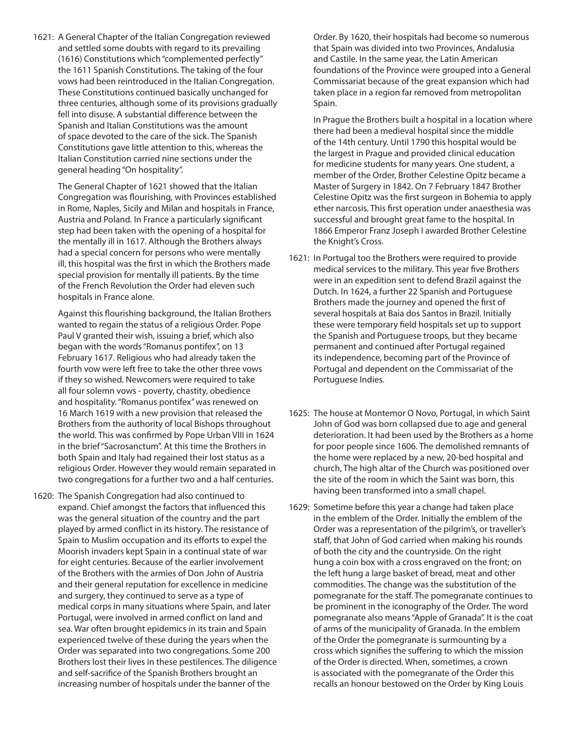1621: A General Chapter of the Italian Congregation reviewed and settled some doubts with regard to its prevailing (1616) Constitutions which "complemented perfectly" the 1611 Spanish Constitutions. The taking of the four vows had been reintroduced in the Italian Congregation. These Constitutions continued basically unchanged for three centuries, although some of its provisions gradually fell into disuse. A substantial difference between the Spanish and Italian Constitutions was the amount of space devoted to the care of the sick. The Spanish Constitutions gave little attention to this, whereas the Italian Constitution carried nine sections under the general heading "On hospitality".

 The General Chapter of 1621 showed that the Italian Congregation was flourishing, with Provinces established in Rome, Naples, Sicily and Milan and hospitals in France, Austria and Poland. In France a particularly significant step had been taken with the opening of a hospital for the mentally ill in 1617. Although the Brothers always had a special concern for persons who were mentally ill, this hospital was the first in which the Brothers made special provision for mentally ill patients. By the time of the French Revolution the Order had eleven such hospitals in France alone.

 Against this flourishing background, the Italian Brothers wanted to regain the status of a religious Order. Pope Paul V granted their wish, issuing a brief, which also began with the words "Romanus pontifex", on 13 February 1617. Religious who had already taken the fourth vow were left free to take the other three vows if they so wished. Newcomers were required to take all four solemn vows - poverty, chastity, obedience and hospitality. "Romanus pontifex" was renewed on 16 March 1619 with a new provision that released the Brothers from the authority of local Bishops throughout the world. This was confirmed by Pope Urban VIII in 1624 in the brief "Sacrosanctum". At this time the Brothers in both Spain and Italy had regained their lost status as a religious Order. However they would remain separated in two congregations for a further two and a half centuries.

1620: The Spanish Congregation had also continued to expand. Chief amongst the factors that influenced this was the general situation of the country and the part played by armed conflict in its history. The resistance of Spain to Muslim occupation and its efforts to expel the Moorish invaders kept Spain in a continual state of war for eight centuries. Because of the earlier involvement of the Brothers with the armies of Don John of Austria and their general reputation for excellence in medicine and surgery, they continued to serve as a type of medical corps in many situations where Spain, and later Portugal, were involved in armed conflict on land and sea. War often brought epidemics in its train and Spain experienced twelve of these during the years when the Order was separated into two congregations. Some 200 Brothers lost their lives in these pestilences. The diligence and self-sacrifice of the Spanish Brothers brought an increasing number of hospitals under the banner of the

Order. By 1620, their hospitals had become so numerous that Spain was divided into two Provinces, Andalusia and Castile. In the same year, the Latin American foundations of the Province were grouped into a General Commissariat because of the great expansion which had taken place in a region far removed from metropolitan Spain.

 In Prague the Brothers built a hospital in a location where there had been a medieval hospital since the middle of the 14th century. Until 1790 this hospital would be the largest in Prague and provided clinical education for medicine students for many years. One student, a member of the Order, Brother Celestine Opitz became a Master of Surgery in 1842. On 7 February 1847 Brother Celestine Opitz was the first surgeon in Bohemia to apply ether narcosis. This first operation under anaesthesia was successful and brought great fame to the hospital. In 1866 Emperor Franz Joseph I awarded Brother Celestine the Knight's Cross.

- 1621: In Portugal too the Brothers were required to provide medical services to the military. This year five Brothers were in an expedition sent to defend Brazil against the Dutch. In 1624, a further 22 Spanish and Portuguese Brothers made the journey and opened the first of several hospitals at Baia dos Santos in Brazil. Initially these were temporary field hospitals set up to support the Spanish and Portuguese troops, but they became permanent and continued after Portugal regained its independence, becoming part of the Province of Portugal and dependent on the Commissariat of the Portuguese Indies.
- 1625: The house at Montemor O Novo, Portugal, in which Saint John of God was born collapsed due to age and general deterioration. It had been used by the Brothers as a home for poor people since 1606. The demolished remnants of the home were replaced by a new, 20-bed hospital and church, The high altar of the Church was positioned over the site of the room in which the Saint was born, this having been transformed into a small chapel.
- 1629: Sometime before this year a change had taken place in the emblem of the Order. Initially the emblem of the Order was a representation of the pilgrim's, or traveller's staff, that John of God carried when making his rounds of both the city and the countryside. On the right hung a coin box with a cross engraved on the front; on the left hung a large basket of bread, meat and other commodities. The change was the substitution of the pomegranate for the staff. The pomegranate continues to be prominent in the iconography of the Order. The word pomegranate also means "Apple of Granada". It is the coat of arms of the municipality of Granada. In the emblem of the Order the pomegranate is surmounting by a cross which signifies the suffering to which the mission of the Order is directed. When, sometimes, a crown is associated with the pomegranate of the Order this recalls an honour bestowed on the Order by King Louis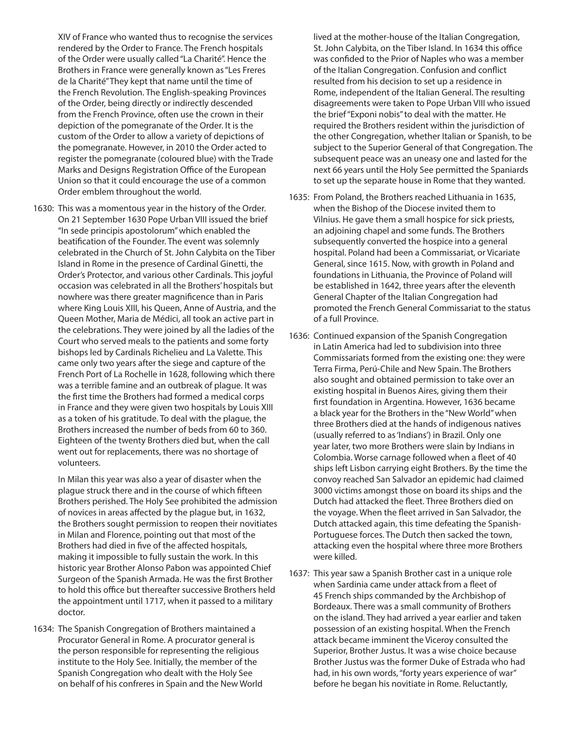XIV of France who wanted thus to recognise the services rendered by the Order to France. The French hospitals of the Order were usually called "La Charité". Hence the Brothers in France were generally known as "Les Freres de la Charité" They kept that name until the time of the French Revolution. The English-speaking Provinces of the Order, being directly or indirectly descended from the French Province, often use the crown in their depiction of the pomegranate of the Order. It is the custom of the Order to allow a variety of depictions of the pomegranate. However, in 2010 the Order acted to register the pomegranate (coloured blue) with the Trade Marks and Designs Registration Office of the European Union so that it could encourage the use of a common Order emblem throughout the world.

1630: This was a momentous year in the history of the Order. On 21 September 1630 Pope Urban VIII issued the brief "In sede principis apostolorum" which enabled the beatification of the Founder. The event was solemnly celebrated in the Church of St. John Calybita on the Tiber Island in Rome in the presence of Cardinal Ginetti, the Order's Protector, and various other Cardinals. This joyful occasion was celebrated in all the Brothers' hospitals but nowhere was there greater magnificence than in Paris where King Louis XIII, his Queen, Anne of Austria, and the Queen Mother, Maria de Médici, all took an active part in the celebrations. They were joined by all the ladies of the Court who served meals to the patients and some forty bishops led by Cardinals Richelieu and La Valette. This came only two years after the siege and capture of the French Port of La Rochelle in 1628, following which there was a terrible famine and an outbreak of plague. It was the first time the Brothers had formed a medical corps in France and they were given two hospitals by Louis XIII as a token of his gratitude. To deal with the plague, the Brothers increased the number of beds from 60 to 360. Eighteen of the twenty Brothers died but, when the call went out for replacements, there was no shortage of volunteers.

 In Milan this year was also a year of disaster when the plague struck there and in the course of which fifteen Brothers perished. The Holy See prohibited the admission of novices in areas affected by the plague but, in 1632, the Brothers sought permission to reopen their novitiates in Milan and Florence, pointing out that most of the Brothers had died in five of the affected hospitals, making it impossible to fully sustain the work. In this historic year Brother Alonso Pabon was appointed Chief Surgeon of the Spanish Armada. He was the first Brother to hold this office but thereafter successive Brothers held the appointment until 1717, when it passed to a military doctor.

1634: The Spanish Congregation of Brothers maintained a Procurator General in Rome. A procurator general is the person responsible for representing the religious institute to the Holy See. Initially, the member of the Spanish Congregation who dealt with the Holy See on behalf of his confreres in Spain and the New World lived at the mother-house of the Italian Congregation, St. John Calybita, on the Tiber Island. In 1634 this office was confided to the Prior of Naples who was a member of the Italian Congregation. Confusion and conflict resulted from his decision to set up a residence in Rome, independent of the Italian General. The resulting disagreements were taken to Pope Urban VIII who issued the brief "Exponi nobis" to deal with the matter. He required the Brothers resident within the jurisdiction of the other Congregation, whether Italian or Spanish, to be subject to the Superior General of that Congregation. The subsequent peace was an uneasy one and lasted for the next 66 years until the Holy See permitted the Spaniards to set up the separate house in Rome that they wanted.

- 1635: From Poland, the Brothers reached Lithuania in 1635, when the Bishop of the Diocese invited them to Vilnius. He gave them a small hospice for sick priests, an adjoining chapel and some funds. The Brothers subsequently converted the hospice into a general hospital. Poland had been a Commissariat, or Vicariate General, since 1615. Now, with growth in Poland and foundations in Lithuania, the Province of Poland will be established in 1642, three years after the eleventh General Chapter of the Italian Congregation had promoted the French General Commissariat to the status of a full Province.
- 1636: Continued expansion of the Spanish Congregation in Latin America had led to subdivision into three Commissariats formed from the existing one: they were Terra Firma, Perú-Chile and New Spain. The Brothers also sought and obtained permission to take over an existing hospital in Buenos Aires, giving them their first foundation in Argentina. However, 1636 became a black year for the Brothers in the "New World" when three Brothers died at the hands of indigenous natives (usually referred to as 'Indians') in Brazil. Only one year later, two more Brothers were slain by Indians in Colombia. Worse carnage followed when a fleet of 40 ships left Lisbon carrying eight Brothers. By the time the convoy reached San Salvador an epidemic had claimed 3000 victims amongst those on board its ships and the Dutch had attacked the fleet. Three Brothers died on the voyage. When the fleet arrived in San Salvador, the Dutch attacked again, this time defeating the Spanish-Portuguese forces. The Dutch then sacked the town, attacking even the hospital where three more Brothers were killed.
- 1637: This year saw a Spanish Brother cast in a unique role when Sardinia came under attack from a fleet of 45 French ships commanded by the Archbishop of Bordeaux. There was a small community of Brothers on the island. They had arrived a year earlier and taken possession of an existing hospital. When the French attack became imminent the Viceroy consulted the Superior, Brother Justus. It was a wise choice because Brother Justus was the former Duke of Estrada who had had, in his own words, "forty years experience of war" before he began his novitiate in Rome. Reluctantly,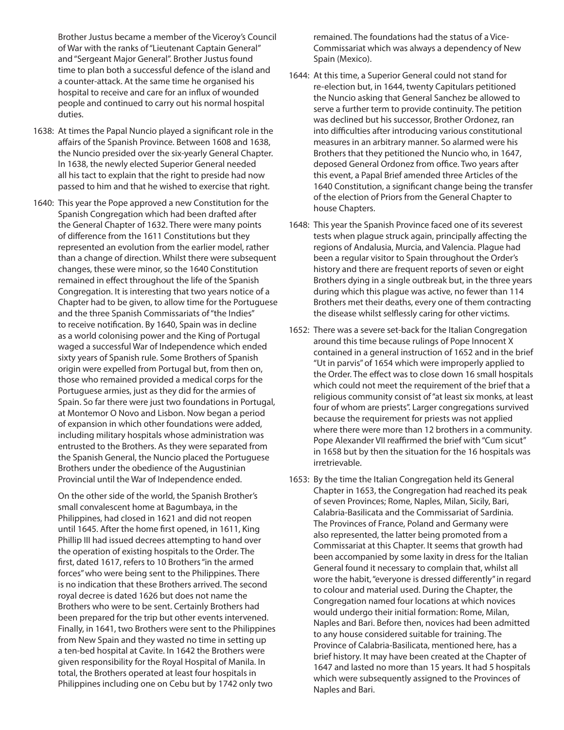Brother Justus became a member of the Viceroy's Council of War with the ranks of "Lieutenant Captain General" and "Sergeant Major General". Brother Justus found time to plan both a successful defence of the island and a counter-attack. At the same time he organised his hospital to receive and care for an influx of wounded people and continued to carry out his normal hospital duties.

- 1638: At times the Papal Nuncio played a significant role in the affairs of the Spanish Province. Between 1608 and 1638, the Nuncio presided over the six-yearly General Chapter. In 1638, the newly elected Superior General needed all his tact to explain that the right to preside had now passed to him and that he wished to exercise that right.
- 1640: This year the Pope approved a new Constitution for the Spanish Congregation which had been drafted after the General Chapter of 1632. There were many points of difference from the 1611 Constitutions but they represented an evolution from the earlier model, rather than a change of direction. Whilst there were subsequent changes, these were minor, so the 1640 Constitution remained in effect throughout the life of the Spanish Congregation. It is interesting that two years notice of a Chapter had to be given, to allow time for the Portuguese and the three Spanish Commissariats of "the Indies" to receive notification. By 1640, Spain was in decline as a world colonising power and the King of Portugal waged a successful War of Independence which ended sixty years of Spanish rule. Some Brothers of Spanish origin were expelled from Portugal but, from then on, those who remained provided a medical corps for the Portuguese armies, just as they did for the armies of Spain. So far there were just two foundations in Portugal, at Montemor O Novo and Lisbon. Now began a period of expansion in which other foundations were added, including military hospitals whose administration was entrusted to the Brothers. As they were separated from the Spanish General, the Nuncio placed the Portuguese Brothers under the obedience of the Augustinian Provincial until the War of Independence ended.

 On the other side of the world, the Spanish Brother's small convalescent home at Bagumbaya, in the Philippines, had closed in 1621 and did not reopen until 1645. After the home first opened, in 1611, King Phillip III had issued decrees attempting to hand over the operation of existing hospitals to the Order. The first, dated 1617, refers to 10 Brothers "in the armed forces" who were being sent to the Philippines. There is no indication that these Brothers arrived. The second royal decree is dated 1626 but does not name the Brothers who were to be sent. Certainly Brothers had been prepared for the trip but other events intervened. Finally, in 1641, two Brothers were sent to the Philippines from New Spain and they wasted no time in setting up a ten-bed hospital at Cavite. In 1642 the Brothers were given responsibility for the Royal Hospital of Manila. In total, the Brothers operated at least four hospitals in Philippines including one on Cebu but by 1742 only two

remained. The foundations had the status of a Vice-Commissariat which was always a dependency of New Spain (Mexico).

- 1644: At this time, a Superior General could not stand for re-election but, in 1644, twenty Capitulars petitioned the Nuncio asking that General Sanchez be allowed to serve a further term to provide continuity. The petition was declined but his successor, Brother Ordonez, ran into difficulties after introducing various constitutional measures in an arbitrary manner. So alarmed were his Brothers that they petitioned the Nuncio who, in 1647, deposed General Ordonez from office. Two years after this event, a Papal Brief amended three Articles of the 1640 Constitution, a significant change being the transfer of the election of Priors from the General Chapter to house Chapters.
- 1648: This year the Spanish Province faced one of its severest tests when plague struck again, principally affecting the regions of Andalusia, Murcia, and Valencia. Plague had been a regular visitor to Spain throughout the Order's history and there are frequent reports of seven or eight Brothers dying in a single outbreak but, in the three years during which this plague was active, no fewer than 114 Brothers met their deaths, every one of them contracting the disease whilst selflessly caring for other victims.
- 1652: There was a severe set-back for the Italian Congregation around this time because rulings of Pope Innocent X contained in a general instruction of 1652 and in the brief "Ut in parvis" of 1654 which were improperly applied to the Order. The effect was to close down 16 small hospitals which could not meet the requirement of the brief that a religious community consist of "at least six monks, at least four of whom are priests". Larger congregations survived because the requirement for priests was not applied where there were more than 12 brothers in a community. Pope Alexander VII reaffirmed the brief with "Cum sicut" in 1658 but by then the situation for the 16 hospitals was irretrievable.
- 1653: By the time the Italian Congregation held its General Chapter in 1653, the Congregation had reached its peak of seven Provinces; Rome, Naples, Milan, Sicily, Bari, Calabria-Basilicata and the Commissariat of Sardinia. The Provinces of France, Poland and Germany were also represented, the latter being promoted from a Commissariat at this Chapter. It seems that growth had been accompanied by some laxity in dress for the Italian General found it necessary to complain that, whilst all wore the habit, "everyone is dressed differently" in regard to colour and material used. During the Chapter, the Congregation named four locations at which novices would undergo their initial formation: Rome, Milan, Naples and Bari. Before then, novices had been admitted to any house considered suitable for training. The Province of Calabria-Basilicata, mentioned here, has a brief history. It may have been created at the Chapter of 1647 and lasted no more than 15 years. It had 5 hospitals which were subsequently assigned to the Provinces of Naples and Bari.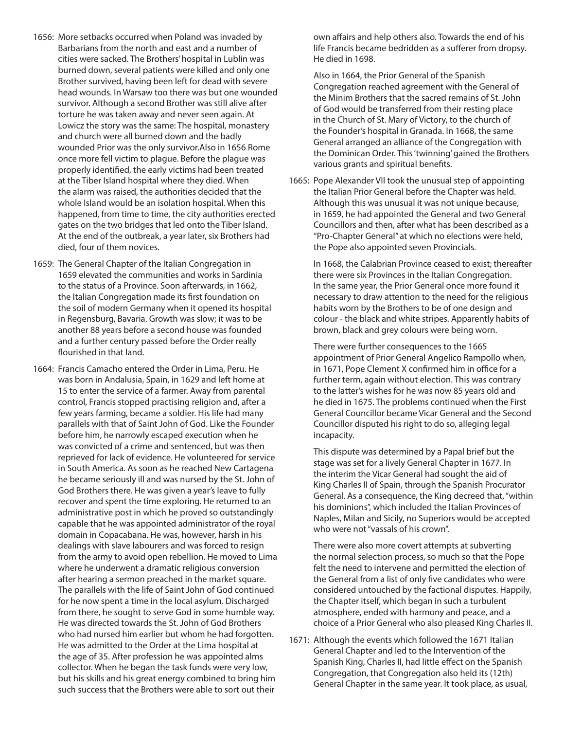- 1656: More setbacks occurred when Poland was invaded by Barbarians from the north and east and a number of cities were sacked. The Brothers' hospital in Lublin was burned down, several patients were killed and only one Brother survived, having been left for dead with severe head wounds. In Warsaw too there was but one wounded survivor. Although a second Brother was still alive after torture he was taken away and never seen again. At Lowicz the story was the same: The hospital, monastery and church were all burned down and the badly wounded Prior was the only survivor.Also in 1656 Rome once more fell victim to plague. Before the plague was properly identified, the early victims had been treated at the Tiber Island hospital where they died. When the alarm was raised, the authorities decided that the whole Island would be an isolation hospital. When this happened, from time to time, the city authorities erected gates on the two bridges that led onto the Tiber Island. At the end of the outbreak, a year later, six Brothers had died, four of them novices.
- 1659: The General Chapter of the Italian Congregation in 1659 elevated the communities and works in Sardinia to the status of a Province. Soon afterwards, in 1662, the Italian Congregation made its first foundation on the soil of modern Germany when it opened its hospital in Regensburg, Bavaria. Growth was slow; it was to be another 88 years before a second house was founded and a further century passed before the Order really flourished in that land.
- 1664: Francis Camacho entered the Order in Lima, Peru. He was born in Andalusia, Spain, in 1629 and left home at 15 to enter the service of a farmer. Away from parental control, Francis stopped practising religion and, after a few years farming, became a soldier. His life had many parallels with that of Saint John of God. Like the Founder before him, he narrowly escaped execution when he was convicted of a crime and sentenced, but was then reprieved for lack of evidence. He volunteered for service in South America. As soon as he reached New Cartagena he became seriously ill and was nursed by the St. John of God Brothers there. He was given a year's leave to fully recover and spent the time exploring. He returned to an administrative post in which he proved so outstandingly capable that he was appointed administrator of the royal domain in Copacabana. He was, however, harsh in his dealings with slave labourers and was forced to resign from the army to avoid open rebellion. He moved to Lima where he underwent a dramatic religious conversion after hearing a sermon preached in the market square. The parallels with the life of Saint John of God continued for he now spent a time in the local asylum. Discharged from there, he sought to serve God in some humble way. He was directed towards the St. John of God Brothers who had nursed him earlier but whom he had forgotten. He was admitted to the Order at the Lima hospital at the age of 35. After profession he was appointed alms collector. When he began the task funds were very low, but his skills and his great energy combined to bring him such success that the Brothers were able to sort out their

own affairs and help others also. Towards the end of his life Francis became bedridden as a sufferer from dropsy. He died in 1698.

 Also in 1664, the Prior General of the Spanish Congregation reached agreement with the General of the Minim Brothers that the sacred remains of St. John of God would be transferred from their resting place in the Church of St. Mary of Victory, to the church of the Founder's hospital in Granada. In 1668, the same General arranged an alliance of the Congregation with the Dominican Order. This 'twinning' gained the Brothers various grants and spiritual benefits.

1665: Pope Alexander VII took the unusual step of appointing the Italian Prior General before the Chapter was held. Although this was unusual it was not unique because, in 1659, he had appointed the General and two General Councillors and then, after what has been described as a "Pro-Chapter General" at which no elections were held, the Pope also appointed seven Provincials.

 In 1668, the Calabrian Province ceased to exist; thereafter there were six Provinces in the Italian Congregation. In the same year, the Prior General once more found it necessary to draw attention to the need for the religious habits worn by the Brothers to be of one design and colour - the black and white stripes. Apparently habits of brown, black and grey colours were being worn.

 There were further consequences to the 1665 appointment of Prior General Angelico Rampollo when, in 1671, Pope Clement X confirmed him in office for a further term, again without election. This was contrary to the latter's wishes for he was now 85 years old and he died in 1675. The problems continued when the First General Councillor became Vicar General and the Second Councillor disputed his right to do so, alleging legal incapacity.

 This dispute was determined by a Papal brief but the stage was set for a lively General Chapter in 1677. In the interim the Vicar General had sought the aid of King Charles II of Spain, through the Spanish Procurator General. As a consequence, the King decreed that, "within his dominions", which included the Italian Provinces of Naples, Milan and Sicily, no Superiors would be accepted who were not "vassals of his crown".

 There were also more covert attempts at subverting the normal selection process, so much so that the Pope felt the need to intervene and permitted the election of the General from a list of only five candidates who were considered untouched by the factional disputes. Happily, the Chapter itself, which began in such a turbulent atmosphere, ended with harmony and peace, and a choice of a Prior General who also pleased King Charles II.

1671: Although the events which followed the 1671 Italian General Chapter and led to the Intervention of the Spanish King, Charles II, had little effect on the Spanish Congregation, that Congregation also held its (12th) General Chapter in the same year. It took place, as usual,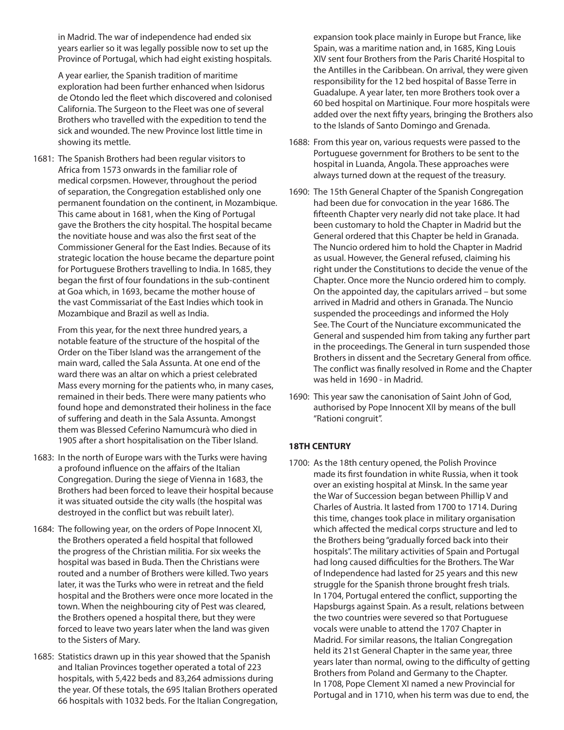in Madrid. The war of independence had ended six years earlier so it was legally possible now to set up the Province of Portugal, which had eight existing hospitals.

 A year earlier, the Spanish tradition of maritime exploration had been further enhanced when Isidorus de Otondo led the fleet which discovered and colonised California. The Surgeon to the Fleet was one of several Brothers who travelled with the expedition to tend the sick and wounded. The new Province lost little time in showing its mettle.

1681: The Spanish Brothers had been regular visitors to Africa from 1573 onwards in the familiar role of medical corpsmen. However, throughout the period of separation, the Congregation established only one permanent foundation on the continent, in Mozambique. This came about in 1681, when the King of Portugal gave the Brothers the city hospital. The hospital became the novitiate house and was also the first seat of the Commissioner General for the East Indies. Because of its strategic location the house became the departure point for Portuguese Brothers travelling to India. In 1685, they began the first of four foundations in the sub-continent at Goa which, in 1693, became the mother house of the vast Commissariat of the East Indies which took in Mozambique and Brazil as well as India.

 From this year, for the next three hundred years, a notable feature of the structure of the hospital of the Order on the Tiber Island was the arrangement of the main ward, called the Sala Assunta. At one end of the ward there was an altar on which a priest celebrated Mass every morning for the patients who, in many cases, remained in their beds. There were many patients who found hope and demonstrated their holiness in the face of suffering and death in the Sala Assunta. Amongst them was Blessed Ceferino Namumcurà who died in 1905 after a short hospitalisation on the Tiber Island.

- 1683: In the north of Europe wars with the Turks were having a profound influence on the affairs of the Italian Congregation. During the siege of Vienna in 1683, the Brothers had been forced to leave their hospital because it was situated outside the city walls (the hospital was destroyed in the conflict but was rebuilt later).
- 1684: The following year, on the orders of Pope Innocent XI, the Brothers operated a field hospital that followed the progress of the Christian militia. For six weeks the hospital was based in Buda. Then the Christians were routed and a number of Brothers were killed. Two years later, it was the Turks who were in retreat and the field hospital and the Brothers were once more located in the town. When the neighbouring city of Pest was cleared, the Brothers opened a hospital there, but they were forced to leave two years later when the land was given to the Sisters of Mary.
- 1685: Statistics drawn up in this year showed that the Spanish and Italian Provinces together operated a total of 223 hospitals, with 5,422 beds and 83,264 admissions during the year. Of these totals, the 695 Italian Brothers operated 66 hospitals with 1032 beds. For the Italian Congregation,

expansion took place mainly in Europe but France, like Spain, was a maritime nation and, in 1685, King Louis XIV sent four Brothers from the Paris Charité Hospital to the Antilles in the Caribbean. On arrival, they were given responsibility for the 12 bed hospital of Basse Terre in Guadalupe. A year later, ten more Brothers took over a 60 bed hospital on Martinique. Four more hospitals were added over the next fifty years, bringing the Brothers also to the Islands of Santo Domingo and Grenada.

- 1688: From this year on, various requests were passed to the Portuguese government for Brothers to be sent to the hospital in Luanda, Angola. These approaches were always turned down at the request of the treasury.
- 1690: The 15th General Chapter of the Spanish Congregation had been due for convocation in the year 1686. The fifteenth Chapter very nearly did not take place. It had been customary to hold the Chapter in Madrid but the General ordered that this Chapter be held in Granada. The Nuncio ordered him to hold the Chapter in Madrid as usual. However, the General refused, claiming his right under the Constitutions to decide the venue of the Chapter. Once more the Nuncio ordered him to comply. On the appointed day, the capitulars arrived – but some arrived in Madrid and others in Granada. The Nuncio suspended the proceedings and informed the Holy See. The Court of the Nunciature excommunicated the General and suspended him from taking any further part in the proceedings. The General in turn suspended those Brothers in dissent and the Secretary General from office. The conflict was finally resolved in Rome and the Chapter was held in 1690 - in Madrid.
- 1690: This year saw the canonisation of Saint John of God, authorised by Pope Innocent XII by means of the bull "Rationi congruit".

## **18TH CENTURY**

1700: As the 18th century opened, the Polish Province made its first foundation in white Russia, when it took over an existing hospital at Minsk. In the same year the War of Succession began between Phillip V and Charles of Austria. It lasted from 1700 to 1714. During this time, changes took place in military organisation which affected the medical corps structure and led to the Brothers being "gradually forced back into their hospitals". The military activities of Spain and Portugal had long caused difficulties for the Brothers. The War of Independence had lasted for 25 years and this new struggle for the Spanish throne brought fresh trials. In 1704, Portugal entered the conflict, supporting the Hapsburgs against Spain. As a result, relations between the two countries were severed so that Portuguese vocals were unable to attend the 1707 Chapter in Madrid. For similar reasons, the Italian Congregation held its 21st General Chapter in the same year, three years later than normal, owing to the difficulty of getting Brothers from Poland and Germany to the Chapter. In 1708, Pope Clement XI named a new Provincial for Portugal and in 1710, when his term was due to end, the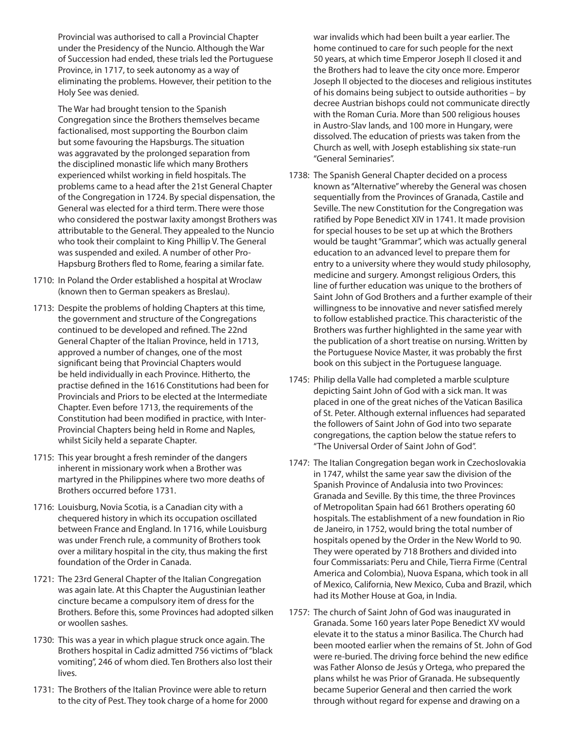Provincial was authorised to call a Provincial Chapter under the Presidency of the Nuncio. Although the War of Succession had ended, these trials led the Portuguese Province, in 1717, to seek autonomy as a way of eliminating the problems. However, their petition to the Holy See was denied.

 The War had brought tension to the Spanish Congregation since the Brothers themselves became factionalised, most supporting the Bourbon claim but some favouring the Hapsburgs. The situation was aggravated by the prolonged separation from the disciplined monastic life which many Brothers experienced whilst working in field hospitals. The problems came to a head after the 21st General Chapter of the Congregation in 1724. By special dispensation, the General was elected for a third term. There were those who considered the postwar laxity amongst Brothers was attributable to the General. They appealed to the Nuncio who took their complaint to King Phillip V. The General was suspended and exiled. A number of other Pro-Hapsburg Brothers fled to Rome, fearing a similar fate.

- 1710: In Poland the Order established a hospital at Wroclaw (known then to German speakers as Breslau).
- 1713: Despite the problems of holding Chapters at this time, the government and structure of the Congregations continued to be developed and refined. The 22nd General Chapter of the Italian Province, held in 1713, approved a number of changes, one of the most significant being that Provincial Chapters would be held individually in each Province. Hitherto, the practise defined in the 1616 Constitutions had been for Provincials and Priors to be elected at the Intermediate Chapter. Even before 1713, the requirements of the Constitution had been modified in practice, with Inter-Provincial Chapters being held in Rome and Naples, whilst Sicily held a separate Chapter.
- 1715: This year brought a fresh reminder of the dangers inherent in missionary work when a Brother was martyred in the Philippines where two more deaths of Brothers occurred before 1731.
- 1716: Louisburg, Novia Scotia, is a Canadian city with a chequered history in which its occupation oscillated between France and England. In 1716, while Louisburg was under French rule, a community of Brothers took over a military hospital in the city, thus making the first foundation of the Order in Canada.
- 1721: The 23rd General Chapter of the Italian Congregation was again late. At this Chapter the Augustinian leather cincture became a compulsory item of dress for the Brothers. Before this, some Provinces had adopted silken or woollen sashes.
- 1730: This was a year in which plague struck once again. The Brothers hospital in Cadiz admitted 756 victims of "black vomiting", 246 of whom died. Ten Brothers also lost their lives.
- 1731: The Brothers of the Italian Province were able to return to the city of Pest. They took charge of a home for 2000

war invalids which had been built a year earlier. The home continued to care for such people for the next 50 years, at which time Emperor Joseph II closed it and the Brothers had to leave the city once more. Emperor Joseph II objected to the dioceses and religious institutes of his domains being subject to outside authorities – by decree Austrian bishops could not communicate directly with the Roman Curia. More than 500 religious houses in Austro-Slav lands, and 100 more in Hungary, were dissolved. The education of priests was taken from the Church as well, with Joseph establishing six state-run "General Seminaries".

- 1738: The Spanish General Chapter decided on a process known as "Alternative" whereby the General was chosen sequentially from the Provinces of Granada, Castile and Seville. The new Constitution for the Congregation was ratified by Pope Benedict XIV in 1741. It made provision for special houses to be set up at which the Brothers would be taught "Grammar", which was actually general education to an advanced level to prepare them for entry to a university where they would study philosophy, medicine and surgery. Amongst religious Orders, this line of further education was unique to the brothers of Saint John of God Brothers and a further example of their willingness to be innovative and never satisfied merely to follow established practice. This characteristic of the Brothers was further highlighted in the same year with the publication of a short treatise on nursing. Written by the Portuguese Novice Master, it was probably the first book on this subject in the Portuguese language.
- 1745: Philip della Valle had completed a marble sculpture depicting Saint John of God with a sick man. It was placed in one of the great niches of the Vatican Basilica of St. Peter. Although external influences had separated the followers of Saint John of God into two separate congregations, the caption below the statue refers to "The Universal Order of Saint John of God".
- 1747: The Italian Congregation began work in Czechoslovakia in 1747, whilst the same year saw the division of the Spanish Province of Andalusia into two Provinces: Granada and Seville. By this time, the three Provinces of Metropolitan Spain had 661 Brothers operating 60 hospitals. The establishment of a new foundation in Rio de Janeiro, in 1752, would bring the total number of hospitals opened by the Order in the New World to 90. They were operated by 718 Brothers and divided into four Commissariats: Peru and Chile, Tierra Firme (Central America and Colombia), Nuova Espana, which took in all of Mexico, California, New Mexico, Cuba and Brazil, which had its Mother House at Goa, in India.
- 1757: The church of Saint John of God was inaugurated in Granada. Some 160 years later Pope Benedict XV would elevate it to the status a minor Basilica. The Church had been mooted earlier when the remains of St. John of God were re-buried. The driving force behind the new edifice was Father Alonso de Jesús y Ortega, who prepared the plans whilst he was Prior of Granada. He subsequently became Superior General and then carried the work through without regard for expense and drawing on a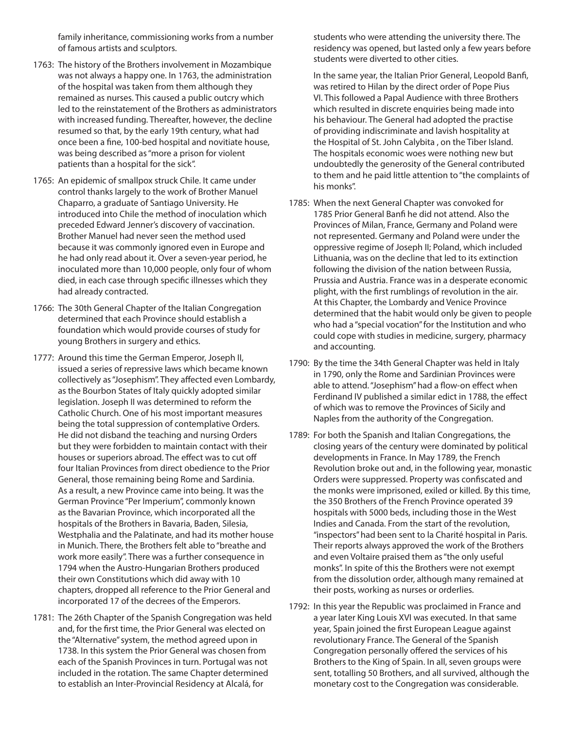family inheritance, commissioning works from a number of famous artists and sculptors.

- 1763: The history of the Brothers involvement in Mozambique was not always a happy one. In 1763, the administration of the hospital was taken from them although they remained as nurses. This caused a public outcry which led to the reinstatement of the Brothers as administrators with increased funding. Thereafter, however, the decline resumed so that, by the early 19th century, what had once been a fine, 100-bed hospital and novitiate house, was being described as "more a prison for violent patients than a hospital for the sick".
- 1765: An epidemic of smallpox struck Chile. It came under control thanks largely to the work of Brother Manuel Chaparro, a graduate of Santiago University. He introduced into Chile the method of inoculation which preceded Edward Jenner's discovery of vaccination. Brother Manuel had never seen the method used because it was commonly ignored even in Europe and he had only read about it. Over a seven-year period, he inoculated more than 10,000 people, only four of whom died, in each case through specific illnesses which they had already contracted.
- 1766: The 30th General Chapter of the Italian Congregation determined that each Province should establish a foundation which would provide courses of study for young Brothers in surgery and ethics.
- 1777: Around this time the German Emperor, Joseph II, issued a series of repressive laws which became known collectively as "Josephism". They affected even Lombardy, as the Bourbon States of Italy quickly adopted similar legislation. Joseph II was determined to reform the Catholic Church. One of his most important measures being the total suppression of contemplative Orders. He did not disband the teaching and nursing Orders but they were forbidden to maintain contact with their houses or superiors abroad. The effect was to cut off four Italian Provinces from direct obedience to the Prior General, those remaining being Rome and Sardinia. As a result, a new Province came into being. It was the German Province "Per Imperium", commonly known as the Bavarian Province, which incorporated all the hospitals of the Brothers in Bavaria, Baden, Silesia, Westphalia and the Palatinate, and had its mother house in Munich. There, the Brothers felt able to "breathe and work more easily". There was a further consequence in 1794 when the Austro-Hungarian Brothers produced their own Constitutions which did away with 10 chapters, dropped all reference to the Prior General and incorporated 17 of the decrees of the Emperors.
- 1781: The 26th Chapter of the Spanish Congregation was held and, for the first time, the Prior General was elected on the "Alternative" system, the method agreed upon in 1738. In this system the Prior General was chosen from each of the Spanish Provinces in turn. Portugal was not included in the rotation. The same Chapter determined to establish an Inter-Provincial Residency at Alcalá, for

students who were attending the university there. The residency was opened, but lasted only a few years before students were diverted to other cities.

 In the same year, the Italian Prior General, Leopold Banfi, was retired to Hilan by the direct order of Pope Pius VI. This followed a Papal Audience with three Brothers which resulted in discrete enquiries being made into his behaviour. The General had adopted the practise of providing indiscriminate and lavish hospitality at the Hospital of St. John Calybita , on the Tiber Island. The hospitals economic woes were nothing new but undoubtedly the generosity of the General contributed to them and he paid little attention to "the complaints of his monks".

- 1785: When the next General Chapter was convoked for 1785 Prior General Banfi he did not attend. Also the Provinces of Milan, France, Germany and Poland were not represented. Germany and Poland were under the oppressive regime of Joseph II; Poland, which included Lithuania, was on the decline that led to its extinction following the division of the nation between Russia, Prussia and Austria. France was in a desperate economic plight, with the first rumblings of revolution in the air. At this Chapter, the Lombardy and Venice Province determined that the habit would only be given to people who had a "special vocation" for the Institution and who could cope with studies in medicine, surgery, pharmacy and accounting.
- 1790: By the time the 34th General Chapter was held in Italy in 1790, only the Rome and Sardinian Provinces were able to attend. "Josephism" had a flow-on effect when Ferdinand IV published a similar edict in 1788, the effect of which was to remove the Provinces of Sicily and Naples from the authority of the Congregation.
- 1789: For both the Spanish and Italian Congregations, the closing years of the century were dominated by political developments in France. In May 1789, the French Revolution broke out and, in the following year, monastic Orders were suppressed. Property was confiscated and the monks were imprisoned, exiled or killed. By this time, the 350 Brothers of the French Province operated 39 hospitals with 5000 beds, including those in the West Indies and Canada. From the start of the revolution, "inspectors" had been sent to la Charité hospital in Paris. Their reports always approved the work of the Brothers and even Voltaire praised them as "the only useful monks". In spite of this the Brothers were not exempt from the dissolution order, although many remained at their posts, working as nurses or orderlies.
- 1792: In this year the Republic was proclaimed in France and a year later King Louis XVI was executed. In that same year, Spain joined the first European League against revolutionary France. The General of the Spanish Congregation personally offered the services of his Brothers to the King of Spain. In all, seven groups were sent, totalling 50 Brothers, and all survived, although the monetary cost to the Congregation was considerable.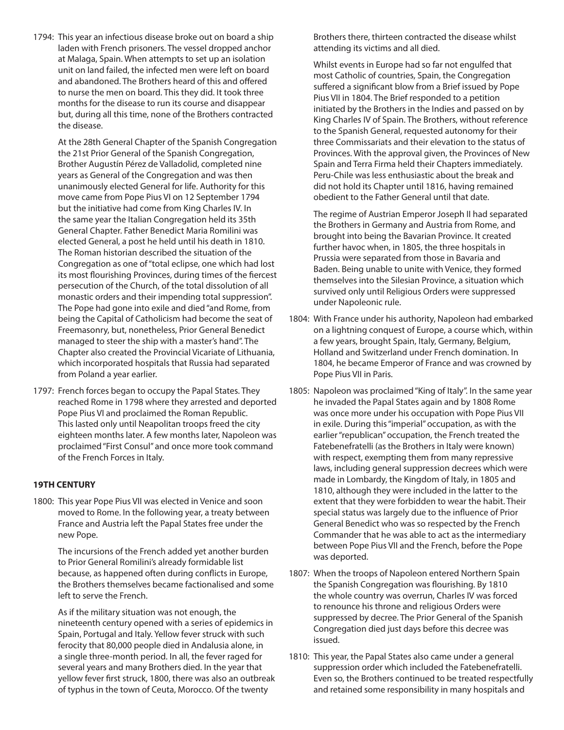1794: This year an infectious disease broke out on board a ship laden with French prisoners. The vessel dropped anchor at Malaga, Spain. When attempts to set up an isolation unit on land failed, the infected men were left on board and abandoned. The Brothers heard of this and offered to nurse the men on board. This they did. It took three months for the disease to run its course and disappear but, during all this time, none of the Brothers contracted the disease.

 At the 28th General Chapter of the Spanish Congregation the 21st Prior General of the Spanish Congregation, Brother Augustín Pérez de Valladolid, completed nine years as General of the Congregation and was then unanimously elected General for life. Authority for this move came from Pope Pius VI on 12 September 1794 but the initiative had come from King Charles IV. In the same year the Italian Congregation held its 35th General Chapter. Father Benedict Maria Romilini was elected General, a post he held until his death in 1810. The Roman historian described the situation of the Congregation as one of "total eclipse, one which had lost its most flourishing Provinces, during times of the fiercest persecution of the Church, of the total dissolution of all monastic orders and their impending total suppression". The Pope had gone into exile and died "and Rome, from being the Capital of Catholicism had become the seat of Freemasonry, but, nonetheless, Prior General Benedict managed to steer the ship with a master's hand". The Chapter also created the Provincial Vicariate of Lithuania, which incorporated hospitals that Russia had separated from Poland a year earlier.

1797: French forces began to occupy the Papal States. They reached Rome in 1798 where they arrested and deported Pope Pius VI and proclaimed the Roman Republic. This lasted only until Neapolitan troops freed the city eighteen months later. A few months later, Napoleon was proclaimed "First Consul" and once more took command of the French Forces in Italy.

#### **19TH CENTURY**

1800: This year Pope Pius VII was elected in Venice and soon moved to Rome. In the following year, a treaty between France and Austria left the Papal States free under the new Pope.

 The incursions of the French added yet another burden to Prior General Romilini's already formidable list because, as happened often during conflicts in Europe, the Brothers themselves became factionalised and some left to serve the French.

 As if the military situation was not enough, the nineteenth century opened with a series of epidemics in Spain, Portugal and Italy. Yellow fever struck with such ferocity that 80,000 people died in Andalusia alone, in a single three-month period. In all, the fever raged for several years and many Brothers died. In the year that yellow fever first struck, 1800, there was also an outbreak of typhus in the town of Ceuta, Morocco. Of the twenty

Brothers there, thirteen contracted the disease whilst attending its victims and all died.

 Whilst events in Europe had so far not engulfed that most Catholic of countries, Spain, the Congregation suffered a significant blow from a Brief issued by Pope Pius VII in 1804. The Brief responded to a petition initiated by the Brothers in the Indies and passed on by King Charles IV of Spain. The Brothers, without reference to the Spanish General, requested autonomy for their three Commissariats and their elevation to the status of Provinces. With the approval given, the Provinces of New Spain and Terra Firma held their Chapters immediately. Peru-Chile was less enthusiastic about the break and did not hold its Chapter until 1816, having remained obedient to the Father General until that date.

 The regime of Austrian Emperor Joseph II had separated the Brothers in Germany and Austria from Rome, and brought into being the Bavarian Province. It created further havoc when, in 1805, the three hospitals in Prussia were separated from those in Bavaria and Baden. Being unable to unite with Venice, they formed themselves into the Silesian Province, a situation which survived only until Religious Orders were suppressed under Napoleonic rule.

- 1804: With France under his authority, Napoleon had embarked on a lightning conquest of Europe, a course which, within a few years, brought Spain, Italy, Germany, Belgium, Holland and Switzerland under French domination. In 1804, he became Emperor of France and was crowned by Pope Pius VII in Paris.
- 1805: Napoleon was proclaimed "King of Italy". In the same year he invaded the Papal States again and by 1808 Rome was once more under his occupation with Pope Pius VII in exile. During this "imperial" occupation, as with the earlier "republican" occupation, the French treated the Fatebenefratelli (as the Brothers in Italy were known) with respect, exempting them from many repressive laws, including general suppression decrees which were made in Lombardy, the Kingdom of Italy, in 1805 and 1810, although they were included in the latter to the extent that they were forbidden to wear the habit. Their special status was largely due to the influence of Prior General Benedict who was so respected by the French Commander that he was able to act as the intermediary between Pope Pius VII and the French, before the Pope was deported.
- 1807: When the troops of Napoleon entered Northern Spain the Spanish Congregation was flourishing. By 1810 the whole country was overrun, Charles IV was forced to renounce his throne and religious Orders were suppressed by decree. The Prior General of the Spanish Congregation died just days before this decree was issued.
- 1810: This year, the Papal States also came under a general suppression order which included the Fatebenefratelli. Even so, the Brothers continued to be treated respectfully and retained some responsibility in many hospitals and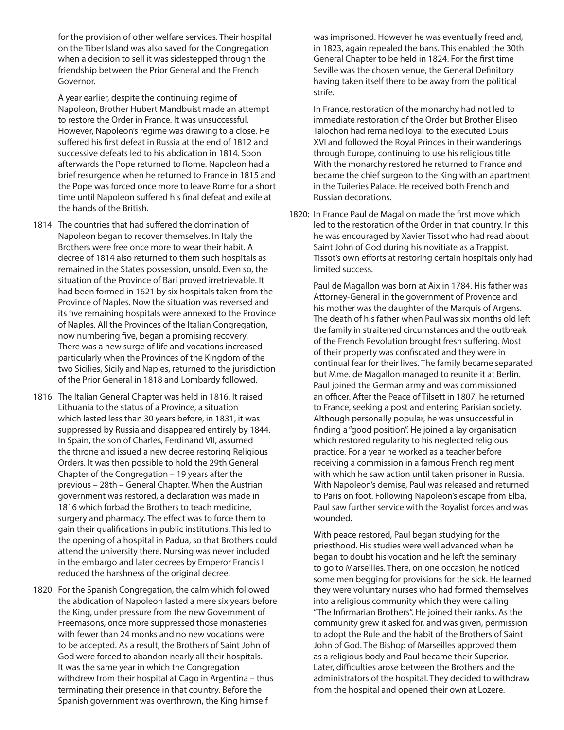for the provision of other welfare services. Their hospital on the Tiber Island was also saved for the Congregation when a decision to sell it was sidestepped through the friendship between the Prior General and the French Governor.

 A year earlier, despite the continuing regime of Napoleon, Brother Hubert Mandbuist made an attempt to restore the Order in France. It was unsuccessful. However, Napoleon's regime was drawing to a close. He suffered his first defeat in Russia at the end of 1812 and successive defeats led to his abdication in 1814. Soon afterwards the Pope returned to Rome. Napoleon had a brief resurgence when he returned to France in 1815 and the Pope was forced once more to leave Rome for a short time until Napoleon suffered his final defeat and exile at the hands of the British.

- 1814: The countries that had suffered the domination of Napoleon began to recover themselves. In Italy the Brothers were free once more to wear their habit. A decree of 1814 also returned to them such hospitals as remained in the State's possession, unsold. Even so, the situation of the Province of Bari proved irretrievable. It had been formed in 1621 by six hospitals taken from the Province of Naples. Now the situation was reversed and its five remaining hospitals were annexed to the Province of Naples. All the Provinces of the Italian Congregation, now numbering five, began a promising recovery. There was a new surge of life and vocations increased particularly when the Provinces of the Kingdom of the two Sicilies, Sicily and Naples, returned to the jurisdiction of the Prior General in 1818 and Lombardy followed.
- 1816: The Italian General Chapter was held in 1816. It raised Lithuania to the status of a Province, a situation which lasted less than 30 years before, in 1831, it was suppressed by Russia and disappeared entirely by 1844. In Spain, the son of Charles, Ferdinand VII, assumed the throne and issued a new decree restoring Religious Orders. It was then possible to hold the 29th General Chapter of the Congregation – 19 years after the previous – 28th – General Chapter. When the Austrian government was restored, a declaration was made in 1816 which forbad the Brothers to teach medicine, surgery and pharmacy. The effect was to force them to gain their qualifications in public institutions. This led to the opening of a hospital in Padua, so that Brothers could attend the university there. Nursing was never included in the embargo and later decrees by Emperor Francis I reduced the harshness of the original decree.
- 1820: For the Spanish Congregation, the calm which followed the abdication of Napoleon lasted a mere six years before the King, under pressure from the new Government of Freemasons, once more suppressed those monasteries with fewer than 24 monks and no new vocations were to be accepted. As a result, the Brothers of Saint John of God were forced to abandon nearly all their hospitals. It was the same year in which the Congregation withdrew from their hospital at Cago in Argentina – thus terminating their presence in that country. Before the Spanish government was overthrown, the King himself

was imprisoned. However he was eventually freed and, in 1823, again repealed the bans. This enabled the 30th General Chapter to be held in 1824. For the first time Seville was the chosen venue, the General Definitory having taken itself there to be away from the political strife.

 In France, restoration of the monarchy had not led to immediate restoration of the Order but Brother Eliseo Talochon had remained loyal to the executed Louis XVI and followed the Royal Princes in their wanderings through Europe, continuing to use his religious title. With the monarchy restored he returned to France and became the chief surgeon to the King with an apartment in the Tuileries Palace. He received both French and Russian decorations.

1820: In France Paul de Magallon made the first move which led to the restoration of the Order in that country. In this he was encouraged by Xavier Tissot who had read about Saint John of God during his novitiate as a Trappist. Tissot's own efforts at restoring certain hospitals only had limited success.

 Paul de Magallon was born at Aix in 1784. His father was Attorney-General in the government of Provence and his mother was the daughter of the Marquis of Argens. The death of his father when Paul was six months old left the family in straitened circumstances and the outbreak of the French Revolution brought fresh suffering. Most of their property was confiscated and they were in continual fear for their lives. The family became separated but Mme. de Magallon managed to reunite it at Berlin. Paul joined the German army and was commissioned an officer. After the Peace of Tilsett in 1807, he returned to France, seeking a post and entering Parisian society. Although personally popular, he was unsuccessful in finding a "good position". He joined a lay organisation which restored regularity to his neglected religious practice. For a year he worked as a teacher before receiving a commission in a famous French regiment with which he saw action until taken prisoner in Russia. With Napoleon's demise, Paul was released and returned to Paris on foot. Following Napoleon's escape from Elba, Paul saw further service with the Royalist forces and was wounded.

 With peace restored, Paul began studying for the priesthood. His studies were well advanced when he began to doubt his vocation and he left the seminary to go to Marseilles. There, on one occasion, he noticed some men begging for provisions for the sick. He learned they were voluntary nurses who had formed themselves into a religious community which they were calling "The Infirmarian Brothers". He joined their ranks. As the community grew it asked for, and was given, permission to adopt the Rule and the habit of the Brothers of Saint John of God. The Bishop of Marseilles approved them as a religious body and Paul became their Superior. Later, difficulties arose between the Brothers and the administrators of the hospital. They decided to withdraw from the hospital and opened their own at Lozere.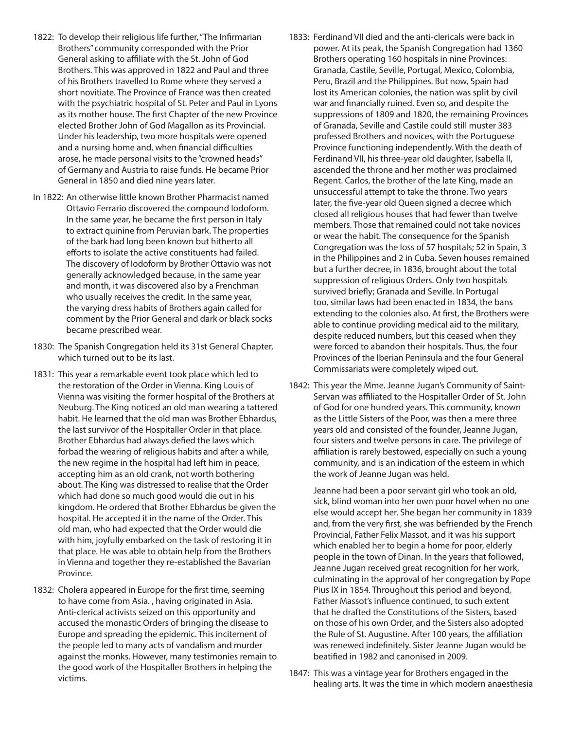- 1822: To develop their religious life further, "The Infirmarian Brothers" community corresponded with the Prior General asking to affiliate with the St. John of God Brothers. This was approved in 1822 and Paul and three of his Brothers travelled to Rome where they served a short novitiate. The Province of France was then created with the psychiatric hospital of St. Peter and Paul in Lyons as its mother house. The first Chapter of the new Province elected Brother John of God Magallon as its Provincial. Under his leadership, two more hospitals were opened and a nursing home and, when financial difficulties arose, he made personal visits to the "crowned heads" of Germany and Austria to raise funds. He became Prior General in 1850 and died nine years later.
- In 1822: An otherwise little known Brother Pharmacist named Ottavio Ferrario discovered the compound Iodoform. In the same year, he became the first person in Italy to extract quinine from Peruvian bark. The properties of the bark had long been known but hitherto all efforts to isolate the active constituents had failed. The discovery of Iodoform by Brother Ottavio was not generally acknowledged because, in the same year and month, it was discovered also by a Frenchman who usually receives the credit. In the same year, the varying dress habits of Brothers again called for comment by the Prior General and dark or black socks became prescribed wear.
- 1830: The Spanish Congregation held its 31st General Chapter, which turned out to be its last.
- 1831: This year a remarkable event took place which led to the restoration of the Order in Vienna. King Louis of Vienna was visiting the former hospital of the Brothers at Neuburg. The King noticed an old man wearing a tattered habit. He learned that the old man was Brother Ebhardus, the last survivor of the Hospitaller Order in that place. Brother Ebhardus had always defied the laws which forbad the wearing of religious habits and after a while, the new regime in the hospital had left him in peace, accepting him as an old crank, not worth bothering about. The King was distressed to realise that the Order which had done so much good would die out in his kingdom. He ordered that Brother Ebhardus be given the hospital. He accepted it in the name of the Order. This old man, who had expected that the Order would die with him, joyfully embarked on the task of restoring it in that place. He was able to obtain help from the Brothers in Vienna and together they re-established the Bavarian Province.
- 1832: Cholera appeared in Europe for the first time, seeming to have come from Asia. , having originated in Asia. Anti-clerical activists seized on this opportunity and accused the monastic Orders of bringing the disease to Europe and spreading the epidemic. This incitement of the people led to many acts of vandalism and murder against the monks. However, many testimonies remain to the good work of the Hospitaller Brothers in helping the victims.
- 1833: Ferdinand VII died and the anti-clericals were back in power. At its peak, the Spanish Congregation had 1360 Brothers operating 160 hospitals in nine Provinces: Granada, Castile, Seville, Portugal, Mexico, Colombia, Peru, Brazil and the Philippines. But now, Spain had lost its American colonies, the nation was split by civil war and financially ruined. Even so, and despite the suppressions of 1809 and 1820, the remaining Provinces of Granada, Seville and Castile could still muster 383 professed Brothers and novices, with the Portuguese Province functioning independently. With the death of Ferdinand VII, his three-year old daughter, Isabella II, ascended the throne and her mother was proclaimed Regent. Carlos, the brother of the late King, made an unsuccessful attempt to take the throne. Two years later, the five-year old Queen signed a decree which closed all religious houses that had fewer than twelve members. Those that remained could not take novices or wear the habit. The consequence for the Spanish Congregation was the loss of 57 hospitals; 52 in Spain, 3 in the Philippines and 2 in Cuba. Seven houses remained but a further decree, in 1836, brought about the total suppression of religious Orders. Only two hospitals survived briefly; Granada and Seville. In Portugal too, similar laws had been enacted in 1834, the bans extending to the colonies also. At first, the Brothers were able to continue providing medical aid to the military, despite reduced numbers, but this ceased when they were forced to abandon their hospitals. Thus, the four Provinces of the Iberian Peninsula and the four General Commissariats were completely wiped out.
- 1842: This year the Mme. Jeanne Jugan's Community of Saint-Servan was affiliated to the Hospitaller Order of St. John of God for one hundred years. This community, known as the Little Sisters of the Poor, was then a mere three years old and consisted of the founder, Jeanne Jugan, four sisters and twelve persons in care. The privilege of affiliation is rarely bestowed, especially on such a young community, and is an indication of the esteem in which the work of Jeanne Jugan was held.

 Jeanne had been a poor servant girl who took an old, sick, blind woman into her own poor hovel when no one else would accept her. She began her community in 1839 and, from the very first, she was befriended by the French Provincial, Father Felix Massot, and it was his support which enabled her to begin a home for poor, elderly people in the town of Dinan. In the years that followed, Jeanne Jugan received great recognition for her work, culminating in the approval of her congregation by Pope Pius IX in 1854. Throughout this period and beyond, Father Massot's influence continued, to such extent that he drafted the Constitutions of the Sisters, based on those of his own Order, and the Sisters also adopted the Rule of St. Augustine. After 100 years, the affiliation was renewed indefinitely. Sister Jeanne Jugan would be beatified in 1982 and canonised in 2009.

1847: This was a vintage year for Brothers engaged in the healing arts. It was the time in which modern anaesthesia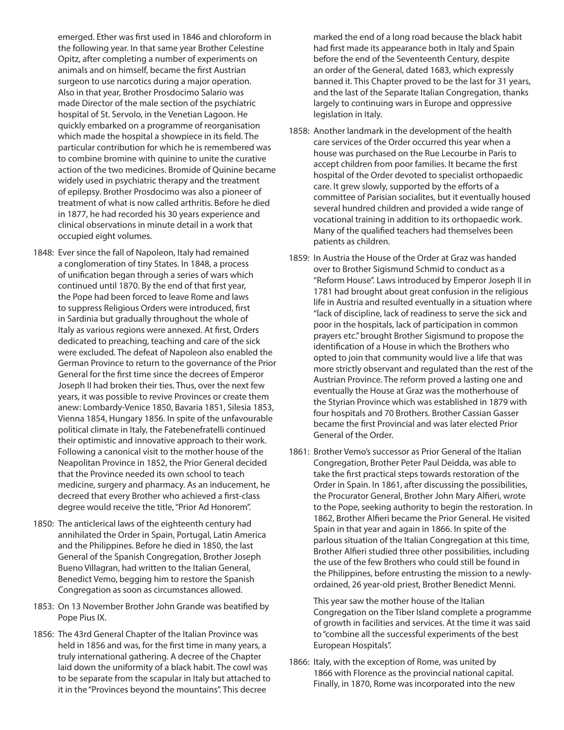emerged. Ether was first used in 1846 and chloroform in the following year. In that same year Brother Celestine Opitz, after completing a number of experiments on animals and on himself, became the first Austrian surgeon to use narcotics during a major operation. Also in that year, Brother Prosdocimo Salario was made Director of the male section of the psychiatric hospital of St. Servolo, in the Venetian Lagoon. He quickly embarked on a programme of reorganisation which made the hospital a showpiece in its field. The particular contribution for which he is remembered was to combine bromine with quinine to unite the curative action of the two medicines. Bromide of Quinine became widely used in psychiatric therapy and the treatment of epilepsy. Brother Prosdocimo was also a pioneer of treatment of what is now called arthritis. Before he died in 1877, he had recorded his 30 years experience and clinical observations in minute detail in a work that occupied eight volumes.

- 1848: Ever since the fall of Napoleon, Italy had remained a conglomeration of tiny States. In 1848, a process of unification began through a series of wars which continued until 1870. By the end of that first year, the Pope had been forced to leave Rome and laws to suppress Religious Orders were introduced, first in Sardinia but gradually throughout the whole of Italy as various regions were annexed. At first, Orders dedicated to preaching, teaching and care of the sick were excluded. The defeat of Napoleon also enabled the German Province to return to the governance of the Prior General for the first time since the decrees of Emperor Joseph II had broken their ties. Thus, over the next few years, it was possible to revive Provinces or create them anew: Lombardy-Venice 1850, Bavaria 1851, Silesia 1853, Vienna 1854, Hungary 1856. In spite of the unfavourable political climate in Italy, the Fatebenefratelli continued their optimistic and innovative approach to their work. Following a canonical visit to the mother house of the Neapolitan Province in 1852, the Prior General decided that the Province needed its own school to teach medicine, surgery and pharmacy. As an inducement, he decreed that every Brother who achieved a first-class degree would receive the title, "Prior Ad Honorem".
- 1850: The anticlerical laws of the eighteenth century had annihilated the Order in Spain, Portugal, Latin America and the Philippines. Before he died in 1850, the last General of the Spanish Congregation, Brother Joseph Bueno Villagran, had written to the Italian General, Benedict Vemo, begging him to restore the Spanish Congregation as soon as circumstances allowed.
- 1853: On 13 November Brother John Grande was beatified by Pope Pius IX.
- 1856: The 43rd General Chapter of the Italian Province was held in 1856 and was, for the first time in many years, a truly international gathering. A decree of the Chapter laid down the uniformity of a black habit. The cowl was to be separate from the scapular in Italy but attached to it in the "Provinces beyond the mountains". This decree

marked the end of a long road because the black habit had first made its appearance both in Italy and Spain before the end of the Seventeenth Century, despite an order of the General, dated 1683, which expressly banned it. This Chapter proved to be the last for 31 years, and the last of the Separate Italian Congregation, thanks largely to continuing wars in Europe and oppressive legislation in Italy.

- 1858: Another landmark in the development of the health care services of the Order occurred this year when a house was purchased on the Rue Lecourbe in Paris to accept children from poor families. It became the first hospital of the Order devoted to specialist orthopaedic care. It grew slowly, supported by the efforts of a committee of Parisian socialites, but it eventually housed several hundred children and provided a wide range of vocational training in addition to its orthopaedic work. Many of the qualified teachers had themselves been patients as children.
- 1859: In Austria the House of the Order at Graz was handed over to Brother Sigismund Schmid to conduct as a "Reform House". Laws introduced by Emperor Joseph II in 1781 had brought about great confusion in the religious life in Austria and resulted eventually in a situation where "lack of discipline, lack of readiness to serve the sick and poor in the hospitals, lack of participation in common prayers etc." brought Brother Sigismund to propose the identification of a House in which the Brothers who opted to join that community would live a life that was more strictly observant and regulated than the rest of the Austrian Province. The reform proved a lasting one and eventually the House at Graz was the motherhouse of the Styrian Province which was established in 1879 with four hospitals and 70 Brothers. Brother Cassian Gasser became the first Provincial and was later elected Prior General of the Order.
- 1861: Brother Vemo's successor as Prior General of the Italian Congregation, Brother Peter Paul Deidda, was able to take the first practical steps towards restoration of the Order in Spain. In 1861, after discussing the possibilities, the Procurator General, Brother John Mary Alfieri, wrote to the Pope, seeking authority to begin the restoration. In 1862, Brother Alfieri became the Prior General. He visited Spain in that year and again in 1866. In spite of the parlous situation of the Italian Congregation at this time, Brother Alfieri studied three other possibilities, including the use of the few Brothers who could still be found in the Philippines, before entrusting the mission to a newlyordained, 26 year-old priest, Brother Benedict Menni.

 This year saw the mother house of the Italian Congregation on the Tiber Island complete a programme of growth in facilities and services. At the time it was said to "combine all the successful experiments of the best European Hospitals".

1866: Italy, with the exception of Rome, was united by 1866 with Florence as the provincial national capital. Finally, in 1870, Rome was incorporated into the new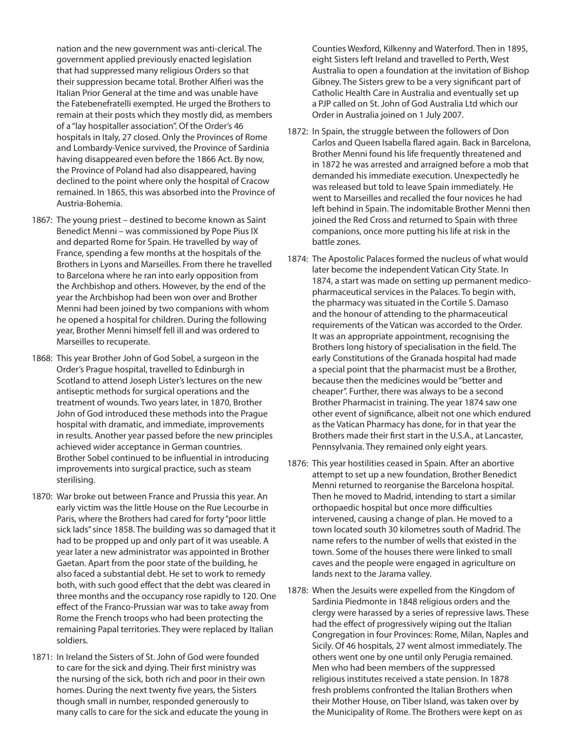nation and the new government was anti-clerical. The government applied previously enacted legislation that had suppressed many religious Orders so that their suppression became total. Brother Alfieri was the Italian Prior General at the time and was unable have the Fatebenefratelli exempted. He urged the Brothers to remain at their posts which they mostly did, as members of a "lay hospitaller association". Of the Order's 46 hospitals in Italy, 27 closed. Only the Provinces of Rome and Lombardy-Venice survived, the Province of Sardinia having disappeared even before the 1866 Act. By now, the Province of Poland had also disappeared, having declined to the point where only the hospital of Cracow remained. In 1865, this was absorbed into the Province of Austria-Bohemia.

- 1867: The young priest destined to become known as Saint Benedict Menni – was commissioned by Pope Pius IX and departed Rome for Spain. He travelled by way of France, spending a few months at the hospitals of the Brothers in Lyons and Marseilles. From there he travelled to Barcelona where he ran into early opposition from the Archbishop and others. However, by the end of the year the Archbishop had been won over and Brother Menni had been joined by two companions with whom he opened a hospital for children. During the following year, Brother Menni himself fell ill and was ordered to Marseilles to recuperate.
- 1868: This year Brother John of God Sobel, a surgeon in the Order's Prague hospital, travelled to Edinburgh in Scotland to attend Joseph Lister's lectures on the new antiseptic methods for surgical operations and the treatment of wounds. Two years later, in 1870, Brother John of God introduced these methods into the Prague hospital with dramatic, and immediate, improvements in results. Another year passed before the new principles achieved wider acceptance in German countries. Brother Sobel continued to be influential in introducing improvements into surgical practice, such as steam sterilising.
- 1870: War broke out between France and Prussia this year. An early victim was the little House on the Rue Lecourbe in Paris, where the Brothers had cared for forty "poor little sick lads" since 1858. The building was so damaged that it had to be propped up and only part of it was useable. A year later a new administrator was appointed in Brother Gaetan. Apart from the poor state of the building, he also faced a substantial debt. He set to work to remedy both, with such good effect that the debt was cleared in three months and the occupancy rose rapidly to 120. One effect of the Franco-Prussian war was to take away from Rome the French troops who had been protecting the remaining Papal territories. They were replaced by Italian soldiers.
- 1871: In Ireland the Sisters of St. John of God were founded to care for the sick and dying. Their first ministry was the nursing of the sick, both rich and poor in their own homes. During the next twenty five years, the Sisters though small in number, responded generously to many calls to care for the sick and educate the young in

Counties Wexford, Kilkenny and Waterford. Then in 1895, eight Sisters left Ireland and travelled to Perth, West Australia to open a foundation at the invitation of Bishop Gibney. The Sisters grew to be a very significant part of Catholic Health Care in Australia and eventually set up a PJP called on St. John of God Australia Ltd which our Order in Australia joined on 1 July 2007.

- 1872: In Spain, the struggle between the followers of Don Carlos and Queen Isabella flared again. Back in Barcelona, Brother Menni found his life frequently threatened and in 1872 he was arrested and arraigned before a mob that demanded his immediate execution. Unexpectedly he was released but told to leave Spain immediately. He went to Marseilles and recalled the four novices he had left behind in Spain. The indomitable Brother Menni then joined the Red Cross and returned to Spain with three companions, once more putting his life at risk in the battle zones.
- 1874: The Apostolic Palaces formed the nucleus of what would later become the independent Vatican City State. In 1874, a start was made on setting up permanent medicopharmaceutical services in the Palaces. To begin with, the pharmacy was situated in the Cortile S. Damaso and the honour of attending to the pharmaceutical requirements of the Vatican was accorded to the Order. It was an appropriate appointment, recognising the Brothers long history of specialisation in the field. The early Constitutions of the Granada hospital had made a special point that the pharmacist must be a Brother, because then the medicines would be "better and cheaper". Further, there was always to be a second Brother Pharmacist in training. The year 1874 saw one other event of significance, albeit not one which endured as the Vatican Pharmacy has done, for in that year the Brothers made their first start in the U.S.A., at Lancaster, Pennsylvania. They remained only eight years.
- 1876: This year hostilities ceased in Spain. After an abortive attempt to set up a new foundation, Brother Benedict Menni returned to reorganise the Barcelona hospital. Then he moved to Madrid, intending to start a similar orthopaedic hospital but once more difficulties intervened, causing a change of plan. He moved to a town located south 30 kilometres south of Madrid. The name refers to the number of wells that existed in the town. Some of the houses there were linked to small caves and the people were engaged in agriculture on lands next to the Jarama valley.
- 1878: When the Jesuits were expelled from the Kingdom of Sardinia Piedmonte in 1848 religious orders and the clergy were harassed by a series of repressive laws. These had the effect of progressively wiping out the Italian Congregation in four Provinces: Rome, Milan, Naples and Sicily. Of 46 hospitals, 27 went almost immediately. The others went one by one until only Perugia remained. Men who had been members of the suppressed religious institutes received a state pension. In 1878 fresh problems confronted the Italian Brothers when their Mother House, on Tiber Island, was taken over by the Municipality of Rome. The Brothers were kept on as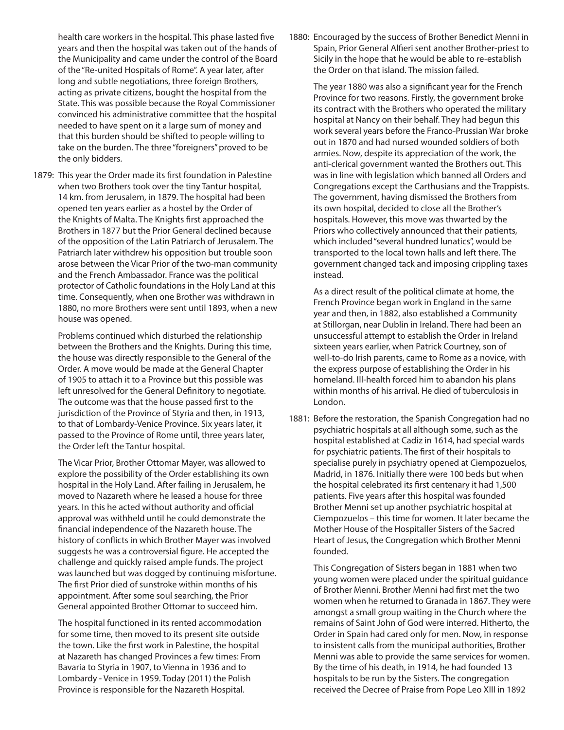health care workers in the hospital. This phase lasted five years and then the hospital was taken out of the hands of the Municipality and came under the control of the Board of the "Re-united Hospitals of Rome". A year later, after long and subtle negotiations, three foreign Brothers, acting as private citizens, bought the hospital from the State. This was possible because the Royal Commissioner convinced his administrative committee that the hospital needed to have spent on it a large sum of money and that this burden should be shifted to people willing to take on the burden. The three "foreigners" proved to be the only bidders.

1879: This year the Order made its first foundation in Palestine when two Brothers took over the tiny Tantur hospital, 14 km. from Jerusalem, in 1879. The hospital had been opened ten years earlier as a hostel by the Order of the Knights of Malta. The Knights first approached the Brothers in 1877 but the Prior General declined because of the opposition of the Latin Patriarch of Jerusalem. The Patriarch later withdrew his opposition but trouble soon arose between the Vicar Prior of the two-man community and the French Ambassador. France was the political protector of Catholic foundations in the Holy Land at this time. Consequently, when one Brother was withdrawn in 1880, no more Brothers were sent until 1893, when a new house was opened.

 Problems continued which disturbed the relationship between the Brothers and the Knights. During this time, the house was directly responsible to the General of the Order. A move would be made at the General Chapter of 1905 to attach it to a Province but this possible was left unresolved for the General Definitory to negotiate. The outcome was that the house passed first to the jurisdiction of the Province of Styria and then, in 1913, to that of Lombardy-Venice Province. Six years later, it passed to the Province of Rome until, three years later, the Order left the Tantur hospital.

 The Vicar Prior, Brother Ottomar Mayer, was allowed to explore the possibility of the Order establishing its own hospital in the Holy Land. After failing in Jerusalem, he moved to Nazareth where he leased a house for three years. In this he acted without authority and official approval was withheld until he could demonstrate the financial independence of the Nazareth house. The history of conflicts in which Brother Mayer was involved suggests he was a controversial figure. He accepted the challenge and quickly raised ample funds. The project was launched but was dogged by continuing misfortune. The first Prior died of sunstroke within months of his appointment. After some soul searching, the Prior General appointed Brother Ottomar to succeed him.

 The hospital functioned in its rented accommodation for some time, then moved to its present site outside the town. Like the first work in Palestine, the hospital at Nazareth has changed Provinces a few times: From Bavaria to Styria in 1907, to Vienna in 1936 and to Lombardy - Venice in 1959. Today (2011) the Polish Province is responsible for the Nazareth Hospital.

1880: Encouraged by the success of Brother Benedict Menni in Spain, Prior General Alfieri sent another Brother-priest to Sicily in the hope that he would be able to re-establish the Order on that island. The mission failed.

 The year 1880 was also a significant year for the French Province for two reasons. Firstly, the government broke its contract with the Brothers who operated the military hospital at Nancy on their behalf. They had begun this work several years before the Franco-Prussian War broke out in 1870 and had nursed wounded soldiers of both armies. Now, despite its appreciation of the work, the anti-clerical government wanted the Brothers out. This was in line with legislation which banned all Orders and Congregations except the Carthusians and the Trappists. The government, having dismissed the Brothers from its own hospital, decided to close all the Brother's hospitals. However, this move was thwarted by the Priors who collectively announced that their patients, which included "several hundred lunatics", would be transported to the local town halls and left there. The government changed tack and imposing crippling taxes instead.

 As a direct result of the political climate at home, the French Province began work in England in the same year and then, in 1882, also established a Community at Stillorgan, near Dublin in Ireland. There had been an unsuccessful attempt to establish the Order in Ireland sixteen years earlier, when Patrick Courtney, son of well-to-do Irish parents, came to Rome as a novice, with the express purpose of establishing the Order in his homeland. Ill-health forced him to abandon his plans within months of his arrival. He died of tuberculosis in London.

1881: Before the restoration, the Spanish Congregation had no psychiatric hospitals at all although some, such as the hospital established at Cadiz in 1614, had special wards for psychiatric patients. The first of their hospitals to specialise purely in psychiatry opened at Ciempozuelos, Madrid, in 1876. Initially there were 100 beds but when the hospital celebrated its first centenary it had 1,500 patients. Five years after this hospital was founded Brother Menni set up another psychiatric hospital at Ciempozuelos – this time for women. It later became the Mother House of the Hospitaller Sisters of the Sacred Heart of Jesus, the Congregation which Brother Menni founded.

 This Congregation of Sisters began in 1881 when two young women were placed under the spiritual guidance of Brother Menni. Brother Menni had first met the two women when he returned to Granada in 1867. They were amongst a small group waiting in the Church where the remains of Saint John of God were interred. Hitherto, the Order in Spain had cared only for men. Now, in response to insistent calls from the municipal authorities, Brother Menni was able to provide the same services for women. By the time of his death, in 1914, he had founded 13 hospitals to be run by the Sisters. The congregation received the Decree of Praise from Pope Leo XIII in 1892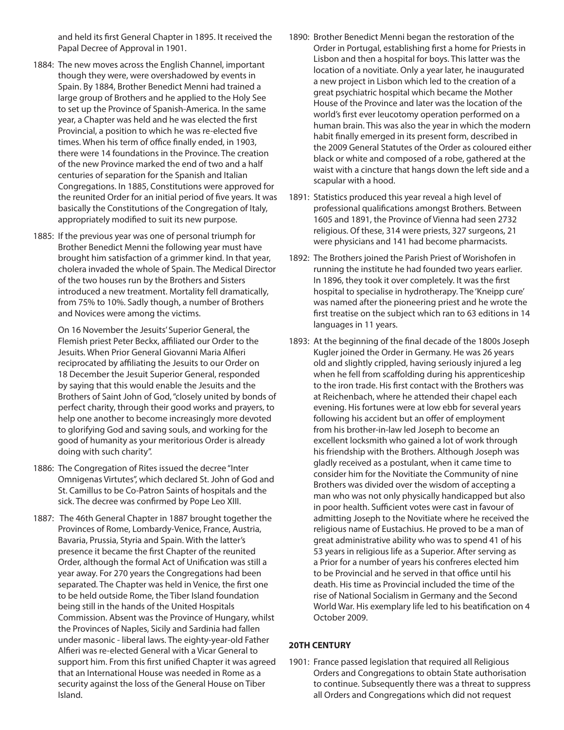and held its first General Chapter in 1895. It received the Papal Decree of Approval in 1901.

- 1884: The new moves across the English Channel, important though they were, were overshadowed by events in Spain. By 1884, Brother Benedict Menni had trained a large group of Brothers and he applied to the Holy See to set up the Province of Spanish-America. In the same year, a Chapter was held and he was elected the first Provincial, a position to which he was re-elected five times. When his term of office finally ended, in 1903, there were 14 foundations in the Province. The creation of the new Province marked the end of two and a half centuries of separation for the Spanish and Italian Congregations. In 1885, Constitutions were approved for the reunited Order for an initial period of five years. It was basically the Constitutions of the Congregation of Italy, appropriately modified to suit its new purpose.
- 1885: If the previous year was one of personal triumph for Brother Benedict Menni the following year must have brought him satisfaction of a grimmer kind. In that year, cholera invaded the whole of Spain. The Medical Director of the two houses run by the Brothers and Sisters introduced a new treatment. Mortality fell dramatically, from 75% to 10%. Sadly though, a number of Brothers and Novices were among the victims.

 On 16 November the Jesuits' Superior General, the Flemish priest Peter Beckx, affiliated our Order to the Jesuits. When Prior General Giovanni Maria Alfieri reciprocated by affiliating the Jesuits to our Order on 18 December the Jesuit Superior General, responded by saying that this would enable the Jesuits and the Brothers of Saint John of God, "closely united by bonds of perfect charity, through their good works and prayers, to help one another to become increasingly more devoted to glorifying God and saving souls, and working for the good of humanity as your meritorious Order is already doing with such charity".

- 1886: The Congregation of Rites issued the decree "Inter Omnigenas Virtutes", which declared St. John of God and St. Camillus to be Co-Patron Saints of hospitals and the sick. The decree was confirmed by Pope Leo XIII.
- 1887: The 46th General Chapter in 1887 brought together the Provinces of Rome, Lombardy-Venice, France, Austria, Bavaria, Prussia, Styria and Spain. With the latter's presence it became the first Chapter of the reunited Order, although the formal Act of Unification was still a year away. For 270 years the Congregations had been separated. The Chapter was held in Venice, the first one to be held outside Rome, the Tiber Island foundation being still in the hands of the United Hospitals Commission. Absent was the Province of Hungary, whilst the Provinces of Naples, Sicily and Sardinia had fallen under masonic - liberal laws. The eighty-year-old Father Alfieri was re-elected General with a Vicar General to support him. From this first unified Chapter it was agreed that an International House was needed in Rome as a security against the loss of the General House on Tiber Island.
- 1890: Brother Benedict Menni began the restoration of the Order in Portugal, establishing first a home for Priests in Lisbon and then a hospital for boys. This latter was the location of a novitiate. Only a year later, he inaugurated a new project in Lisbon which led to the creation of a great psychiatric hospital which became the Mother House of the Province and later was the location of the world's first ever leucotomy operation performed on a human brain. This was also the year in which the modern habit finally emerged in its present form, described in the 2009 General Statutes of the Order as coloured either black or white and composed of a robe, gathered at the waist with a cincture that hangs down the left side and a scapular with a hood.
- 1891: Statistics produced this year reveal a high level of professional qualifications amongst Brothers. Between 1605 and 1891, the Province of Vienna had seen 2732 religious. Of these, 314 were priests, 327 surgeons, 21 were physicians and 141 had become pharmacists.
- 1892: The Brothers joined the Parish Priest of Worishofen in running the institute he had founded two years earlier. In 1896, they took it over completely. It was the first hospital to specialise in hydrotherapy. The 'Kneipp cure' was named after the pioneering priest and he wrote the first treatise on the subject which ran to 63 editions in 14 languages in 11 years.
- 1893: At the beginning of the final decade of the 1800s Joseph Kugler joined the Order in Germany. He was 26 years old and slightly crippled, having seriously injured a leg when he fell from scaffolding during his apprenticeship to the iron trade. His first contact with the Brothers was at Reichenbach, where he attended their chapel each evening. His fortunes were at low ebb for several years following his accident but an offer of employment from his brother-in-law led Joseph to become an excellent locksmith who gained a lot of work through his friendship with the Brothers. Although Joseph was gladly received as a postulant, when it came time to consider him for the Novitiate the Community of nine Brothers was divided over the wisdom of accepting a man who was not only physically handicapped but also in poor health. Sufficient votes were cast in favour of admitting Joseph to the Novitiate where he received the religious name of Eustachius. He proved to be a man of great administrative ability who was to spend 41 of his 53 years in religious life as a Superior. After serving as a Prior for a number of years his confreres elected him to be Provincial and he served in that office until his death. His time as Provincial included the time of the rise of National Socialism in Germany and the Second World War. His exemplary life led to his beatification on 4 October 2009.

#### **20TH CENTURY**

1901: France passed legislation that required all Religious Orders and Congregations to obtain State authorisation to continue. Subsequently there was a threat to suppress all Orders and Congregations which did not request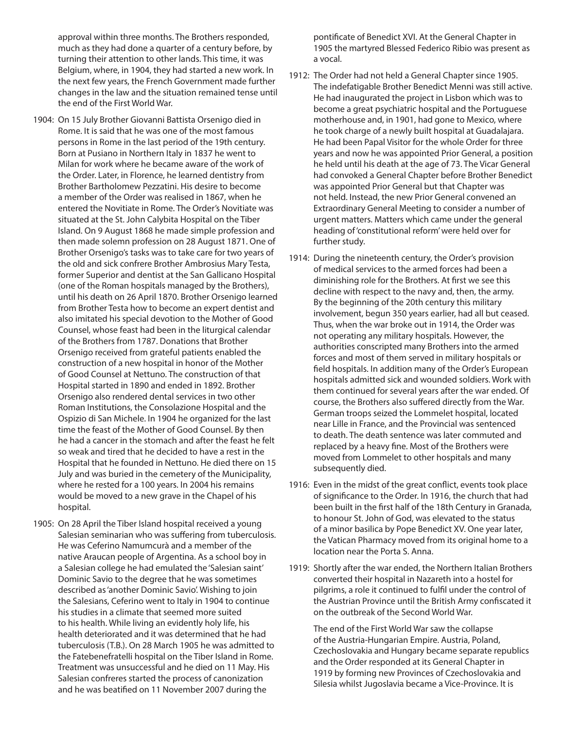approval within three months. The Brothers responded, much as they had done a quarter of a century before, by turning their attention to other lands. This time, it was Belgium, where, in 1904, they had started a new work. In the next few years, the French Government made further changes in the law and the situation remained tense until the end of the First World War.

- 1904: On 15 July Brother Giovanni Battista Orsenigo died in Rome. It is said that he was one of the most famous persons in Rome in the last period of the 19th century. Born at Pusiano in Northern Italy in 1837 he went to Milan for work where he became aware of the work of the Order. Later, in Florence, he learned dentistry from Brother Bartholomew Pezzatini. His desire to become a member of the Order was realised in 1867, when he entered the Novitiate in Rome. The Order's Novitiate was situated at the St. John Calybita Hospital on the Tiber Island. On 9 August 1868 he made simple profession and then made solemn profession on 28 August 1871. One of Brother Orsenigo's tasks was to take care for two years of the old and sick confrere Brother Ambrosius Mary Testa, former Superior and dentist at the San Gallicano Hospital (one of the Roman hospitals managed by the Brothers), until his death on 26 April 1870. Brother Orsenigo learned from Brother Testa how to become an expert dentist and also imitated his special devotion to the Mother of Good Counsel, whose feast had been in the liturgical calendar of the Brothers from 1787. Donations that Brother Orsenigo received from grateful patients enabled the construction of a new hospital in honor of the Mother of Good Counsel at Nettuno. The construction of that Hospital started in 1890 and ended in 1892. Brother Orsenigo also rendered dental services in two other Roman Institutions, the Consolazione Hospital and the Ospizio di San Michele. In 1904 he organized for the last time the feast of the Mother of Good Counsel. By then he had a cancer in the stomach and after the feast he felt so weak and tired that he decided to have a rest in the Hospital that he founded in Nettuno. He died there on 15 July and was buried in the cemetery of the Municipality, where he rested for a 100 years. In 2004 his remains would be moved to a new grave in the Chapel of his hospital.
- 1905: On 28 April the Tiber Island hospital received a young Salesian seminarian who was suffering from tuberculosis. He was Ceferino Namumcurà and a member of the native Araucan people of Argentina. As a school boy in a Salesian college he had emulated the 'Salesian saint' Dominic Savio to the degree that he was sometimes described as 'another Dominic Savio'. Wishing to join the Salesians, Ceferino went to Italy in 1904 to continue his studies in a climate that seemed more suited to his health. While living an evidently holy life, his health deteriorated and it was determined that he had tuberculosis (T.B.). On 28 March 1905 he was admitted to the Fatebenefratelli hospital on the Tiber Island in Rome. Treatment was unsuccessful and he died on 11 May. His Salesian confreres started the process of canonization and he was beatified on 11 November 2007 during the

pontificate of Benedict XVI. At the General Chapter in 1905 the martyred Blessed Federico Ribio was present as a vocal.

- 1912: The Order had not held a General Chapter since 1905. The indefatigable Brother Benedict Menni was still active. He had inaugurated the project in Lisbon which was to become a great psychiatric hospital and the Portuguese motherhouse and, in 1901, had gone to Mexico, where he took charge of a newly built hospital at Guadalajara. He had been Papal Visitor for the whole Order for three years and now he was appointed Prior General, a position he held until his death at the age of 73. The Vicar General had convoked a General Chapter before Brother Benedict was appointed Prior General but that Chapter was not held. Instead, the new Prior General convened an Extraordinary General Meeting to consider a number of urgent matters. Matters which came under the general heading of 'constitutional reform' were held over for further study.
- 1914: During the nineteenth century, the Order's provision of medical services to the armed forces had been a diminishing role for the Brothers. At first we see this decline with respect to the navy and, then, the army. By the beginning of the 20th century this military involvement, begun 350 years earlier, had all but ceased. Thus, when the war broke out in 1914, the Order was not operating any military hospitals. However, the authorities conscripted many Brothers into the armed forces and most of them served in military hospitals or field hospitals. In addition many of the Order's European hospitals admitted sick and wounded soldiers. Work with them continued for several years after the war ended. Of course, the Brothers also suffered directly from the War. German troops seized the Lommelet hospital, located near Lille in France, and the Provincial was sentenced to death. The death sentence was later commuted and replaced by a heavy fine. Most of the Brothers were moved from Lommelet to other hospitals and many subsequently died.
- 1916: Even in the midst of the great conflict, events took place of significance to the Order. In 1916, the church that had been built in the first half of the 18th Century in Granada, to honour St. John of God, was elevated to the status of a minor basilica by Pope Benedict XV. One year later, the Vatican Pharmacy moved from its original home to a location near the Porta S. Anna.
- 1919: Shortly after the war ended, the Northern Italian Brothers converted their hospital in Nazareth into a hostel for pilgrims, a role it continued to fulfil under the control of the Austrian Province until the British Army confiscated it on the outbreak of the Second World War.

 The end of the First World War saw the collapse of the Austria-Hungarian Empire. Austria, Poland, Czechoslovakia and Hungary became separate republics and the Order responded at its General Chapter in 1919 by forming new Provinces of Czechoslovakia and Silesia whilst Jugoslavia became a Vice-Province. It is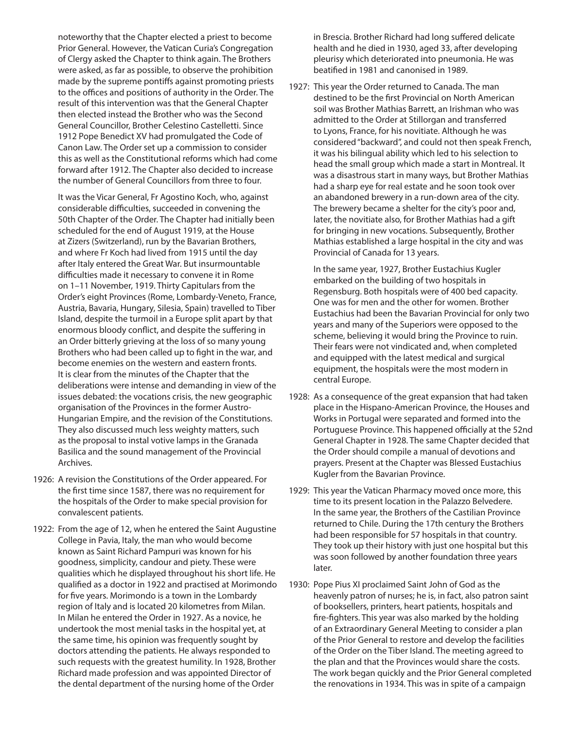noteworthy that the Chapter elected a priest to become Prior General. However, the Vatican Curia's Congregation of Clergy asked the Chapter to think again. The Brothers were asked, as far as possible, to observe the prohibition made by the supreme pontiffs against promoting priests to the offices and positions of authority in the Order. The result of this intervention was that the General Chapter then elected instead the Brother who was the Second General Councillor, Brother Celestino Castelletti. Since 1912 Pope Benedict XV had promulgated the Code of Canon Law. The Order set up a commission to consider this as well as the Constitutional reforms which had come forward after 1912. The Chapter also decided to increase the number of General Councillors from three to four.

 It was the Vicar General, Fr Agostino Koch, who, against considerable difficulties, succeeded in convening the 50th Chapter of the Order. The Chapter had initially been scheduled for the end of August 1919, at the House at Zizers (Switzerland), run by the Bavarian Brothers, and where Fr Koch had lived from 1915 until the day after Italy entered the Great War. But insurmountable difficulties made it necessary to convene it in Rome on 1–11 November, 1919. Thirty Capitulars from the Order's eight Provinces (Rome, Lombardy-Veneto, France, Austria, Bavaria, Hungary, Silesia, Spain) travelled to Tiber Island, despite the turmoil in a Europe split apart by that enormous bloody conflict, and despite the suffering in an Order bitterly grieving at the loss of so many young Brothers who had been called up to fight in the war, and become enemies on the western and eastern fronts. It is clear from the minutes of the Chapter that the deliberations were intense and demanding in view of the issues debated: the vocations crisis, the new geographic organisation of the Provinces in the former Austro-Hungarian Empire, and the revision of the Constitutions. They also discussed much less weighty matters, such as the proposal to instal votive lamps in the Granada Basilica and the sound management of the Provincial Archives.

- 1926: A revision the Constitutions of the Order appeared. For the first time since 1587, there was no requirement for the hospitals of the Order to make special provision for convalescent patients.
- 1922: From the age of 12, when he entered the Saint Augustine College in Pavia, Italy, the man who would become known as Saint Richard Pampuri was known for his goodness, simplicity, candour and piety. These were qualities which he displayed throughout his short life. He qualified as a doctor in 1922 and practised at Morimondo for five years. Morimondo is a town in the Lombardy region of Italy and is located 20 kilometres from Milan. In Milan he entered the Order in 1927. As a novice, he undertook the most menial tasks in the hospital yet, at the same time, his opinion was frequently sought by doctors attending the patients. He always responded to such requests with the greatest humility. In 1928, Brother Richard made profession and was appointed Director of the dental department of the nursing home of the Order

in Brescia. Brother Richard had long suffered delicate health and he died in 1930, aged 33, after developing pleurisy which deteriorated into pneumonia. He was beatified in 1981 and canonised in 1989.

1927: This year the Order returned to Canada. The man destined to be the first Provincial on North American soil was Brother Mathias Barrett, an Irishman who was admitted to the Order at Stillorgan and transferred to Lyons, France, for his novitiate. Although he was considered "backward", and could not then speak French, it was his bilingual ability which led to his selection to head the small group which made a start in Montreal. It was a disastrous start in many ways, but Brother Mathias had a sharp eye for real estate and he soon took over an abandoned brewery in a run-down area of the city. The brewery became a shelter for the city's poor and, later, the novitiate also, for Brother Mathias had a gift for bringing in new vocations. Subsequently, Brother Mathias established a large hospital in the city and was Provincial of Canada for 13 years.

 In the same year, 1927, Brother Eustachius Kugler embarked on the building of two hospitals in Regensburg. Both hospitals were of 400 bed capacity. One was for men and the other for women. Brother Eustachius had been the Bavarian Provincial for only two years and many of the Superiors were opposed to the scheme, believing it would bring the Province to ruin. Their fears were not vindicated and, when completed and equipped with the latest medical and surgical equipment, the hospitals were the most modern in central Europe.

- 1928: As a consequence of the great expansion that had taken place in the Hispano-American Province, the Houses and Works in Portugal were separated and formed into the Portuguese Province. This happened officially at the 52nd General Chapter in 1928. The same Chapter decided that the Order should compile a manual of devotions and prayers. Present at the Chapter was Blessed Eustachius Kugler from the Bavarian Province.
- 1929: This year the Vatican Pharmacy moved once more, this time to its present location in the Palazzo Belvedere. In the same year, the Brothers of the Castilian Province returned to Chile. During the 17th century the Brothers had been responsible for 57 hospitals in that country. They took up their history with just one hospital but this was soon followed by another foundation three years later.
- 1930: Pope Pius XI proclaimed Saint John of God as the heavenly patron of nurses; he is, in fact, also patron saint of booksellers, printers, heart patients, hospitals and fire-fighters. This year was also marked by the holding of an Extraordinary General Meeting to consider a plan of the Prior General to restore and develop the facilities of the Order on the Tiber Island. The meeting agreed to the plan and that the Provinces would share the costs. The work began quickly and the Prior General completed the renovations in 1934. This was in spite of a campaign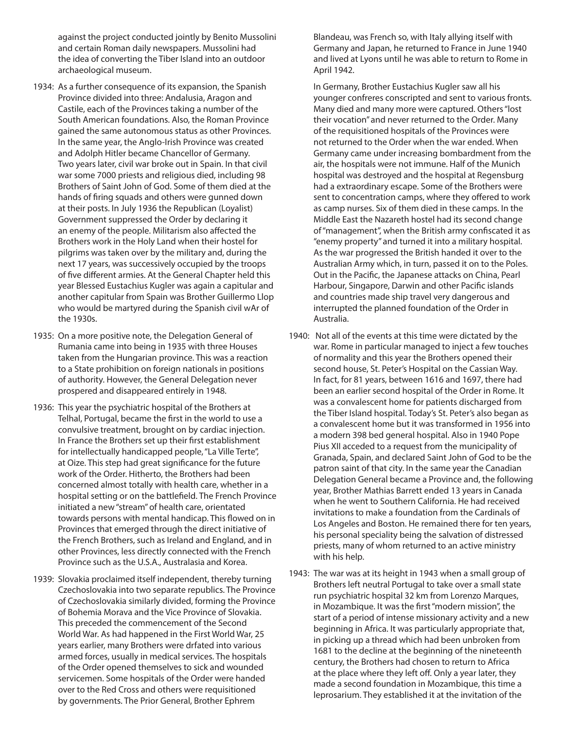against the project conducted jointly by Benito Mussolini and certain Roman daily newspapers. Mussolini had the idea of converting the Tiber Island into an outdoor archaeological museum.

- 1934: As a further consequence of its expansion, the Spanish Province divided into three: Andalusia, Aragon and Castile, each of the Provinces taking a number of the South American foundations. Also, the Roman Province gained the same autonomous status as other Provinces. In the same year, the Anglo-Irish Province was created and Adolph Hitler became Chancellor of Germany. Two years later, civil war broke out in Spain. In that civil war some 7000 priests and religious died, including 98 Brothers of Saint John of God. Some of them died at the hands of firing squads and others were gunned down at their posts. In July 1936 the Republican (Loyalist) Government suppressed the Order by declaring it an enemy of the people. Militarism also affected the Brothers work in the Holy Land when their hostel for pilgrims was taken over by the military and, during the next 17 years, was successively occupied by the troops of five different armies. At the General Chapter held this year Blessed Eustachius Kugler was again a capitular and another capitular from Spain was Brother Guillermo Llop who would be martyred during the Spanish civil wAr of the 1930s.
- 1935: On a more positive note, the Delegation General of Rumania came into being in 1935 with three Houses taken from the Hungarian province. This was a reaction to a State prohibition on foreign nationals in positions of authority. However, the General Delegation never prospered and disappeared entirely in 1948.
- 1936: This year the psychiatric hospital of the Brothers at Telhal, Portugal, became the first in the world to use a convulsive treatment, brought on by cardiac injection. In France the Brothers set up their first establishment for intellectually handicapped people, "La Ville Terte", at Oize. This step had great significance for the future work of the Order. Hitherto, the Brothers had been concerned almost totally with health care, whether in a hospital setting or on the battlefield. The French Province initiated a new "stream" of health care, orientated towards persons with mental handicap. This flowed on in Provinces that emerged through the direct initiative of the French Brothers, such as Ireland and England, and in other Provinces, less directly connected with the French Province such as the U.S.A., Australasia and Korea.
- 1939: Slovakia proclaimed itself independent, thereby turning Czechoslovakia into two separate republics. The Province of Czechoslovakia similarly divided, forming the Province of Bohemia Morava and the Vice Province of Slovakia. This preceded the commencement of the Second World War. As had happened in the First World War, 25 years earlier, many Brothers were drfated into various armed forces, usually in medical services. The hospitals of the Order opened themselves to sick and wounded servicemen. Some hospitals of the Order were handed over to the Red Cross and others were requisitioned by governments. The Prior General, Brother Ephrem

Blandeau, was French so, with Italy allying itself with Germany and Japan, he returned to France in June 1940 and lived at Lyons until he was able to return to Rome in April 1942.

 In Germany, Brother Eustachius Kugler saw all his younger confreres conscripted and sent to various fronts. Many died and many more were captured. Others "lost their vocation" and never returned to the Order. Many of the requisitioned hospitals of the Provinces were not returned to the Order when the war ended. When Germany came under increasing bombardment from the air, the hospitals were not immune. Half of the Munich hospital was destroyed and the hospital at Regensburg had a extraordinary escape. Some of the Brothers were sent to concentration camps, where they offered to work as camp nurses. Six of them died in these camps. In the Middle East the Nazareth hostel had its second change of "management", when the British army confiscated it as "enemy property" and turned it into a military hospital. As the war progressed the British handed it over to the Australian Army which, in turn, passed it on to the Poles. Out in the Pacific, the Japanese attacks on China, Pearl Harbour, Singapore, Darwin and other Pacific islands and countries made ship travel very dangerous and interrupted the planned foundation of the Order in Australia.

- 1940: Not all of the events at this time were dictated by the war. Rome in particular managed to inject a few touches of normality and this year the Brothers opened their second house, St. Peter's Hospital on the Cassian Way. In fact, for 81 years, between 1616 and 1697, there had been an earlier second hospital of the Order in Rome. It was a convalescent home for patients discharged from the Tiber Island hospital. Today's St. Peter's also began as a convalescent home but it was transformed in 1956 into a modern 398 bed general hospital. Also in 1940 Pope Pius XII acceded to a request from the municipality of Granada, Spain, and declared Saint John of God to be the patron saint of that city. In the same year the Canadian Delegation General became a Province and, the following year, Brother Mathias Barrett ended 13 years in Canada when he went to Southern California. He had received invitations to make a foundation from the Cardinals of Los Angeles and Boston. He remained there for ten years, his personal speciality being the salvation of distressed priests, many of whom returned to an active ministry with his help.
- 1943: The war was at its height in 1943 when a small group of Brothers left neutral Portugal to take over a small state run psychiatric hospital 32 km from Lorenzo Marques, in Mozambique. It was the first "modern mission", the start of a period of intense missionary activity and a new beginning in Africa. It was particularly appropriate that, in picking up a thread which had been unbroken from 1681 to the decline at the beginning of the nineteenth century, the Brothers had chosen to return to Africa at the place where they left off. Only a year later, they made a second foundation in Mozambique, this time a leprosarium. They established it at the invitation of the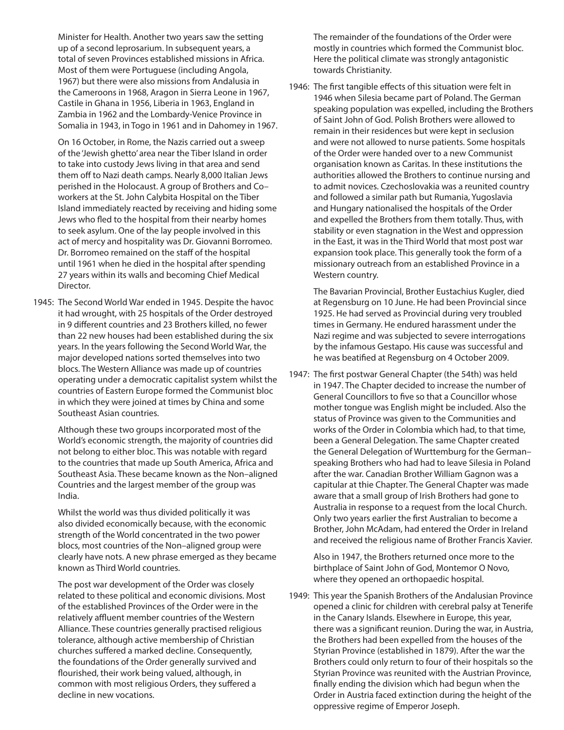Minister for Health. Another two years saw the setting up of a second leprosarium. In subsequent years, a total of seven Provinces established missions in Africa. Most of them were Portuguese (including Angola, 1967) but there were also missions from Andalusia in the Cameroons in 1968, Aragon in Sierra Leone in 1967, Castile in Ghana in 1956, Liberia in 1963, England in Zambia in 1962 and the Lombardy-Venice Province in Somalia in 1943, in Togo in 1961 and in Dahomey in 1967.

 On 16 October, in Rome, the Nazis carried out a sweep of the 'Jewish ghetto' area near the Tiber Island in order to take into custody Jews living in that area and send them off to Nazi death camps. Nearly 8,000 Italian Jews perished in the Holocaust. A group of Brothers and Co– workers at the St. John Calybita Hospital on the Tiber Island immediately reacted by receiving and hiding some Jews who fled to the hospital from their nearby homes to seek asylum. One of the lay people involved in this act of mercy and hospitality was Dr. Giovanni Borromeo. Dr. Borromeo remained on the staff of the hospital until 1961 when he died in the hospital after spending 27 years within its walls and becoming Chief Medical Director.

1945: The Second World War ended in 1945. Despite the havoc it had wrought, with 25 hospitals of the Order destroyed in 9 different countries and 23 Brothers killed, no fewer than 22 new houses had been established during the six years. In the years following the Second World War, the major developed nations sorted themselves into two blocs. The Western Alliance was made up of countries operating under a democratic capitalist system whilst the countries of Eastern Europe formed the Communist bloc in which they were joined at times by China and some Southeast Asian countries.

 Although these two groups incorporated most of the World's economic strength, the majority of countries did not belong to either bloc. This was notable with regard to the countries that made up South America, Africa and Southeast Asia. These became known as the Non–aligned Countries and the largest member of the group was India.

 Whilst the world was thus divided politically it was also divided economically because, with the economic strength of the World concentrated in the two power blocs, most countries of the Non–aligned group were clearly have nots. A new phrase emerged as they became known as Third World countries.

 The post war development of the Order was closely related to these political and economic divisions. Most of the established Provinces of the Order were in the relatively affluent member countries of the Western Alliance. These countries generally practised religious tolerance, although active membership of Christian churches suffered a marked decline. Consequently, the foundations of the Order generally survived and flourished, their work being valued, although, in common with most religious Orders, they suffered a decline in new vocations.

 The remainder of the foundations of the Order were mostly in countries which formed the Communist bloc. Here the political climate was strongly antagonistic towards Christianity.

1946: The first tangible effects of this situation were felt in 1946 when Silesia became part of Poland. The German speaking population was expelled, including the Brothers of Saint John of God. Polish Brothers were allowed to remain in their residences but were kept in seclusion and were not allowed to nurse patients. Some hospitals of the Order were handed over to a new Communist organisation known as Caritas. In these institutions the authorities allowed the Brothers to continue nursing and to admit novices. Czechoslovakia was a reunited country and followed a similar path but Rumania, Yugoslavia and Hungary nationalised the hospitals of the Order and expelled the Brothers from them totally. Thus, with stability or even stagnation in the West and oppression in the East, it was in the Third World that most post war expansion took place. This generally took the form of a missionary outreach from an established Province in a Western country.

 The Bavarian Provincial, Brother Eustachius Kugler, died at Regensburg on 10 June. He had been Provincial since 1925. He had served as Provincial during very troubled times in Germany. He endured harassment under the Nazi regime and was subjected to severe interrogations by the infamous Gestapo. His cause was successful and he was beatified at Regensburg on 4 October 2009.

1947: The first postwar General Chapter (the 54th) was held in 1947. The Chapter decided to increase the number of General Councillors to five so that a Councillor whose mother tongue was English might be included. Also the status of Province was given to the Communities and works of the Order in Colombia which had, to that time, been a General Delegation. The same Chapter created the General Delegation of Wurttemburg for the German– speaking Brothers who had had to leave Silesia in Poland after the war. Canadian Brother William Gagnon was a capitular at thie Chapter. The General Chapter was made aware that a small group of Irish Brothers had gone to Australia in response to a request from the local Church. Only two years earlier the first Australian to become a Brother, John McAdam, had entered the Order in Ireland and received the religious name of Brother Francis Xavier.

 Also in 1947, the Brothers returned once more to the birthplace of Saint John of God, Montemor O Novo, where they opened an orthopaedic hospital.

1949: This year the Spanish Brothers of the Andalusian Province opened a clinic for children with cerebral palsy at Tenerife in the Canary Islands. Elsewhere in Europe, this year, there was a significant reunion. During the war, in Austria, the Brothers had been expelled from the houses of the Styrian Province (established in 1879). After the war the Brothers could only return to four of their hospitals so the Styrian Province was reunited with the Austrian Province, finally ending the division which had begun when the Order in Austria faced extinction during the height of the oppressive regime of Emperor Joseph.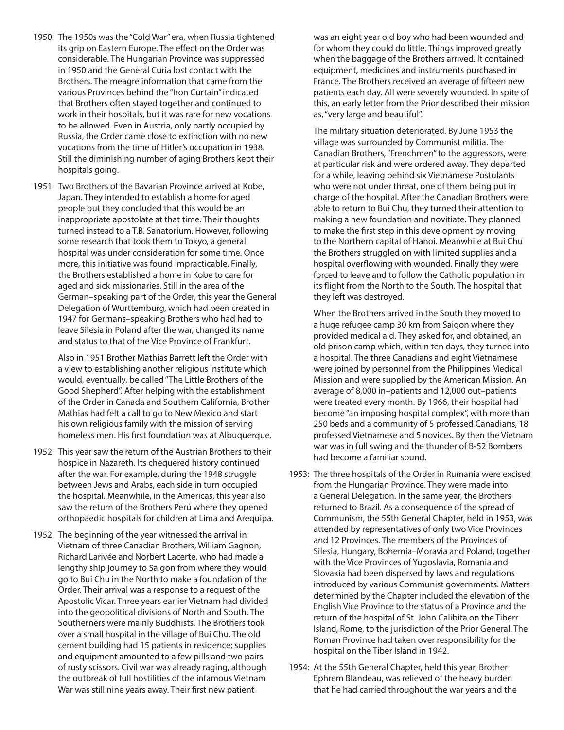- 1950: The 1950s was the "Cold War" era, when Russia tightened its grip on Eastern Europe. The effect on the Order was considerable. The Hungarian Province was suppressed in 1950 and the General Curia lost contact with the Brothers. The meagre information that came from the various Provinces behind the "Iron Curtain" indicated that Brothers often stayed together and continued to work in their hospitals, but it was rare for new vocations to be allowed. Even in Austria, only partly occupied by Russia, the Order came close to extinction with no new vocations from the time of Hitler's occupation in 1938. Still the diminishing number of aging Brothers kept their hospitals going.
- 1951: Two Brothers of the Bavarian Province arrived at Kobe, Japan. They intended to establish a home for aged people but they concluded that this would be an inappropriate apostolate at that time. Their thoughts turned instead to a T.B. Sanatorium. However, following some research that took them to Tokyo, a general hospital was under consideration for some time. Once more, this initiative was found impracticable. Finally, the Brothers established a home in Kobe to care for aged and sick missionaries. Still in the area of the German–speaking part of the Order, this year the General Delegation of Wurttemburg, which had been created in 1947 for Germans–speaking Brothers who had had to leave Silesia in Poland after the war, changed its name and status to that of the Vice Province of Frankfurt.

 Also in 1951 Brother Mathias Barrett left the Order with a view to establishing another religious institute which would, eventually, be called "The Little Brothers of the Good Shepherd". After helping with the establishment of the Order in Canada and Southern California, Brother Mathias had felt a call to go to New Mexico and start his own religious family with the mission of serving homeless men. His first foundation was at Albuquerque.

- 1952: This year saw the return of the Austrian Brothers to their hospice in Nazareth. Its chequered history continued after the war. For example, during the 1948 struggle between Jews and Arabs, each side in turn occupied the hospital. Meanwhile, in the Americas, this year also saw the return of the Brothers Perú where they opened orthopaedic hospitals for children at Lima and Arequipa.
- 1952: The beginning of the year witnessed the arrival in Vietnam of three Canadian Brothers, William Gagnon, Richard Larivée and Norbert Lacerte, who had made a lengthy ship journey to Saigon from where they would go to Bui Chu in the North to make a foundation of the Order. Their arrival was a response to a request of the Apostolic Vicar. Three years earlier Vietnam had divided into the geopolitical divisions of North and South. The Southerners were mainly Buddhists. The Brothers took over a small hospital in the village of Bui Chu. The old cement building had 15 patients in residence; supplies and equipment amounted to a few pills and two pairs of rusty scissors. Civil war was already raging, although the outbreak of full hostilities of the infamous Vietnam War was still nine years away. Their first new patient

was an eight year old boy who had been wounded and for whom they could do little. Things improved greatly when the baggage of the Brothers arrived. It contained equipment, medicines and instruments purchased in France. The Brothers received an average of fifteen new patients each day. All were severely wounded. In spite of this, an early letter from the Prior described their mission as, "very large and beautiful".

 The military situation deteriorated. By June 1953 the village was surrounded by Communist militia. The Canadian Brothers, "Frenchmen" to the aggressors, were at particular risk and were ordered away. They departed for a while, leaving behind six Vietnamese Postulants who were not under threat, one of them being put in charge of the hospital. After the Canadian Brothers were able to return to Bui Chu, they turned their attention to making a new foundation and novitiate. They planned to make the first step in this development by moving to the Northern capital of Hanoi. Meanwhile at Bui Chu the Brothers struggled on with limited supplies and a hospital overflowing with wounded. Finally they were forced to leave and to follow the Catholic population in its flight from the North to the South. The hospital that they left was destroyed.

 When the Brothers arrived in the South they moved to a huge refugee camp 30 km from Saigon where they provided medical aid. They asked for, and obtained, an old prison camp which, within ten days, they turned into a hospital. The three Canadians and eight Vietnamese were joined by personnel from the Philippines Medical Mission and were supplied by the American Mission. An average of 8,000 in–patients and 12,000 out–patients were treated every month. By 1966, their hospital had become "an imposing hospital complex", with more than 250 beds and a community of 5 professed Canadians, 18 professed Vietnamese and 5 novices. By then the Vietnam war was in full swing and the thunder of B-52 Bombers had become a familiar sound.

- 1953: The three hospitals of the Order in Rumania were excised from the Hungarian Province. They were made into a General Delegation. In the same year, the Brothers returned to Brazil. As a consequence of the spread of Communism, the 55th General Chapter, held in 1953, was attended by representatives of only two Vice Provinces and 12 Provinces. The members of the Provinces of Silesia, Hungary, Bohemia–Moravia and Poland, together with the Vice Provinces of Yugoslavia, Romania and Slovakia had been dispersed by laws and regulations introduced by various Communist governments. Matters determined by the Chapter included the elevation of the English Vice Province to the status of a Province and the return of the hospital of St. John Calibita on the Tiberr Island, Rome, to the jurisdiction of the Prior General. The Roman Province had taken over responsibility for the hospital on the Tiber Island in 1942.
- 1954: At the 55th General Chapter, held this year, Brother Ephrem Blandeau, was relieved of the heavy burden that he had carried throughout the war years and the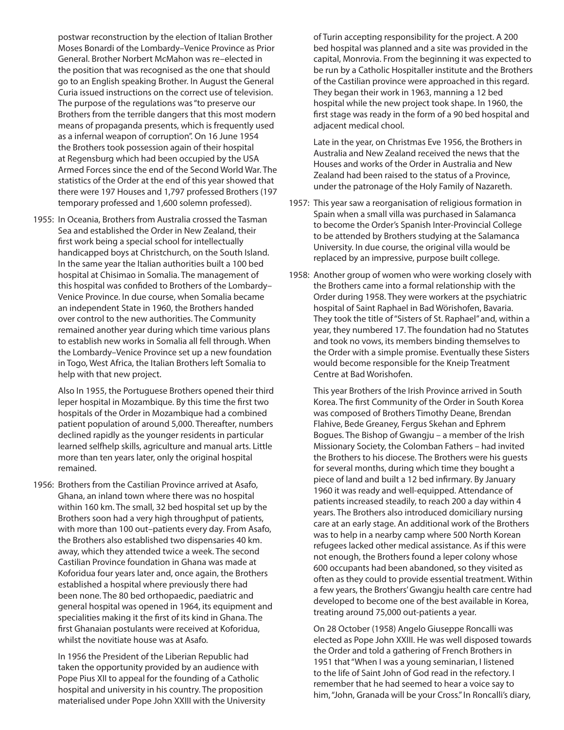postwar reconstruction by the election of Italian Brother Moses Bonardi of the Lombardy–Venice Province as Prior General. Brother Norbert McMahon was re–elected in the position that was recognised as the one that should go to an English speaking Brother. In August the General Curia issued instructions on the correct use of television. The purpose of the regulations was "to preserve our Brothers from the terrible dangers that this most modern means of propaganda presents, which is frequently used as a infernal weapon of corruption". On 16 June 1954 the Brothers took possession again of their hospital at Regensburg which had been occupied by the USA Armed Forces since the end of the Second World War. The statistics of the Order at the end of this year showed that there were 197 Houses and 1,797 professed Brothers (197 temporary professed and 1,600 solemn professed).

1955: In Oceania, Brothers from Australia crossed the Tasman Sea and established the Order in New Zealand, their first work being a special school for intellectually handicapped boys at Christchurch, on the South Island. In the same year the Italian authorities built a 100 bed hospital at Chisimao in Somalia. The management of this hospital was confided to Brothers of the Lombardy– Venice Province. In due course, when Somalia became an independent State in 1960, the Brothers handed over control to the new authorities. The Community remained another year during which time various plans to establish new works in Somalia all fell through. When the Lombardy–Venice Province set up a new foundation in Togo, West Africa, the Italian Brothers left Somalia to help with that new project.

 Also In 1955, the Portuguese Brothers opened their third leper hospital in Mozambique. By this time the first two hospitals of the Order in Mozambique had a combined patient population of around 5,000. Thereafter, numbers declined rapidly as the younger residents in particular learned selfhelp skills, agriculture and manual arts. Little more than ten years later, only the original hospital remained.

1956: Brothers from the Castilian Province arrived at Asafo, Ghana, an inland town where there was no hospital within 160 km. The small, 32 bed hospital set up by the Brothers soon had a very high throughput of patients, with more than 100 out–patients every day. From Asafo, the Brothers also established two dispensaries 40 km. away, which they attended twice a week. The second Castilian Province foundation in Ghana was made at Koforidua four years later and, once again, the Brothers established a hospital where previously there had been none. The 80 bed orthopaedic, paediatric and general hospital was opened in 1964, its equipment and specialities making it the first of its kind in Ghana. The first Ghanaian postulants were received at Koforidua, whilst the novitiate house was at Asafo.

 In 1956 the President of the Liberian Republic had taken the opportunity provided by an audience with Pope Pius XII to appeal for the founding of a Catholic hospital and university in his country. The proposition materialised under Pope John XXIII with the University

of Turin accepting responsibility for the project. A 200 bed hospital was planned and a site was provided in the capital, Monrovia. From the beginning it was expected to be run by a Catholic Hospitaller institute and the Brothers of the Castilian province were approached in this regard. They began their work in 1963, manning a 12 bed hospital while the new project took shape. In 1960, the first stage was ready in the form of a 90 bed hospital and adjacent medical chool.

 Late in the year, on Christmas Eve 1956, the Brothers in Australia and New Zealand received the news that the Houses and works of the Order in Australia and New Zealand had been raised to the status of a Province, under the patronage of the Holy Family of Nazareth.

- 1957: This year saw a reorganisation of religious formation in Spain when a small villa was purchased in Salamanca to become the Order's Spanish Inter-Provincial College to be attended by Brothers studying at the Salamanca University. In due course, the original villa would be replaced by an impressive, purpose built college.
- 1958: Another group of women who were working closely with the Brothers came into a formal relationship with the Order during 1958. They were workers at the psychiatric hospital of Saint Raphael in Bad Wörishofen, Bavaria. They took the title of "Sisters of St. Raphael" and, within a year, they numbered 17. The foundation had no Statutes and took no vows, its members binding themselves to the Order with a simple promise. Eventually these Sisters would become responsible for the Kneip Treatment Centre at Bad Worishofen.

 This year Brothers of the Irish Province arrived in South Korea. The first Community of the Order in South Korea was composed of Brothers Timothy Deane, Brendan Flahive, Bede Greaney, Fergus Skehan and Ephrem Bogues. The Bishop of Gwangju – a member of the Irish Missionary Society, the Colomban Fathers – had invited the Brothers to his diocese. The Brothers were his guests for several months, during which time they bought a piece of land and built a 12 bed infirmary. By January 1960 it was ready and well-equipped. Attendance of patients increased steadily, to reach 200 a day within 4 years. The Brothers also introduced domiciliary nursing care at an early stage. An additional work of the Brothers was to help in a nearby camp where 500 North Korean refugees lacked other medical assistance. As if this were not enough, the Brothers found a leper colony whose 600 occupants had been abandoned, so they visited as often as they could to provide essential treatment. Within a few years, the Brothers' Gwangju health care centre had developed to become one of the best available in Korea, treating around 75,000 out-patients a year.

 On 28 October (1958) Angelo Giuseppe Roncalli was elected as Pope John XXIII. He was well disposed towards the Order and told a gathering of French Brothers in 1951 that "When I was a young seminarian, I listened to the life of Saint John of God read in the refectory. I remember that he had seemed to hear a voice say to him, "John, Granada will be your Cross." In Roncalli's diary,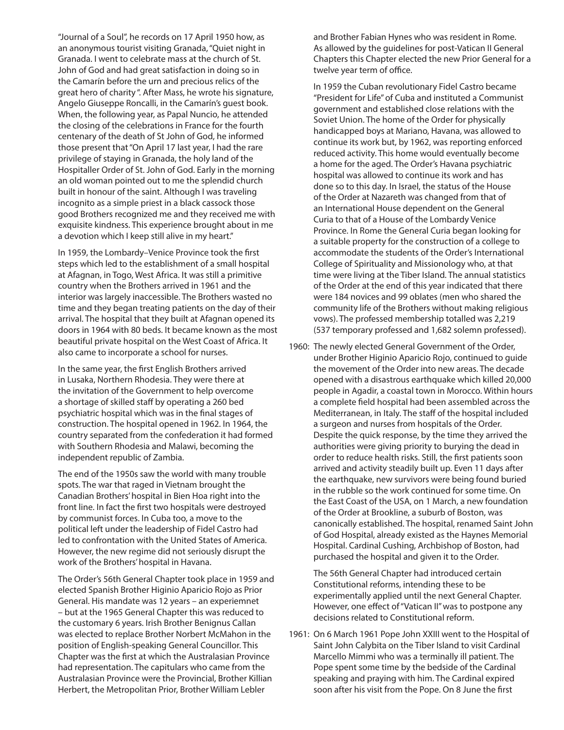"Journal of a Soul", he records on 17 April 1950 how, as an anonymous tourist visiting Granada, "Quiet night in Granada. I went to celebrate mass at the church of St. John of God and had great satisfaction in doing so in the Camarín before the urn and precious relics of the great hero of charity ". After Mass, he wrote his signature, Angelo Giuseppe Roncalli, in the Camarín's guest book. When, the following year, as Papal Nuncio, he attended the closing of the celebrations in France for the fourth centenary of the death of St John of God, he informed those present that "On April 17 last year, I had the rare privilege of staying in Granada, the holy land of the Hospitaller Order of St. John of God. Early in the morning an old woman pointed out to me the splendid church built in honour of the saint. Although I was traveling incognito as a simple priest in a black cassock those good Brothers recognized me and they received me with exquisite kindness. This experience brought about in me a devotion which I keep still alive in my heart."

 In 1959, the Lombardy–Venice Province took the first steps which led to the establishment of a small hospital at Afagnan, in Togo, West Africa. It was still a primitive country when the Brothers arrived in 1961 and the interior was largely inaccessible. The Brothers wasted no time and they began treating patients on the day of their arrival. The hospital that they built at Afagnan opened its doors in 1964 with 80 beds. It became known as the most beautiful private hospital on the West Coast of Africa. It also came to incorporate a school for nurses.

 In the same year, the first English Brothers arrived in Lusaka, Northern Rhodesia. They were there at the invitation of the Government to help overcome a shortage of skilled staff by operating a 260 bed psychiatric hospital which was in the final stages of construction. The hospital opened in 1962. In 1964, the country separated from the confederation it had formed with Southern Rhodesia and Malawi, becoming the independent republic of Zambia.

 The end of the 1950s saw the world with many trouble spots. The war that raged in Vietnam brought the Canadian Brothers' hospital in Bien Hoa right into the front line. In fact the first two hospitals were destroyed by communist forces. In Cuba too, a move to the political left under the leadership of Fidel Castro had led to confrontation with the United States of America. However, the new regime did not seriously disrupt the work of the Brothers' hospital in Havana.

 The Order's 56th General Chapter took place in 1959 and elected Spanish Brother Higinio Aparicio Rojo as Prior General. His mandate was 12 years – an experiemnet – but at the 1965 General Chapter this was reduced to the customary 6 years. Irish Brother Benignus Callan was elected to replace Brother Norbert McMahon in the position of English-speaking General Councillor. This Chapter was the first at which the Australasian Province had representation. The capitulars who came from the Australasian Province were the Provincial, Brother Killian Herbert, the Metropolitan Prior, Brother William Lebler

and Brother Fabian Hynes who was resident in Rome. As allowed by the guidelines for post-Vatican II General Chapters this Chapter elected the new Prior General for a twelve year term of office.

 In 1959 the Cuban revolutionary Fidel Castro became "President for Life" of Cuba and instituted a Communist government and established close relations with the Soviet Union. The home of the Order for physically handicapped boys at Mariano, Havana, was allowed to continue its work but, by 1962, was reporting enforced reduced activity. This home would eventually become a home for the aged. The Order's Havana psychiatric hospital was allowed to continue its work and has done so to this day. In Israel, the status of the House of the Order at Nazareth was changed from that of an International House dependent on the General Curia to that of a House of the Lombardy Venice Province. In Rome the General Curia began looking for a suitable property for the construction of a college to accommodate the students of the Order's International College of Spirituality and Missionology who, at that time were living at the Tiber Island. The annual statistics of the Order at the end of this year indicated that there were 184 novices and 99 oblates (men who shared the community life of the Brothers without making religious vows). The professed membership totalled was 2,219 (537 temporary professed and 1,682 solemn professed).

1960: The newly elected General Government of the Order, under Brother Higinio Aparicio Rojo, continued to guide the movement of the Order into new areas. The decade opened with a disastrous earthquake which killed 20,000 people in Agadir, a coastal town in Morocco. Within hours a complete field hospital had been assembled across the Mediterranean, in Italy. The staff of the hospital included a surgeon and nurses from hospitals of the Order. Despite the quick response, by the time they arrived the authorities were giving priority to burying the dead in order to reduce health risks. Still, the first patients soon arrived and activity steadily built up. Even 11 days after the earthquake, new survivors were being found buried in the rubble so the work continued for some time. On the East Coast of the USA, on 1 March, a new foundation of the Order at Brookline, a suburb of Boston, was canonically established. The hospital, renamed Saint John of God Hospital, already existed as the Haynes Memorial Hospital. Cardinal Cushing, Archbishop of Boston, had purchased the hospital and given it to the Order.

 The 56th General Chapter had introduced certain Constitutional reforms, intending these to be experimentally applied until the next General Chapter. However, one effect of "Vatican II" was to postpone any decisions related to Constitutional reform.

1961: On 6 March 1961 Pope John XXIII went to the Hospital of Saint John Calybita on the Tiber Island to visit Cardinal Marcello Mimmi who was a terminally ill patient. The Pope spent some time by the bedside of the Cardinal speaking and praying with him. The Cardinal expired soon after his visit from the Pope. On 8 June the first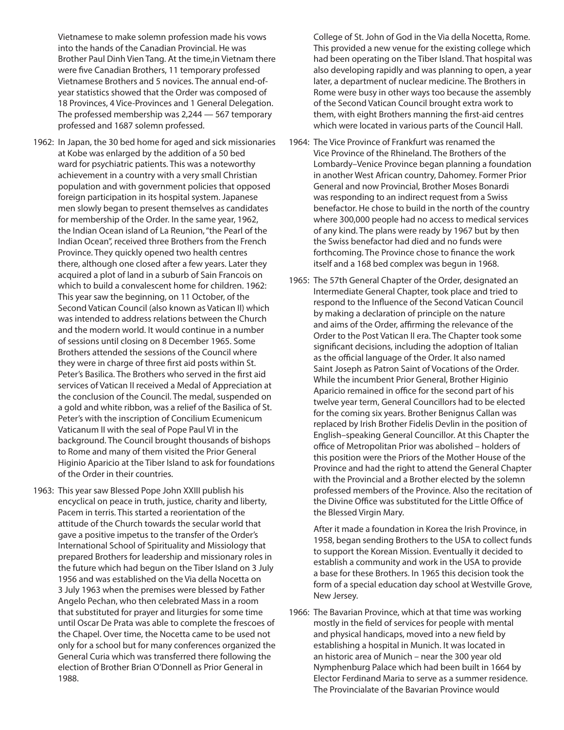Vietnamese to make solemn profession made his vows into the hands of the Canadian Provincial. He was Brother Paul Dinh Vien Tang. At the time,in Vietnam there were five Canadian Brothers, 11 temporary professed Vietnamese Brothers and 5 novices. The annual end-ofyear statistics showed that the Order was composed of 18 Provinces, 4 Vice-Provinces and 1 General Delegation. The professed membership was 2,244 — 567 temporary professed and 1687 solemn professed.

- 1962: In Japan, the 30 bed home for aged and sick missionaries at Kobe was enlarged by the addition of a 50 bed ward for psychiatric patients. This was a noteworthy achievement in a country with a very small Christian population and with government policies that opposed foreign participation in its hospital system. Japanese men slowly began to present themselves as candidates for membership of the Order. In the same year, 1962, the Indian Ocean island of La Reunion, "the Pearl of the Indian Ocean", received three Brothers from the French Province. They quickly opened two health centres there, although one closed after a few years. Later they acquired a plot of land in a suburb of Sain Francois on which to build a convalescent home for children. 1962: This year saw the beginning, on 11 October, of the Second Vatican Council (also known as Vatican II) which was intended to address relations between the Church and the modern world. It would continue in a number of sessions until closing on 8 December 1965. Some Brothers attended the sessions of the Council where they were in charge of three first aid posts within St. Peter's Basilica. The Brothers who served in the first aid services of Vatican II received a Medal of Appreciation at the conclusion of the Council. The medal, suspended on a gold and white ribbon, was a relief of the Basilica of St. Peter's with the inscription of Concilium Ecumenicum Vaticanum II with the seal of Pope Paul VI in the background. The Council brought thousands of bishops to Rome and many of them visited the Prior General Higinio Aparicio at the Tiber Island to ask for foundations of the Order in their countries.
- 1963: This year saw Blessed Pope John XXIII publish his encyclical on peace in truth, justice, charity and liberty, Pacem in terris. This started a reorientation of the attitude of the Church towards the secular world that gave a positive impetus to the transfer of the Order's International School of Spirituality and Missiology that prepared Brothers for leadership and missionary roles in the future which had begun on the Tiber Island on 3 July 1956 and was established on the Via della Nocetta on 3 July 1963 when the premises were blessed by Father Angelo Pechan, who then celebrated Mass in a room that substituted for prayer and liturgies for some time until Oscar De Prata was able to complete the frescoes of the Chapel. Over time, the Nocetta came to be used not only for a school but for many conferences organized the General Curia which was transferred there following the election of Brother Brian O'Donnell as Prior General in 1988.

 College of St. John of God in the Via della Nocetta, Rome. This provided a new venue for the existing college which had been operating on the Tiber Island. That hospital was also developing rapidly and was planning to open, a year later, a department of nuclear medicine. The Brothers in Rome were busy in other ways too because the assembly of the Second Vatican Council brought extra work to them, with eight Brothers manning the first-aid centres which were located in various parts of the Council Hall.

- 1964: The Vice Province of Frankfurt was renamed the Vice Province of the Rhineland. The Brothers of the Lombardy–Venice Province began planning a foundation in another West African country, Dahomey. Former Prior General and now Provincial, Brother Moses Bonardi was responding to an indirect request from a Swiss benefactor. He chose to build in the north of the country where 300,000 people had no access to medical services of any kind. The plans were ready by 1967 but by then the Swiss benefactor had died and no funds were forthcoming. The Province chose to finance the work itself and a 168 bed complex was begun in 1968.
- 1965: The 57th General Chapter of the Order, designated an Intermediate General Chapter, took place and tried to respond to the Influence of the Second Vatican Council by making a declaration of principle on the nature and aims of the Order, affirming the relevance of the Order to the Post Vatican II era. The Chapter took some significant decisions, including the adoption of Italian as the official language of the Order. It also named Saint Joseph as Patron Saint of Vocations of the Order. While the incumbent Prior General, Brother Higinio Aparicio remained in office for the second part of his twelve year term, General Councillors had to be elected for the coming six years. Brother Benignus Callan was replaced by Irish Brother Fidelis Devlin in the position of English–speaking General Councillor. At this Chapter the office of Metropolitan Prior was abolished – holders of this position were the Priors of the Mother House of the Province and had the right to attend the General Chapter with the Provincial and a Brother elected by the solemn professed members of the Province. Also the recitation of the Divine Office was substituted for the Little Office of the Blessed Virgin Mary.

 After it made a foundation in Korea the Irish Province, in 1958, began sending Brothers to the USA to collect funds to support the Korean Mission. Eventually it decided to establish a community and work in the USA to provide a base for these Brothers. In 1965 this decision took the form of a special education day school at Westville Grove, New Jersey.

1966: The Bavarian Province, which at that time was working mostly in the field of services for people with mental and physical handicaps, moved into a new field by establishing a hospital in Munich. It was located in an historic area of Munich – near the 300 year old Nymphenburg Palace which had been built in 1664 by Elector Ferdinand Maria to serve as a summer residence. The Provincialate of the Bavarian Province would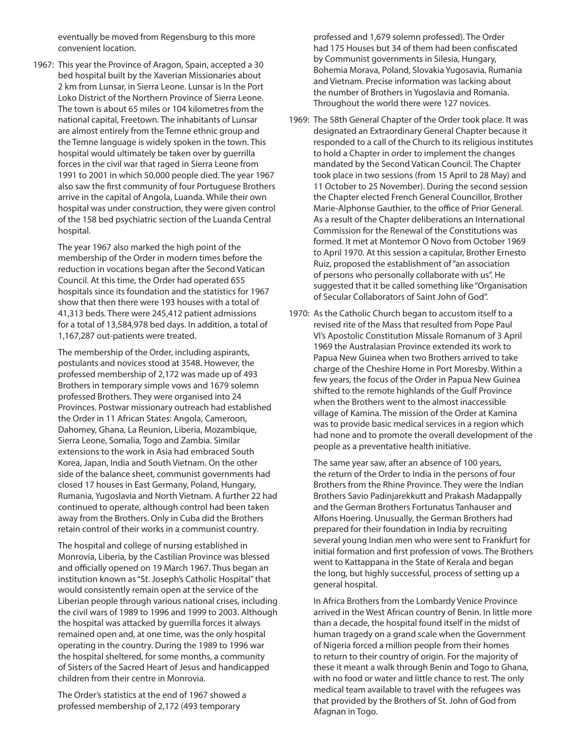eventually be moved from Regensburg to this more convenient location.

1967: This year the Province of Aragon, Spain, accepted a 30 bed hospital built by the Xaverian Missionaries about 2 km from Lunsar, in Sierra Leone. Lunsar is In the Port Loko District of the Northern Province of Sierra Leone. The town is about 65 miles or 104 kilometres from the national capital, Freetown. The inhabitants of Lunsar are almost entirely from the Temne ethnic group and the Temne language is widely spoken in the town. This hospital would ultimately be taken over by guerrilla forces in the civil war that raged in Sierra Leone from 1991 to 2001 in which 50,000 people died. The year 1967 also saw the first community of four Portuguese Brothers arrive in the capital of Angola, Luanda. While their own hospital was under construction, they were given control of the 158 bed psychiatric section of the Luanda Central hospital.

 The year 1967 also marked the high point of the membership of the Order in modern times before the reduction in vocations began after the Second Vatican Council. At this time, the Order had operated 655 hospitals since its foundation and the statistics for 1967 show that then there were 193 houses with a total of 41,313 beds. There were 245,412 patient admissions for a total of 13,584,978 bed days. In addition, a total of 1,167,287 out-patients were treated.

 The membership of the Order, including aspirants, postulants and novices stood at 3548. However, the professed membership of 2,172 was made up of 493 Brothers in temporary simple vows and 1679 solemn professed Brothers. They were organised into 24 Provinces. Postwar missionary outreach had established the Order in 11 African States: Angola, Cameroon, Dahomey, Ghana, La Reunion, Liberia, Mozambique, Sierra Leone, Somalia, Togo and Zambia. Similar extensions to the work in Asia had embraced South Korea, Japan, India and South Vietnam. On the other side of the balance sheet, communist governments had closed 17 houses in East Germany, Poland, Hungary, Rumania, Yugoslavia and North Vietnam. A further 22 had continued to operate, although control had been taken away from the Brothers. Only in Cuba did the Brothers retain control of their works in a communist country.

 The hospital and college of nursing established in Monrovia, Liberia, by the Castilian Province was blessed and officially opened on 19 March 1967. Thus began an institution known as "St. Joseph's Catholic Hospital" that would consistently remain open at the service of the Liberian people through various national crises, including the civil wars of 1989 to 1996 and 1999 to 2003. Although the hospital was attacked by guerrilla forces it always remained open and, at one time, was the only hospital operating in the country. During the 1989 to 1996 war the hospital sheltered, for some months, a community of Sisters of the Sacred Heart of Jesus and handicapped children from their centre in Monrovia.

 The Order's statistics at the end of 1967 showed a professed membership of 2,172 (493 temporary

professed and 1,679 solemn professed). The Order had 175 Houses but 34 of them had been confiscated by Communist governments in Silesia, Hungary, Bohemia Morava, Poland, Slovakia Yugosavia, Rumania and Vietnam. Precise information was lacking about the number of Brothers in Yugoslavia and Romania. Throughout the world there were 127 novices.

- 1969: The 58th General Chapter of the Order took place. It was designated an Extraordinary General Chapter because it responded to a call of the Church to its religious institutes to hold a Chapter in order to implement the changes mandated by the Second Vatican Council. The Chapter took place in two sessions (from 15 April to 28 May) and 11 October to 25 November). During the second session the Chapter elected French General Councillor, Brother Marie-Alphonse Gauthier, to the office of Prior General. As a result of the Chapter deliberations an International Commission for the Renewal of the Constitutions was formed. It met at Montemor O Novo from October 1969 to April 1970. At this session a capitular, Brother Ernesto Ruiz, proposed the establishment of "an association of persons who personally collaborate with us". He suggested that it be called something like "Organisation of Secular Collaborators of Saint John of God".
- 1970: As the Catholic Church began to accustom itself to a revised rite of the Mass that resulted from Pope Paul VI's Apostolic Constitution Missale Romanum of 3 April 1969 the Australasian Province extended its work to Papua New Guinea when two Brothers arrived to take charge of the Cheshire Home in Port Moresby. Within a few years, the focus of the Order in Papua New Guinea shifted to the remote highlands of the Gulf Province when the Brothers went to the almost inaccessible village of Kamina. The mission of the Order at Kamina was to provide basic medical services in a region which had none and to promote the overall development of the people as a preventative health initiative.

 The same year saw, after an absence of 100 years, the return of the Order to India in the persons of four Brothers from the Rhine Province. They were the Indian Brothers Savio Padinjarekkutt and Prakash Madappally and the German Brothers Fortunatus Tanhauser and Alfons Hoering. Unusually, the German Brothers had prepared for their foundation in India by recruiting several young Indian men who were sent to Frankfurt for initial formation and first profession of vows. The Brothers went to Kattappana in the State of Kerala and began the long, but highly successful, process of setting up a general hospital.

 In Africa Brothers from the Lombardy Venice Province arrived in the West African country of Benin. In little more than a decade, the hospital found itself in the midst of human tragedy on a grand scale when the Government of Nigeria forced a million people from their homes to return to their country of origin. For the majority of these it meant a walk through Benin and Togo to Ghana, with no food or water and little chance to rest. The only medical team available to travel with the refugees was that provided by the Brothers of St. John of God from Afagnan in Togo.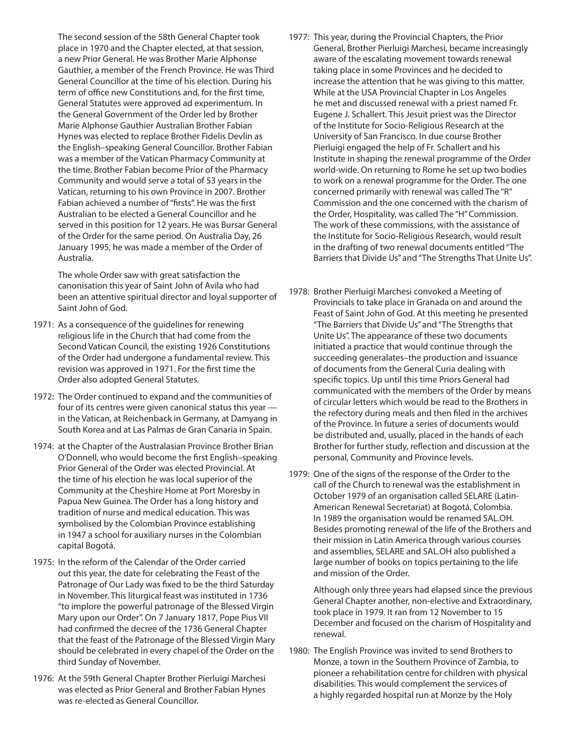The second session of the 58th General Chapter took place in 1970 and the Chapter elected, at that session, a new Prior General. He was Brother Marie Alphonse Gauthier, a member of the French Province. He was Third General Councillor at the time of his election. During his term of office new Constitutions and, for the first time, General Statutes were approved ad experimentum. In the General Government of the Order led by Brother Marie Alphonse Gauthier Australian Brother Fabian Hynes was elected to replace Brother Fidelis Devlin as the English–speaking General Councillor. Brother Fabian was a member of the Vatican Pharmacy Community at the time. Brother Fabian become Prior of the Pharmacy Community and would serve a total of 53 years in the Vatican, returning to his own Province in 2007. Brother Fabian achieved a number of "firsts". He was the first Australian to be elected a General Councillor and he served in this position for 12 years. He was Bursar General of the Order for the same period. On Australia Day, 26 January 1995, he was made a member of the Order of Australia.

 The whole Order saw with great satisfaction the canonisation this year of Saint John of Avila who had been an attentive spiritual director and loyal supporter of Saint John of God.

- 1971: As a consequence of the guidelines for renewing religious life in the Church that had come from the Second Vatican Council, the existing 1926 Constitutions of the Order had undergone a fundamental review. This revision was approved in 1971. For the first time the Order also adopted General Statutes.
- 1972: The Order continued to expand and the communities of four of its centres were given canonical status this year in the Vatican, at Reichenback in Germany, at Damyang in South Korea and at Las Palmas de Gran Canaria in Spain.
- 1974: at the Chapter of the Australasian Province Brother Brian O'Donnell, who would become the first English–speaking Prior General of the Order was elected Provincial. At the time of his election he was local superior of the Community at the Cheshire Home at Port Moresby in Papua New Guinea. The Order has a long history and tradition of nurse and medical education. This was symbolised by the Colombian Province establishing in 1947 a school for auxiliary nurses in the Colombian capital Bogotá.
- 1975: In the reform of the Calendar of the Order carried out this year, the date for celebrating the Feast of the Patronage of Our Lady was fixed to be the third Saturday in November. This liturgical feast was instituted in 1736 "to implore the powerful patronage of the Blessed Virgin Mary upon our Order". On 7 January 1817, Pope Pius VII had confirmed the decree of the 1736 General Chapter that the feast of the Patronage of the Blessed Virgin Mary should be celebrated in every chapel of the Order on the third Sunday of November.
- 1976: At the 59th General Chapter Brother Pierluigi Marchesi was elected as Prior General and Brother Fabian Hynes was re-elected as General Councillor.
- 1977: This year, during the Provincial Chapters, the Prior General, Brother Pierluigi Marchesi, became increasingly aware of the escalating movement towards renewal taking place in some Provinces and he decided to increase the attention that he was giving to this matter. While at the USA Provincial Chapter in Los Angeles he met and discussed renewal with a priest named Fr. Eugene J. Schallert. This Jesuit priest was the Director of the Institute for Socio-Religious Research at the University of San Francisco. In due course Brother Pierluigi engaged the help of Fr. Schallert and his Institute in shaping the renewal programme of the Order world-wide. On returning to Rome he set up two bodies to work on a renewal programme for the Order. The one concerned primarily with renewal was called The "R" Commission and the one concerned with the charism of the Order, Hospitality, was called The "H" Commission. The work of these commissions, with the assistance of the Institute for Socio-Religious Research, would result in the drafting of two renewal documents entitled "The Barriers that Divide Us" and "The Strengths That Unite Us".
- 1978: Brother Pierluigi Marchesi convoked a Meeting of Provincials to take place in Granada on and around the Feast of Saint John of God. At this meeting he presented "The Barriers that Divide Us" and "The Strengths that Unite Us". The appearance of these two documents initiated a practice that would continue through the succeeding generalates–the production and issuance of documents from the General Curia dealing with specific topics. Up until this time Priors General had communicated with the members of the Order by means of circular letters which would be read to the Brothers in the refectory during meals and then filed in the archives of the Province. In future a series of documents would be distributed and, usually, placed in the hands of each Brother for further study, reflection and discussion at the personal, Community and Province levels.
- 1979: One of the signs of the response of the Order to the call of the Church to renewal was the establishment in October 1979 of an organisation called SELARE (Latin-American Renewal Secretariat) at Bogotá, Colombia. In 1989 the organisation would be renamed SAL.OH. Besides promoting renewal of the life of the Brothers and their mission in Latin America through various courses and assemblies, SELARE and SAL.OH also published a large number of books on topics pertaining to the life and mission of the Order.

 Although only three years had elapsed since the previous General Chapter another, non-elective and Extraordinary, took place in 1979. It ran from 12 November to 15 December and focused on the charism of Hospitality and renewal.

1980: The English Province was invited to send Brothers to Monze, a town in the Southern Province of Zambia, to pioneer a rehabilitation centre for children with physical disabilities. This would complement the services of a highly regarded hospital run at Monze by the Holy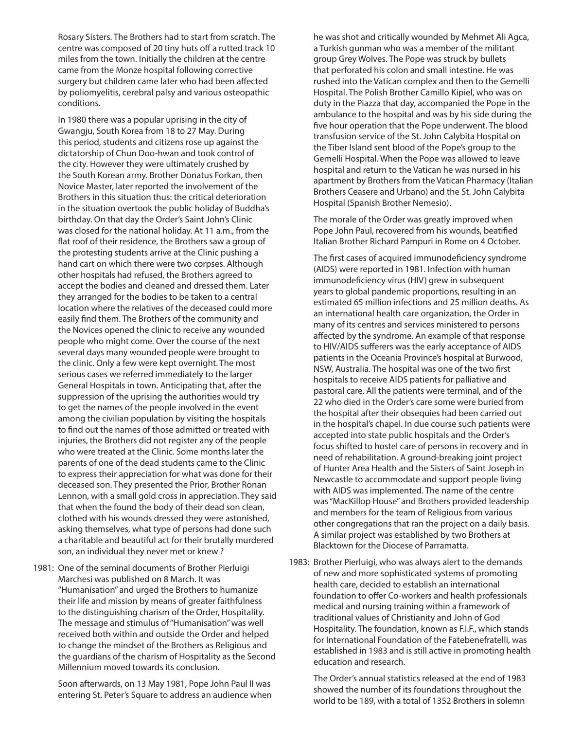Rosary Sisters. The Brothers had to start from scratch. The centre was composed of 20 tiny huts off a rutted track 10 miles from the town. Initially the children at the centre came from the Monze hospital following corrective surgery but children came later who had been affected by poliomyelitis, cerebral palsy and various osteopathic conditions.

 In 1980 there was a popular uprising in the city of Gwangju, South Korea from 18 to 27 May. During this period, students and citizens rose up against the dictatorship of Chun Doo-hwan and took control of the city. However they were ultimately crushed by the South Korean army. Brother Donatus Forkan, then Novice Master, later reported the involvement of the Brothers in this situation thus: the critical deterioration in the situation overtook the public holiday of Buddha's birthday. On that day the Order's Saint John's Clinic was closed for the national holiday. At 11 a.m., from the flat roof of their residence, the Brothers saw a group of the protesting students arrive at the Clinic pushing a hand cart on which there were two corpses. Although other hospitals had refused, the Brothers agreed to accept the bodies and cleaned and dressed them. Later they arranged for the bodies to be taken to a central location where the relatives of the deceased could more easily find them. The Brothers of the community and the Novices opened the clinic to receive any wounded people who might come. Over the course of the next several days many wounded people were brought to the clinic. Only a few were kept overnight. The most serious cases we referred immediately to the larger General Hospitals in town. Anticipating that, after the suppression of the uprising the authorities would try to get the names of the people involved in the event among the civilian population by visiting the hospitals to find out the names of those admitted or treated with injuries, the Brothers did not register any of the people who were treated at the Clinic. Some months later the parents of one of the dead students came to the Clinic to express their appreciation for what was done for their deceased son. They presented the Prior, Brother Ronan Lennon, with a small gold cross in appreciation. They said that when the found the body of their dead son clean, clothed with his wounds dressed they were astonished, asking themselves, what type of persons had done such a charitable and beautiful act for their brutally murdered son, an individual they never met or knew ?

1981: One of the seminal documents of Brother Pierluigi Marchesi was published on 8 March. It was "Humanisation" and urged the Brothers to humanize their life and mission by means of greater faithfulness to the distinguishing charism of the Order, Hospitality. The message and stimulus of "Humanisation" was well received both within and outside the Order and helped to change the mindset of the Brothers as Religious and the guardians of the charism of Hospitality as the Second Millennium moved towards its conclusion.

 Soon afterwards, on 13 May 1981, Pope John Paul II was entering St. Peter's Square to address an audience when

he was shot and critically wounded by Mehmet Ali Agca, a Turkish gunman who was a member of the militant group Grey Wolves. The Pope was struck by bullets that perforated his colon and small intestine. He was rushed into the Vatican complex and then to the Gemelli Hospital. The Polish Brother Camillo Kipiel, who was on duty in the Piazza that day, accompanied the Pope in the ambulance to the hospital and was by his side during the five hour operation that the Pope underwent. The blood transfusion service of the St. John Calybita Hospital on the Tiber Island sent blood of the Pope's group to the Gemelli Hospital. When the Pope was allowed to leave hospital and return to the Vatican he was nursed in his apartment by Brothers from the Vatican Pharmacy (Italian Brothers Ceasere and Urbano) and the St. John Calybita Hospital (Spanish Brother Nemesio).

 The morale of the Order was greatly improved when Pope John Paul, recovered from his wounds, beatified Italian Brother Richard Pampuri in Rome on 4 October.

 The first cases of acquired immunodeficiency syndrome (AIDS) were reported in 1981. Infection with human immunodeficiency virus (HIV) grew in subsequent years to global pandemic proportions, resulting in an estimated 65 million infections and 25 million deaths. As an international health care organization, the Order in many of its centres and services ministered to persons affected by the syndrome. An example of that response to HIV/AIDS sufferers was the early acceptance of AIDS patients in the Oceania Province's hospital at Burwood, NSW, Australia. The hospital was one of the two first hospitals to receive AIDS patients for palliative and pastoral care. All the patients were terminal, and of the 22 who died in the Order's care some were buried from the hospital after their obsequies had been carried out in the hospital's chapel. In due course such patients were accepted into state public hospitals and the Order's focus shifted to hostel care of persons in recovery and in need of rehabilitation. A ground-breaking joint project of Hunter Area Health and the Sisters of Saint Joseph in Newcastle to accommodate and support people living with AIDS was implemented. The name of the centre was "MacKillop House" and Brothers provided leadership and members for the team of Religious from various other congregations that ran the project on a daily basis. A similar project was established by two Brothers at Blacktown for the Diocese of Parramatta.

1983: Brother Pierluigi, who was always alert to the demands of new and more sophisticated systems of promoting health care, decided to establish an international foundation to offer Co-workers and health professionals medical and nursing training within a framework of traditional values of Christianity and John of God Hospitality. The foundation, known as F.I.F., which stands for International Foundation of the Fatebenefratelli, was established in 1983 and is still active in promoting health education and research.

 The Order's annual statistics released at the end of 1983 showed the number of its foundations throughout the world to be 189, with a total of 1352 Brothers in solemn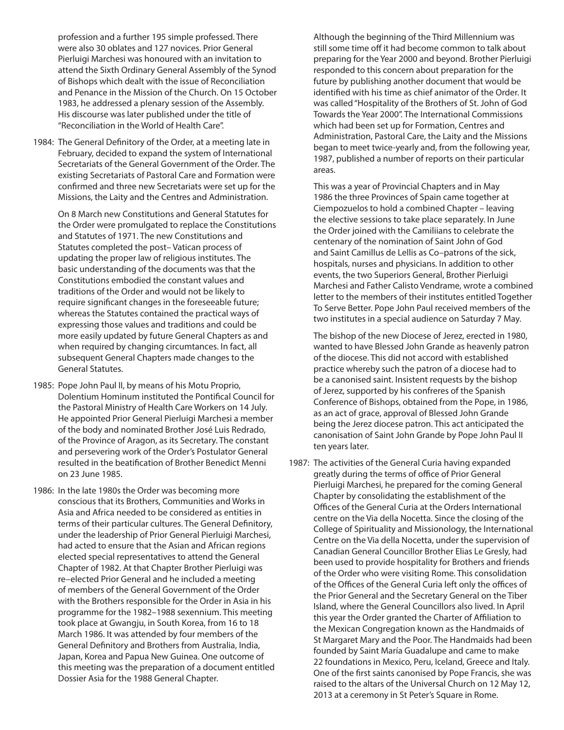profession and a further 195 simple professed. There were also 30 oblates and 127 novices. Prior General Pierluigi Marchesi was honoured with an invitation to attend the Sixth Ordinary General Assembly of the Synod of Bishops which dealt with the issue of Reconciliation and Penance in the Mission of the Church. On 15 October 1983, he addressed a plenary session of the Assembly. His discourse was later published under the title of "Reconciliation in the World of Health Care".

1984: The General Definitory of the Order, at a meeting late in February, decided to expand the system of International Secretariats of the General Government of the Order. The existing Secretariats of Pastoral Care and Formation were confirmed and three new Secretariats were set up for the Missions, the Laity and the Centres and Administration.

 On 8 March new Constitutions and General Statutes for the Order were promulgated to replace the Constitutions and Statutes of 1971. The new Constitutions and Statutes completed the post– Vatican process of updating the proper law of religious institutes. The basic understanding of the documents was that the Constitutions embodied the constant values and traditions of the Order and would not be likely to require significant changes in the foreseeable future; whereas the Statutes contained the practical ways of expressing those values and traditions and could be more easily updated by future General Chapters as and when required by changing circumtances. In fact, all subsequent General Chapters made changes to the General Statutes.

- 1985: Pope John Paul II, by means of his Motu Proprio, Dolentium Hominum instituted the Pontifical Council for the Pastoral Ministry of Health Care Workers on 14 July. He appointed Prior General Pierluigi Marchesi a member of the body and nominated Brother José Luis Redrado, of the Province of Aragon, as its Secretary. The constant and persevering work of the Order's Postulator General resulted in the beatification of Brother Benedict Menni on 23 June 1985.
- 1986: In the late 1980s the Order was becoming more conscious that its Brothers, Communities and Works in Asia and Africa needed to be considered as entities in terms of their particular cultures. The General Definitory, under the leadership of Prior General Pierluigi Marchesi, had acted to ensure that the Asian and African regions elected special representatives to attend the General Chapter of 1982. At that Chapter Brother Pierluigi was re–elected Prior General and he included a meeting of members of the General Government of the Order with the Brothers responsible for the Order in Asia in his programme for the 1982–1988 sexennium. This meeting took place at Gwangju, in South Korea, from 16 to 18 March 1986. It was attended by four members of the General Definitory and Brothers from Australia, India, Japan, Korea and Papua New Guinea. One outcome of this meeting was the preparation of a document entitled Dossier Asia for the 1988 General Chapter.

 Although the beginning of the Third Millennium was still some time off it had become common to talk about preparing for the Year 2000 and beyond. Brother Pierluigi responded to this concern about preparation for the future by publishing another document that would be identified with his time as chief animator of the Order. It was called "Hospitality of the Brothers of St. John of God Towards the Year 2000". The International Commissions which had been set up for Formation, Centres and Administration, Pastoral Care, the Laity and the Missions began to meet twice-yearly and, from the following year, 1987, published a number of reports on their particular areas.

 This was a year of Provincial Chapters and in May 1986 the three Provinces of Spain came together at Ciempozuelos to hold a combined Chapter – leaving the elective sessions to take place separately. In June the Order joined with the Camiliians to celebrate the centenary of the nomination of Saint John of God and Saint Camillus de Lellis as Co–patrons of the sick, hospitals, nurses and physicians. In addition to other events, the two Superiors General, Brother Pierluigi Marchesi and Father Calisto Vendrame, wrote a combined letter to the members of their institutes entitled Together To Serve Better. Pope John Paul received members of the two institutes in a special audience on Saturday 7 May.

 The bishop of the new Diocese of Jerez, erected in 1980, wanted to have Blessed John Grande as heavenly patron of the diocese. This did not accord with established practice whereby such the patron of a diocese had to be a canonised saint. Insistent requests by the bishop of Jerez, supported by his confreres of the Spanish Conference of Bishops, obtained from the Pope, in 1986, as an act of grace, approval of Blessed John Grande being the Jerez diocese patron. This act anticipated the canonisation of Saint John Grande by Pope John Paul II ten years later.

1987: The activities of the General Curia having expanded greatly during the terms of office of Prior General Pierluigi Marchesi, he prepared for the coming General Chapter by consolidating the establishment of the Offices of the General Curia at the Orders International centre on the Via della Nocetta. Since the closing of the College of Spirituality and Missionology, the International Centre on the Via della Nocetta, under the supervision of Canadian General Councillor Brother Elias Le Gresly, had been used to provide hospitality for Brothers and friends of the Order who were visiting Rome. This consolidation of the Offices of the General Curia left only the offices of the Prior General and the Secretary General on the Tiber Island, where the General Councillors also lived. In April this year the Order granted the Charter of Affiliation to the Mexican Congregation known as the Handmaids of St Margaret Mary and the Poor. The Handmaids had been founded by Saint María Guadalupe and came to make 22 foundations in Mexico, Peru, Iceland, Greece and Italy. One of the first saints canonised by Pope Francis, she was raised to the altars of the Universal Church on 12 May 12, 2013 at a ceremony in St Peter's Square in Rome.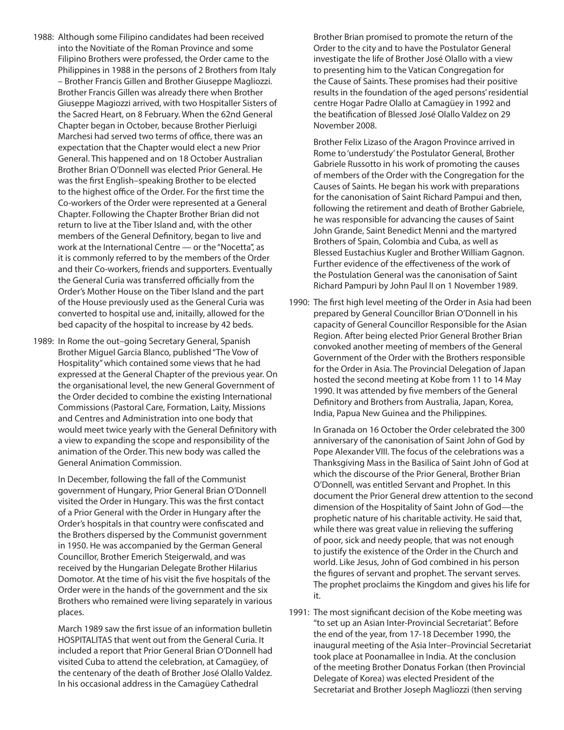- 1988: Although some Filipino candidates had been received into the Novitiate of the Roman Province and some Filipino Brothers were professed, the Order came to the Philippines in 1988 in the persons of 2 Brothers from Italy – Brother Francis Gillen and Brother Giuseppe Magliozzi. Brother Francis Gillen was already there when Brother Giuseppe Magiozzi arrived, with two Hospitaller Sisters of the Sacred Heart, on 8 February. When the 62nd General Chapter began in October, because Brother Pierluigi Marchesi had served two terms of office, there was an expectation that the Chapter would elect a new Prior General. This happened and on 18 October Australian Brother Brian O'Donnell was elected Prior General. He was the first English–speaking Brother to be elected to the highest office of the Order. For the first time the Co-workers of the Order were represented at a General Chapter. Following the Chapter Brother Brian did not return to live at the Tiber Island and, with the other members of the General Definitory, began to live and work at the International Centre — or the "Nocetta", as it is commonly referred to by the members of the Order and their Co-workers, friends and supporters. Eventually the General Curia was transferred officially from the Order's Mother House on the Tiber Island and the part of the House previously used as the General Curia was converted to hospital use and, initailly, allowed for the bed capacity of the hospital to increase by 42 beds.
- 1989: In Rome the out–going Secretary General, Spanish Brother Miguel Garcia Blanco, published "The Vow of Hospitality" which contained some views that he had expressed at the General Chapter of the previous year. On the organisational level, the new General Government of the Order decided to combine the existing International Commissions (Pastoral Care, Formation, Laity, Missions and Centres and Administration into one body that would meet twice yearly with the General Definitory with a view to expanding the scope and responsibility of the animation of the Order. This new body was called the General Animation Commission.

 In December, following the fall of the Communist government of Hungary, Prior General Brian O'Donnell visited the Order in Hungary. This was the first contact of a Prior General with the Order in Hungary after the Order's hospitals in that country were confiscated and the Brothers dispersed by the Communist government in 1950. He was accompanied by the German General Councillor, Brother Emerich Steigerwald, and was received by the Hungarian Delegate Brother Hilarius Domotor. At the time of his visit the five hospitals of the Order were in the hands of the government and the six Brothers who remained were living separately in various places.

 March 1989 saw the first issue of an information bulletin HOSPITALITAS that went out from the General Curia. It included a report that Prior General Brian O'Donnell had visited Cuba to attend the celebration, at Camagüey, of the centenary of the death of Brother José Olallo Valdez. In his occasional address in the Camagüey Cathedral

Brother Brian promised to promote the return of the Order to the city and to have the Postulator General investigate the life of Brother José Olallo with a view to presenting him to the Vatican Congregation for the Cause of Saints. These promises had their positive results in the foundation of the aged persons' residential centre Hogar Padre Olallo at Camagüey in 1992 and the beatification of Blessed José Olallo Valdez on 29 November 2008.

 Brother Felix Lizaso of the Aragon Province arrived in Rome to 'understudy' the Postulator General, Brother Gabriele Russotto in his work of promoting the causes of members of the Order with the Congregation for the Causes of Saints. He began his work with preparations for the canonisation of Saint Richard Pampui and then, following the retirement and death of Brother Gabriele, he was responsible for advancing the causes of Saint John Grande, Saint Benedict Menni and the martyred Brothers of Spain, Colombia and Cuba, as well as Blessed Eustachius Kugler and Brother William Gagnon. Further evidence of the effectiveness of the work of the Postulation General was the canonisation of Saint Richard Pampuri by John Paul II on 1 November 1989.

1990: The first high level meeting of the Order in Asia had been prepared by General Councillor Brian O'Donnell in his capacity of General Councillor Responsible for the Asian Region. After being elected Prior General Brother Brian convoked another meeting of members of the General Government of the Order with the Brothers responsible for the Order in Asia. The Provincial Delegation of Japan hosted the second meeting at Kobe from 11 to 14 May 1990. It was attended by five members of the General Definitory and Brothers from Australia, Japan, Korea, India, Papua New Guinea and the Philippines.

 In Granada on 16 October the Order celebrated the 300 anniversary of the canonisation of Saint John of God by Pope Alexander VIII. The focus of the celebrations was a Thanksgiving Mass in the Basilica of Saint John of God at which the discourse of the Prior General, Brother Brian O'Donnell, was entitled Servant and Prophet. In this document the Prior General drew attention to the second dimension of the Hospitality of Saint John of God—the prophetic nature of his charitable activity. He said that, while there was great value in relieving the suffering of poor, sick and needy people, that was not enough to justify the existence of the Order in the Church and world. Like Jesus, John of God combined in his person the figures of servant and prophet. The servant serves. The prophet proclaims the Kingdom and gives his life for it.

1991: The most significant decision of the Kobe meeting was "to set up an Asian Inter-Provincial Secretariat". Before the end of the year, from 17-18 December 1990, the inaugural meeting of the Asia Inter–Provincial Secretariat took place at Poonamallee in India. At the conclusion of the meeting Brother Donatus Forkan (then Provincial Delegate of Korea) was elected President of the Secretariat and Brother Joseph Magliozzi (then serving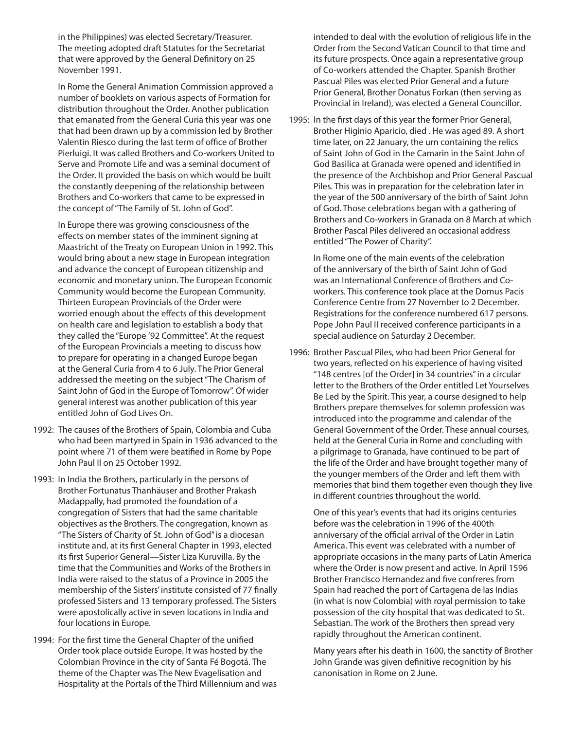in the Philippines) was elected Secretary/Treasurer. The meeting adopted draft Statutes for the Secretariat that were approved by the General Definitory on 25 November 1991.

 In Rome the General Animation Commission approved a number of booklets on various aspects of Formation for distribution throughout the Order. Another publication that emanated from the General Curia this year was one that had been drawn up by a commission led by Brother Valentin Riesco during the last term of office of Brother Pierluigi. It was called Brothers and Co-workers United to Serve and Promote Life and was a seminal document of the Order. It provided the basis on which would be built the constantly deepening of the relationship between Brothers and Co-workers that came to be expressed in the concept of "The Family of St. John of God".

 In Europe there was growing consciousness of the effects on member states of the imminent signing at Maastricht of the Treaty on European Union in 1992. This would bring about a new stage in European integration and advance the concept of European citizenship and economic and monetary union. The European Economic Community would become the European Community. Thirteen European Provincials of the Order were worried enough about the effects of this development on health care and legislation to establish a body that they called the "Europe '92 Committee". At the request of the European Provincials a meeting to discuss how to prepare for operating in a changed Europe began at the General Curia from 4 to 6 July. The Prior General addressed the meeting on the subject "The Charism of Saint John of God in the Europe of Tomorrow". Of wider general interest was another publication of this year entitled John of God Lives On.

- 1992: The causes of the Brothers of Spain, Colombia and Cuba who had been martyred in Spain in 1936 advanced to the point where 71 of them were beatified in Rome by Pope John Paul II on 25 October 1992.
- 1993: In India the Brothers, particularly in the persons of Brother Fortunatus Thanhäuser and Brother Prakash Madappally, had promoted the foundation of a congregation of Sisters that had the same charitable objectives as the Brothers. The congregation, known as "The Sisters of Charity of St. John of God" is a diocesan institute and, at its first General Chapter in 1993, elected its first Superior General—Sister Liza Kuruvilla. By the time that the Communities and Works of the Brothers in India were raised to the status of a Province in 2005 the membership of the Sisters' institute consisted of 77 finally professed Sisters and 13 temporary professed. The Sisters were apostolically active in seven locations in India and four locations in Europe.
- 1994: For the first time the General Chapter of the unified Order took place outside Europe. It was hosted by the Colombian Province in the city of Santa Fé Bogotá. The theme of the Chapter was The New Evagelisation and Hospitality at the Portals of the Third Millennium and was

intended to deal with the evolution of religious life in the Order from the Second Vatican Council to that time and its future prospects. Once again a representative group of Co-workers attended the Chapter. Spanish Brother Pascual Piles was elected Prior General and a future Prior General, Brother Donatus Forkan (then serving as Provincial in Ireland), was elected a General Councillor.

1995: In the first days of this year the former Prior General, Brother Higinio Aparicio, died . He was aged 89. A short time later, on 22 January, the urn containing the relics of Saint John of God in the Camarin in the Saint John of God Basilica at Granada were opened and identified in the presence of the Archbishop and Prior General Pascual Piles. This was in preparation for the celebration later in the year of the 500 anniversary of the birth of Saint John of God. Those celebrations began with a gathering of Brothers and Co-workers in Granada on 8 March at which Brother Pascal Piles delivered an occasional address entitled "The Power of Charity".

 In Rome one of the main events of the celebration of the anniversary of the birth of Saint John of God was an International Conference of Brothers and Coworkers. This conference took place at the Domus Pacis Conference Centre from 27 November to 2 December. Registrations for the conference numbered 617 persons. Pope John Paul II received conference participants in a special audience on Saturday 2 December.

1996: Brother Pascual Piles, who had been Prior General for two years, reflected on his experience of having visited "148 centres [of the Order] in 34 countries" in a circular letter to the Brothers of the Order entitled Let Yourselves Be Led by the Spirit. This year, a course designed to help Brothers prepare themselves for solemn profession was introduced into the programme and calendar of the General Government of the Order. These annual courses, held at the General Curia in Rome and concluding with a pilgrimage to Granada, have continued to be part of the life of the Order and have brought together many of the younger members of the Order and left them with memories that bind them together even though they live in different countries throughout the world.

 One of this year's events that had its origins centuries before was the celebration in 1996 of the 400th anniversary of the official arrival of the Order in Latin America. This event was celebrated with a number of appropriate occasions in the many parts of Latin America where the Order is now present and active. In April 1596 Brother Francisco Hernandez and five confreres from Spain had reached the port of Cartagena de las Indias (in what is now Colombia) with royal permission to take possession of the city hospital that was dedicated to St. Sebastian. The work of the Brothers then spread very rapidly throughout the American continent.

 Many years after his death in 1600, the sanctity of Brother John Grande was given definitive recognition by his canonisation in Rome on 2 June.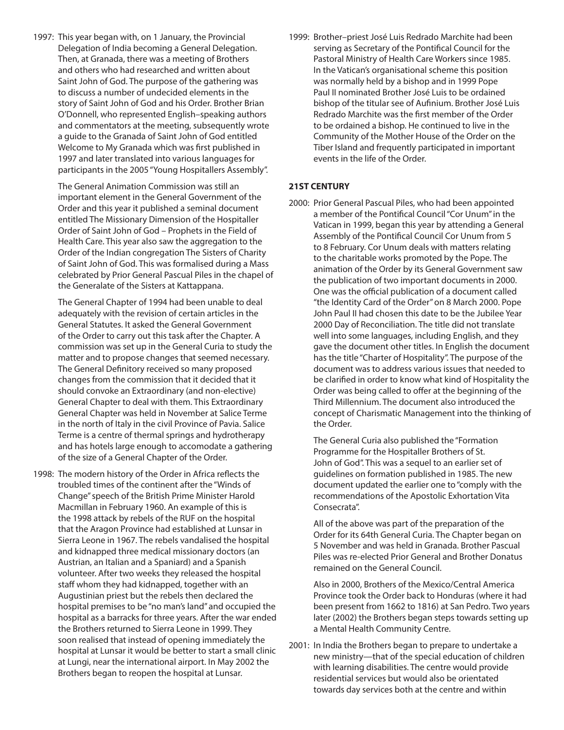1997: This year began with, on 1 January, the Provincial Delegation of India becoming a General Delegation. Then, at Granada, there was a meeting of Brothers and others who had researched and written about Saint John of God. The purpose of the gathering was to discuss a number of undecided elements in the story of Saint John of God and his Order. Brother Brian O'Donnell, who represented English–speaking authors and commentators at the meeting, subsequently wrote a guide to the Granada of Saint John of God entitled Welcome to My Granada which was first published in 1997 and later translated into various languages for participants in the 2005 "Young Hospitallers Assembly".

> The General Animation Commission was still an important element in the General Government of the Order and this year it published a seminal document entitled The Missionary Dimension of the Hospitaller Order of Saint John of God – Prophets in the Field of Health Care. This year also saw the aggregation to the Order of the Indian congregation The Sisters of Charity of Saint John of God. This was formalised during a Mass celebrated by Prior General Pascual Piles in the chapel of the Generalate of the Sisters at Kattappana.

> The General Chapter of 1994 had been unable to deal adequately with the revision of certain articles in the General Statutes. It asked the General Government of the Order to carry out this task after the Chapter. A commission was set up in the General Curia to study the matter and to propose changes that seemed necessary. The General Definitory received so many proposed changes from the commission that it decided that it should convoke an Extraordinary (and non-elective) General Chapter to deal with them. This Extraordinary General Chapter was held in November at Salice Terme in the north of Italy in the civil Province of Pavia. Salice Terme is a centre of thermal springs and hydrotherapy and has hotels large enough to accomodate a gathering of the size of a General Chapter of the Order.

1998: The modern history of the Order in Africa reflects the troubled times of the continent after the "Winds of Change" speech of the British Prime Minister Harold Macmillan in February 1960. An example of this is the 1998 attack by rebels of the RUF on the hospital that the Aragon Province had established at Lunsar in Sierra Leone in 1967. The rebels vandalised the hospital and kidnapped three medical missionary doctors (an Austrian, an Italian and a Spaniard) and a Spanish volunteer. After two weeks they released the hospital staff whom they had kidnapped, together with an Augustinian priest but the rebels then declared the hospital premises to be "no man's land" and occupied the hospital as a barracks for three years. After the war ended the Brothers returned to Sierra Leone in 1999. They soon realised that instead of opening immediately the hospital at Lunsar it would be better to start a small clinic at Lungi, near the international airport. In May 2002 the Brothers began to reopen the hospital at Lunsar.

1999: Brother–priest José Luis Redrado Marchite had been serving as Secretary of the Pontifical Council for the Pastoral Ministry of Health Care Workers since 1985. In the Vatican's organisational scheme this position was normally held by a bishop and in 1999 Pope Paul II nominated Brother José Luis to be ordained bishop of the titular see of Aufinium. Brother José Luis Redrado Marchite was the first member of the Order to be ordained a bishop. He continued to live in the Community of the Mother House of the Order on the Tiber Island and frequently participated in important events in the life of the Order.

#### **21ST CENTURY**

2000: Prior General Pascual Piles, who had been appointed a member of the Pontifical Council "Cor Unum" in the Vatican in 1999, began this year by attending a General Assembly of the Pontifical Council Cor Unum from 5 to 8 February. Cor Unum deals with matters relating to the charitable works promoted by the Pope. The animation of the Order by its General Government saw the publication of two important documents in 2000. One was the official publication of a document called "the Identity Card of the Order" on 8 March 2000. Pope John Paul II had chosen this date to be the Jubilee Year 2000 Day of Reconciliation. The title did not translate well into some languages, including English, and they gave the document other titles. In English the document has the title "Charter of Hospitality". The purpose of the document was to address various issues that needed to be clarified in order to know what kind of Hospitality the Order was being called to offer at the beginning of the Third Millennium. The document also introduced the concept of Charismatic Management into the thinking of the Order.

 The General Curia also published the "Formation Programme for the Hospitaller Brothers of St. John of God". This was a sequel to an earlier set of guidelines on formation published in 1985. The new document updated the earlier one to "comply with the recommendations of the Apostolic Exhortation Vita Consecrata".

 All of the above was part of the preparation of the Order for its 64th General Curia. The Chapter began on 5 November and was held in Granada. Brother Pascual Piles was re-elected Prior General and Brother Donatus remained on the General Council.

 Also in 2000, Brothers of the Mexico/Central America Province took the Order back to Honduras (where it had been present from 1662 to 1816) at San Pedro. Two years later (2002) the Brothers began steps towards setting up a Mental Health Community Centre.

2001: In India the Brothers began to prepare to undertake a new ministry—that of the special education of children with learning disabilities. The centre would provide residential services but would also be orientated towards day services both at the centre and within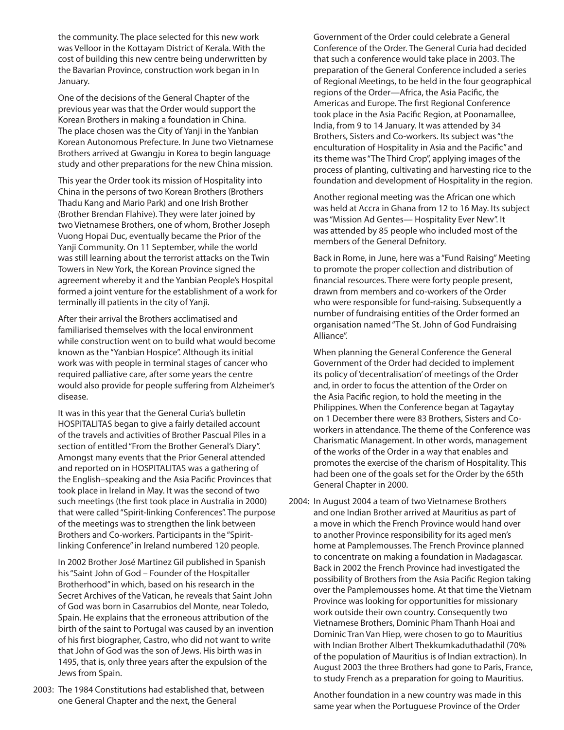the community. The place selected for this new work was Velloor in the Kottayam District of Kerala. With the cost of building this new centre being underwritten by the Bavarian Province, construction work began in In January.

 One of the decisions of the General Chapter of the previous year was that the Order would support the Korean Brothers in making a foundation in China. The place chosen was the City of Yanji in the Yanbian Korean Autonomous Prefecture. In June two Vietnamese Brothers arrived at Gwangju in Korea to begin language study and other preparations for the new China mission.

 This year the Order took its mission of Hospitality into China in the persons of two Korean Brothers (Brothers Thadu Kang and Mario Park) and one Irish Brother (Brother Brendan Flahive). They were later joined by two Vietnamese Brothers, one of whom, Brother Joseph Vuong Hopai Duc, eventually became the Prior of the Yanji Community. On 11 September, while the world was still learning about the terrorist attacks on the Twin Towers in New York, the Korean Province signed the agreement whereby it and the Yanbian People's Hospital formed a joint venture for the establishment of a work for terminally ill patients in the city of Yanji.

 After their arrival the Brothers acclimatised and familiarised themselves with the local environment while construction went on to build what would become known as the "Yanbian Hospice". Although its initial work was with people in terminal stages of cancer who required palliative care, after some years the centre would also provide for people suffering from Alzheimer's disease.

 It was in this year that the General Curia's bulletin HOSPITALITAS began to give a fairly detailed account of the travels and activities of Brother Pascual Piles in a section of entitled "From the Brother General's Diary". Amongst many events that the Prior General attended and reported on in HOSPITALITAS was a gathering of the English–speaking and the Asia Pacific Provinces that took place in Ireland in May. It was the second of two such meetings (the first took place in Australia in 2000) that were called "Spirit-linking Conferences". The purpose of the meetings was to strengthen the link between Brothers and Co-workers. Participants in the "Spiritlinking Conference" in Ireland numbered 120 people.

 In 2002 Brother José Martinez Gil published in Spanish his "Saint John of God – Founder of the Hospitaller Brotherhood" in which, based on his research in the Secret Archives of the Vatican, he reveals that Saint John of God was born in Casarrubios del Monte, near Toledo, Spain. He explains that the erroneous attribution of the birth of the saint to Portugal was caused by an invention of his first biographer, Castro, who did not want to write that John of God was the son of Jews. His birth was in 1495, that is, only three years after the expulsion of the Jews from Spain.

2003: The 1984 Constitutions had established that, between one General Chapter and the next, the General

Government of the Order could celebrate a General Conference of the Order. The General Curia had decided that such a conference would take place in 2003. The preparation of the General Conference included a series of Regional Meetings, to be held in the four geographical regions of the Order—Africa, the Asia Pacific, the Americas and Europe. The first Regional Conference took place in the Asia Pacific Region, at Poonamallee, India, from 9 to 14 January. It was attended by 34 Brothers, Sisters and Co-workers. Its subject was "the enculturation of Hospitality in Asia and the Pacific" and its theme was "The Third Crop", applying images of the process of planting, cultivating and harvesting rice to the foundation and development of Hospitality in the region.

 Another regional meeting was the African one which was held at Accra in Ghana from 12 to 16 May. Its subject was "Mission Ad Gentes— Hospitality Ever New". It was attended by 85 people who included most of the members of the General Defnitory.

 Back in Rome, in June, here was a "Fund Raising" Meeting to promote the proper collection and distribution of financial resources. There were forty people present, drawn from members and co-workers of the Order who were responsible for fund-raising. Subsequently a number of fundraising entities of the Order formed an organisation named "The St. John of God Fundraising Alliance".

 When planning the General Conference the General Government of the Order had decided to implement its policy of 'decentralisation' of meetings of the Order and, in order to focus the attention of the Order on the Asia Pacific region, to hold the meeting in the Philippines. When the Conference began at Tagaytay on 1 December there were 83 Brothers, Sisters and Coworkers in attendance. The theme of the Conference was Charismatic Management. In other words, management of the works of the Order in a way that enables and promotes the exercise of the charism of Hospitality. This had been one of the goals set for the Order by the 65th General Chapter in 2000.

2004: In August 2004 a team of two Vietnamese Brothers and one Indian Brother arrived at Mauritius as part of a move in which the French Province would hand over to another Province responsibility for its aged men's home at Pamplemousses. The French Province planned to concentrate on making a foundation in Madagascar. Back in 2002 the French Province had investigated the possibility of Brothers from the Asia Pacific Region taking over the Pamplemousses home. At that time the Vietnam Province was looking for opportunities for missionary work outside their own country. Consequently two Vietnamese Brothers, Dominic Pham Thanh Hoai and Dominic Tran Van Hiep, were chosen to go to Mauritius with Indian Brother Albert Thekkumkaduthadathil (70% of the population of Mauritius is of Indian extraction). In August 2003 the three Brothers had gone to Paris, France, to study French as a preparation for going to Mauritius.

> Another foundation in a new country was made in this same year when the Portuguese Province of the Order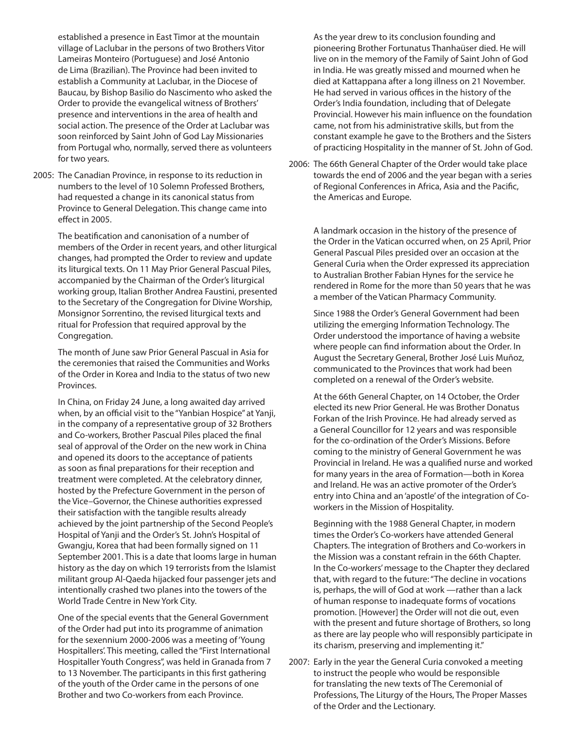established a presence in East Timor at the mountain village of Laclubar in the persons of two Brothers Vitor Lameiras Monteiro (Portuguese) and José Antonio de Lima (Brazilian). The Province had been invited to establish a Community at Laclubar, in the Diocese of Baucau, by Bishop Basilio do Nascimento who asked the Order to provide the evangelical witness of Brothers' presence and interventions in the area of health and social action. The presence of the Order at Laclubar was soon reinforced by Saint John of God Lay Missionaries from Portugal who, normally, served there as volunteers for two years.

2005: The Canadian Province, in response to its reduction in numbers to the level of 10 Solemn Professed Brothers, had requested a change in its canonical status from Province to General Delegation. This change came into effect in 2005.

> The beatification and canonisation of a number of members of the Order in recent years, and other liturgical changes, had prompted the Order to review and update its liturgical texts. On 11 May Prior General Pascual Piles, accompanied by the Chairman of the Order's liturgical working group, Italian Brother Andrea Faustini, presented to the Secretary of the Congregation for Divine Worship, Monsignor Sorrentino, the revised liturgical texts and ritual for Profession that required approval by the Congregation.

 The month of June saw Prior General Pascual in Asia for the ceremonies that raised the Communities and Works of the Order in Korea and India to the status of two new Provinces.

 In China, on Friday 24 June, a long awaited day arrived when, by an official visit to the "Yanbian Hospice" at Yanji, in the company of a representative group of 32 Brothers and Co-workers, Brother Pascual Piles placed the final seal of approval of the Order on the new work in China and opened its doors to the acceptance of patients as soon as final preparations for their reception and treatment were completed. At the celebratory dinner, hosted by the Prefecture Government in the person of the Vice–Governor, the Chinese authorities expressed their satisfaction with the tangible results already achieved by the joint partnership of the Second People's Hospital of Yanji and the Order's St. John's Hospital of Gwangju, Korea that had been formally signed on 11 September 2001. This is a date that looms large in human history as the day on which 19 terrorists from the Islamist militant group Al-Qaeda hijacked four passenger jets and intentionally crashed two planes into the towers of the World Trade Centre in New York City.

 One of the special events that the General Government of the Order had put into its programme of animation for the sexennium 2000-2006 was a meeting of 'Young Hospitallers'. This meeting, called the "First International Hospitaller Youth Congress", was held in Granada from 7 to 13 November. The participants in this first gathering of the youth of the Order came in the persons of one Brother and two Co-workers from each Province.

 As the year drew to its conclusion founding and pioneering Brother Fortunatus Thanhaüser died. He will live on in the memory of the Family of Saint John of God in India. He was greatly missed and mourned when he died at Kattappana after a long illness on 21 November. He had served in various offices in the history of the Order's India foundation, including that of Delegate Provincial. However his main influence on the foundation came, not from his administrative skills, but from the constant example he gave to the Brothers and the Sisters of practicing Hospitality in the manner of St. John of God.

2006: The 66th General Chapter of the Order would take place towards the end of 2006 and the year began with a series of Regional Conferences in Africa, Asia and the Pacific, the Americas and Europe.

> A landmark occasion in the history of the presence of the Order in the Vatican occurred when, on 25 April, Prior General Pascual Piles presided over an occasion at the General Curia when the Order expressed its appreciation to Australian Brother Fabian Hynes for the service he rendered in Rome for the more than 50 years that he was a member of the Vatican Pharmacy Community.

 Since 1988 the Order's General Government had been utilizing the emerging Information Technology. The Order understood the importance of having a website where people can find information about the Order. In August the Secretary General, Brother José Luis Muñoz, communicated to the Provinces that work had been completed on a renewal of the Order's website.

 At the 66th General Chapter, on 14 October, the Order elected its new Prior General. He was Brother Donatus Forkan of the Irish Province. He had already served as a General Councillor for 12 years and was responsible for the co-ordination of the Order's Missions. Before coming to the ministry of General Government he was Provincial in Ireland. He was a qualified nurse and worked for many years in the area of Formation—both in Korea and Ireland. He was an active promoter of the Order's entry into China and an 'apostle' of the integration of Coworkers in the Mission of Hospitality.

 Beginning with the 1988 General Chapter, in modern times the Order's Co-workers have attended General Chapters. The integration of Brothers and Co-workers in the Mission was a constant refrain in the 66th Chapter. In the Co-workers' message to the Chapter they declared that, with regard to the future: "The decline in vocations is, perhaps, the will of God at work —rather than a lack of human response to inadequate forms of vocations promotion. [However] the Order will not die out, even with the present and future shortage of Brothers, so long as there are lay people who will responsibly participate in its charism, preserving and implementing it."

2007: Early in the year the General Curia convoked a meeting to instruct the people who would be responsible for translating the new texts of The Ceremonial of Professions, The Liturgy of the Hours, The Proper Masses of the Order and the Lectionary.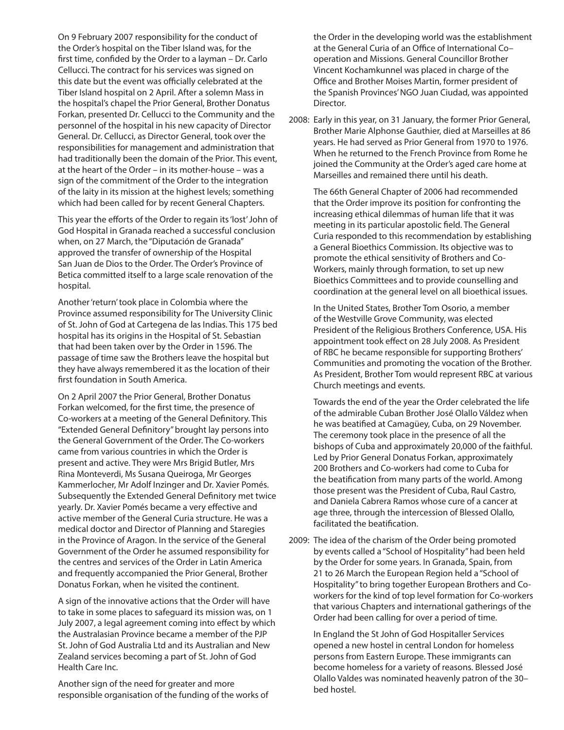On 9 February 2007 responsibility for the conduct of the Order's hospital on the Tiber Island was, for the first time, confided by the Order to a layman – Dr. Carlo Cellucci. The contract for his services was signed on this date but the event was officially celebrated at the Tiber Island hospital on 2 April. After a solemn Mass in the hospital's chapel the Prior General, Brother Donatus Forkan, presented Dr. Cellucci to the Community and the personnel of the hospital in his new capacity of Director General. Dr. Cellucci, as Director General, took over the responsibilities for management and administration that had traditionally been the domain of the Prior. This event, at the heart of the Order – in its mother-house – was a sign of the commitment of the Order to the integration of the laity in its mission at the highest levels; something which had been called for by recent General Chapters.

 This year the efforts of the Order to regain its 'lost' John of God Hospital in Granada reached a successful conclusion when, on 27 March, the "Diputación de Granada" approved the transfer of ownership of the Hospital San Juan de Dios to the Order. The Order's Province of Betica committed itself to a large scale renovation of the hospital.

 Another 'return' took place in Colombia where the Province assumed responsibility for The University Clinic of St. John of God at Cartegena de las Indias. This 175 bed hospital has its origins in the Hospital of St. Sebastian that had been taken over by the Order in 1596. The passage of time saw the Brothers leave the hospital but they have always remembered it as the location of their first foundation in South America.

 On 2 April 2007 the Prior General, Brother Donatus Forkan welcomed, for the first time, the presence of Co-workers at a meeting of the General Definitory. This "Extended General Definitory" brought lay persons into the General Government of the Order. The Co-workers came from various countries in which the Order is present and active. They were Mrs Brigid Butler, Mrs Rina Monteverdi, Ms Susana Queiroga, Mr Georges Kammerlocher, Mr Adolf Inzinger and Dr. Xavier Pomés. Subsequently the Extended General Definitory met twice yearly. Dr. Xavier Pomés became a very effective and active member of the General Curia structure. He was a medical doctor and Director of Planning and Staregies in the Province of Aragon. In the service of the General Government of the Order he assumed responsibility for the centres and services of the Order in Latin America and frequently accompanied the Prior General, Brother Donatus Forkan, when he visited the continent.

 A sign of the innovative actions that the Order will have to take in some places to safeguard its mission was, on 1 July 2007, a legal agreement coming into effect by which the Australasian Province became a member of the PJP St. John of God Australia Ltd and its Australian and New Zealand services becoming a part of St. John of God Health Care Inc.

 Another sign of the need for greater and more responsible organisation of the funding of the works of

the Order in the developing world was the establishment at the General Curia of an Office of International Co– operation and Missions. General Councillor Brother Vincent Kochamkunnel was placed in charge of the Office and Brother Moises Martin, former president of the Spanish Provinces' NGO Juan Ciudad, was appointed Director.

2008: Early in this year, on 31 January, the former Prior General, Brother Marie Alphonse Gauthier, died at Marseilles at 86 years. He had served as Prior General from 1970 to 1976. When he returned to the French Province from Rome he joined the Community at the Order's aged care home at Marseilles and remained there until his death.

 The 66th General Chapter of 2006 had recommended that the Order improve its position for confronting the increasing ethical dilemmas of human life that it was meeting in its particular apostolic field. The General Curia responded to this recommendation by establishing a General Bioethics Commission. Its objective was to promote the ethical sensitivity of Brothers and Co-Workers, mainly through formation, to set up new Bioethics Committees and to provide counselling and coordination at the general level on all bioethical issues.

 In the United States, Brother Tom Osorio, a member of the Westville Grove Community, was elected President of the Religious Brothers Conference, USA. His appointment took effect on 28 July 2008. As President of RBC he became responsible for supporting Brothers' Communities and promoting the vocation of the Brother. As President, Brother Tom would represent RBC at various Church meetings and events.

 Towards the end of the year the Order celebrated the life of the admirable Cuban Brother José Olallo Váldez when he was beatified at Camagüey, Cuba, on 29 November. The ceremony took place in the presence of all the bishops of Cuba and approximately 20,000 of the faithful. Led by Prior General Donatus Forkan, approximately 200 Brothers and Co-workers had come to Cuba for the beatification from many parts of the world. Among those present was the President of Cuba, Raul Castro, and Daniela Cabrera Ramos whose cure of a cancer at age three, through the intercession of Blessed Olallo, facilitated the beatification.

2009: The idea of the charism of the Order being promoted by events called a "School of Hospitality" had been held by the Order for some years. In Granada, Spain, from 21 to 26 March the European Region held a "School of Hospitality" to bring together European Brothers and Coworkers for the kind of top level formation for Co-workers that various Chapters and international gatherings of the Order had been calling for over a period of time.

 In England the St John of God Hospitaller Services opened a new hostel in central London for homeless persons from Eastern Europe. These immigrants can become homeless for a variety of reasons. Blessed José Olallo Valdes was nominated heavenly patron of the 30– bed hostel.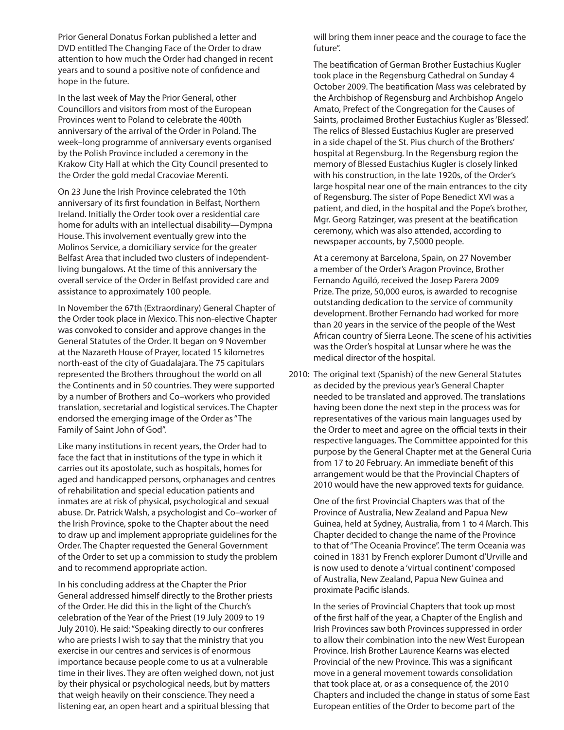Prior General Donatus Forkan published a letter and DVD entitled The Changing Face of the Order to draw attention to how much the Order had changed in recent years and to sound a positive note of confidence and hope in the future.

 In the last week of May the Prior General, other Councillors and visitors from most of the European Provinces went to Poland to celebrate the 400th anniversary of the arrival of the Order in Poland. The week–long programme of anniversary events organised by the Polish Province included a ceremony in the Krakow City Hall at which the City Council presented to the Order the gold medal Cracoviae Merenti.

 On 23 June the Irish Province celebrated the 10th anniversary of its first foundation in Belfast, Northern Ireland. Initially the Order took over a residential care home for adults with an intellectual disability—Dympna House. This involvement eventually grew into the Molinos Service, a domiciliary service for the greater Belfast Area that included two clusters of independentliving bungalows. At the time of this anniversary the overall service of the Order in Belfast provided care and assistance to approximately 100 people.

 In November the 67th (Extraordinary) General Chapter of the Order took place in Mexico. This non-elective Chapter was convoked to consider and approve changes in the General Statutes of the Order. It began on 9 November at the Nazareth House of Prayer, located 15 kilometres north-east of the city of Guadalajara. The 75 capitulars represented the Brothers throughout the world on all the Continents and in 50 countries. They were supported by a number of Brothers and Co–workers who provided translation, secretarial and logistical services. The Chapter endorsed the emerging image of the Order as "The Family of Saint John of God".

 Like many institutions in recent years, the Order had to face the fact that in institutions of the type in which it carries out its apostolate, such as hospitals, homes for aged and handicapped persons, orphanages and centres of rehabilitation and special education patients and inmates are at risk of physical, psychological and sexual abuse. Dr. Patrick Walsh, a psychologist and Co–worker of the Irish Province, spoke to the Chapter about the need to draw up and implement appropriate guidelines for the Order. The Chapter requested the General Government of the Order to set up a commission to study the problem and to recommend appropriate action.

 In his concluding address at the Chapter the Prior General addressed himself directly to the Brother priests of the Order. He did this in the light of the Church's celebration of the Year of the Priest (19 July 2009 to 19 July 2010). He said: "Speaking directly to our confreres who are priests I wish to say that the ministry that you exercise in our centres and services is of enormous importance because people come to us at a vulnerable time in their lives. They are often weighed down, not just by their physical or psychological needs, but by matters that weigh heavily on their conscience. They need a listening ear, an open heart and a spiritual blessing that

will bring them inner peace and the courage to face the future".

 The beatification of German Brother Eustachius Kugler took place in the Regensburg Cathedral on Sunday 4 October 2009. The beatification Mass was celebrated by the Archbishop of Regensburg and Archbishop Angelo Amato, Prefect of the Congregation for the Causes of Saints, proclaimed Brother Eustachius Kugler as 'Blessed'. The relics of Blessed Eustachius Kugler are preserved in a side chapel of the St. Pius church of the Brothers' hospital at Regensburg. In the Regensburg region the memory of Blessed Eustachius Kugler is closely linked with his construction, in the late 1920s, of the Order's large hospital near one of the main entrances to the city of Regensburg. The sister of Pope Benedict XVI was a patient, and died, in the hospital and the Pope's brother, Mgr. Georg Ratzinger, was present at the beatification ceremony, which was also attended, according to newspaper accounts, by 7,5000 people.

 At a ceremony at Barcelona, Spain, on 27 November a member of the Order's Aragon Province, Brother Fernando Aguiló, received the Josep Parera 2009 Prize. The prize, 50,000 euros, is awarded to recognise outstanding dedication to the service of community development. Brother Fernando had worked for more than 20 years in the service of the people of the West African country of Sierra Leone. The scene of his activities was the Order's hospital at Lunsar where he was the medical director of the hospital.

2010: The original text (Spanish) of the new General Statutes as decided by the previous year's General Chapter needed to be translated and approved. The translations having been done the next step in the process was for representatives of the various main languages used by the Order to meet and agree on the official texts in their respective languages. The Committee appointed for this purpose by the General Chapter met at the General Curia from 17 to 20 February. An immediate benefit of this arrangement would be that the Provincial Chapters of 2010 would have the new approved texts for guidance.

> One of the first Provincial Chapters was that of the Province of Australia, New Zealand and Papua New Guinea, held at Sydney, Australia, from 1 to 4 March. This Chapter decided to change the name of the Province to that of "The Oceania Province". The term Oceania was coined in 1831 by French explorer Dumont d'Urville and is now used to denote a 'virtual continent' composed of Australia, New Zealand, Papua New Guinea and proximate Pacific islands.

> In the series of Provincial Chapters that took up most of the first half of the year, a Chapter of the English and Irish Provinces saw both Provinces suppressed in order to allow their combination into the new West European Province. Irish Brother Laurence Kearns was elected Provincial of the new Province. This was a significant move in a general movement towards consolidation that took place at, or as a consequence of, the 2010 Chapters and included the change in status of some East European entities of the Order to become part of the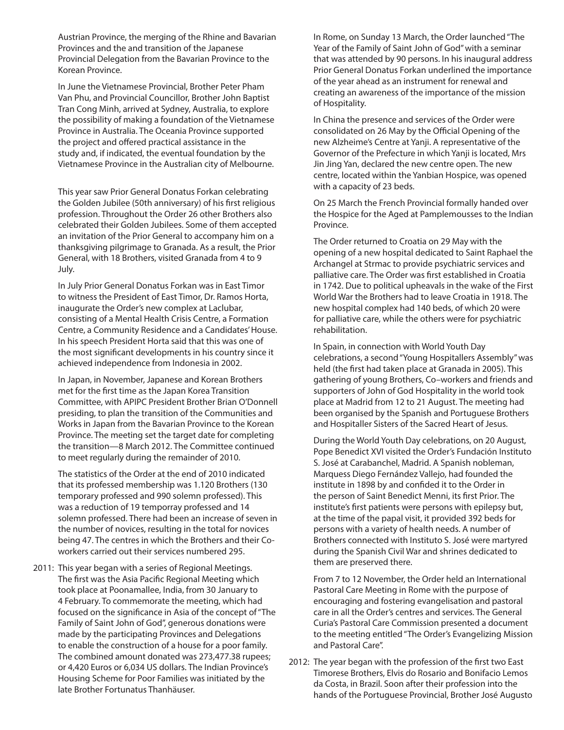Austrian Province, the merging of the Rhine and Bavarian Provinces and the and transition of the Japanese Provincial Delegation from the Bavarian Province to the Korean Province.

 In June the Vietnamese Provincial, Brother Peter Pham Van Phu, and Provincial Councillor, Brother John Baptist Tran Cong Minh, arrived at Sydney, Australia, to explore the possibility of making a foundation of the Vietnamese Province in Australia. The Oceania Province supported the project and offered practical assistance in the study and, if indicated, the eventual foundation by the Vietnamese Province in the Australian city of Melbourne.

This year saw Prior General Donatus Forkan celebrating the Golden Jubilee (50th anniversary) of his first religious profession. Throughout the Order 26 other Brothers also celebrated their Golden Jubilees. Some of them accepted an invitation of the Prior General to accompany him on a thanksgiving pilgrimage to Granada. As a result, the Prior General, with 18 Brothers, visited Granada from 4 to 9 July.

 In July Prior General Donatus Forkan was in East Timor to witness the President of East Timor, Dr. Ramos Horta, inaugurate the Order's new complex at Laclubar, consisting of a Mental Health Crisis Centre, a Formation Centre, a Community Residence and a Candidates' House. In his speech President Horta said that this was one of the most significant developments in his country since it achieved independence from Indonesia in 2002.

 In Japan, in November, Japanese and Korean Brothers met for the first time as the Japan Korea Transition Committee, with APIPC President Brother Brian O'Donnell presiding, to plan the transition of the Communities and Works in Japan from the Bavarian Province to the Korean Province. The meeting set the target date for completing the transition—8 March 2012. The Committee continued to meet regularly during the remainder of 2010.

 The statistics of the Order at the end of 2010 indicated that its professed membership was 1.120 Brothers (130 temporary professed and 990 solemn professed). This was a reduction of 19 temporray professed and 14 solemn professed. There had been an increase of seven in the number of novices, resulting in the total for novices being 47. The centres in which the Brothers and their Coworkers carried out their services numbered 295.

2011: This year began with a series of Regional Meetings. The first was the Asia Pacific Regional Meeting which took place at Poonamallee, India, from 30 January to 4 February. To commemorate the meeting, which had focused on the significance in Asia of the concept of "The Family of Saint John of God", generous donations were made by the participating Provinces and Delegations to enable the construction of a house for a poor family. The combined amount donated was 273,477.38 rupees; or 4,420 Euros or 6,034 US dollars. The Indian Province's Housing Scheme for Poor Families was initiated by the late Brother Fortunatus Thanhäuser.

 In Rome, on Sunday 13 March, the Order launched "The Year of the Family of Saint John of God" with a seminar that was attended by 90 persons. In his inaugural address Prior General Donatus Forkan underlined the importance of the year ahead as an instrument for renewal and creating an awareness of the importance of the mission of Hospitality.

 In China the presence and services of the Order were consolidated on 26 May by the Official Opening of the new Alzheime's Centre at Yanji. A representative of the Governor of the Prefecture in which Yanji is located, Mrs Jin Jing Yan, declared the new centre open. The new centre, located within the Yanbian Hospice, was opened with a capacity of 23 beds.

 On 25 March the French Provincial formally handed over the Hospice for the Aged at Pamplemousses to the Indian Province.

 The Order returned to Croatia on 29 May with the opening of a new hospital dedicated to Saint Raphael the Archangel at Strmac to provide psychiatric services and palliative care. The Order was first established in Croatia in 1742. Due to political upheavals in the wake of the First World War the Brothers had to leave Croatia in 1918. The new hospital complex had 140 beds, of which 20 were for palliative care, while the others were for psychiatric rehabilitation.

 In Spain, in connection with World Youth Day celebrations, a second "Young Hospitallers Assembly" was held (the first had taken place at Granada in 2005). This gathering of young Brothers, Co–workers and friends and supporters of John of God Hospitality in the world took place at Madrid from 12 to 21 August. The meeting had been organised by the Spanish and Portuguese Brothers and Hospitaller Sisters of the Sacred Heart of Jesus.

 During the World Youth Day celebrations, on 20 August, Pope Benedict XVI visited the Order's Fundación Instituto S. José at Carabanchel, Madrid. A Spanish nobleman, Marquess Diego Fernández Vallejo, had founded the institute in 1898 by and confided it to the Order in the person of Saint Benedict Menni, its first Prior. The institute's first patients were persons with epilepsy but, at the time of the papal visit, it provided 392 beds for persons with a variety of health needs. A number of Brothers connected with Instituto S. José were martyred during the Spanish Civil War and shrines dedicated to them are preserved there.

 From 7 to 12 November, the Order held an International Pastoral Care Meeting in Rome with the purpose of encouraging and fostering evangelisation and pastoral care in all the Order's centres and services. The General Curia's Pastoral Care Commission presented a document to the meeting entitled "The Order's Evangelizing Mission and Pastoral Care".

2012: The year began with the profession of the first two East Timorese Brothers, Elvis do Rosario and Bonifacio Lemos da Costa, in Brazil. Soon after their profession into the hands of the Portuguese Provincial, Brother José Augusto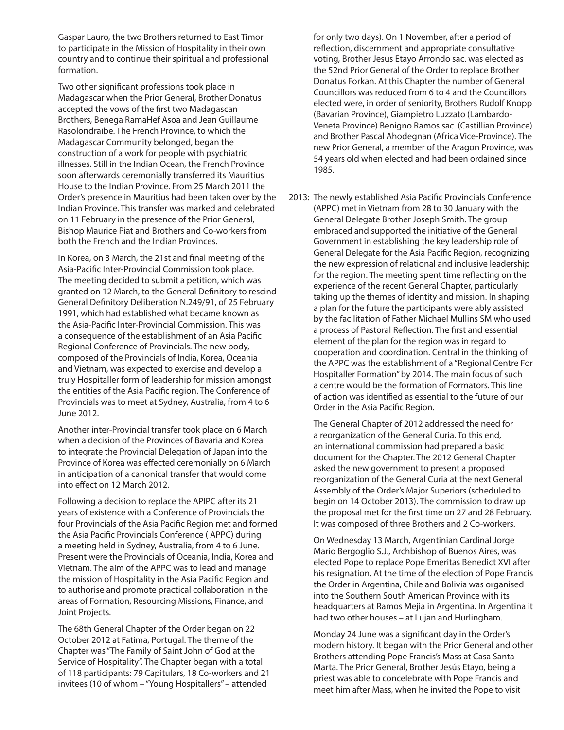Gaspar Lauro, the two Brothers returned to East Timor to participate in the Mission of Hospitality in their own country and to continue their spiritual and professional formation.

 Two other significant professions took place in Madagascar when the Prior General, Brother Donatus accepted the vows of the first two Madagascan Brothers, Benega RamaHef Asoa and Jean Guillaume Rasolondraibe. The French Province, to which the Madagascar Community belonged, began the construction of a work for people with psychiatric illnesses. Still in the Indian Ocean, the French Province soon afterwards ceremonially transferred its Mauritius House to the Indian Province. From 25 March 2011 the Order's presence in Mauritius had been taken over by the Indian Province. This transfer was marked and celebrated on 11 February in the presence of the Prior General, Bishop Maurice Piat and Brothers and Co-workers from both the French and the Indian Provinces.

 In Korea, on 3 March, the 21st and final meeting of the Asia-Pacific Inter-Provincial Commission took place. The meeting decided to submit a petition, which was granted on 12 March, to the General Definitory to rescind General Definitory Deliberation N.249/91, of 25 February 1991, which had established what became known as the Asia-Pacific Inter-Provincial Commission. This was a consequence of the establishment of an Asia Pacific Regional Conference of Provincials. The new body, composed of the Provincials of India, Korea, Oceania and Vietnam, was expected to exercise and develop a truly Hospitaller form of leadership for mission amongst the entities of the Asia Pacific region. The Conference of Provincials was to meet at Sydney, Australia, from 4 to 6 June 2012.

 Another inter-Provincial transfer took place on 6 March when a decision of the Provinces of Bavaria and Korea to integrate the Provincial Delegation of Japan into the Province of Korea was effected ceremonially on 6 March in anticipation of a canonical transfer that would come into effect on 12 March 2012.

 Following a decision to replace the APIPC after its 21 years of existence with a Conference of Provincials the four Provincials of the Asia Pacific Region met and formed the Asia Pacific Provincials Conference ( APPC) during a meeting held in Sydney, Australia, from 4 to 6 June. Present were the Provincials of Oceania, India, Korea and Vietnam. The aim of the APPC was to lead and manage the mission of Hospitality in the Asia Pacific Region and to authorise and promote practical collaboration in the areas of Formation, Resourcing Missions, Finance, and Joint Projects.

 The 68th General Chapter of the Order began on 22 October 2012 at Fatima, Portugal. The theme of the Chapter was "The Family of Saint John of God at the Service of Hospitality". The Chapter began with a total of 118 participants: 79 Capitulars, 18 Co-workers and 21 invitees (10 of whom – "Young Hospitallers" – attended

for only two days). On 1 November, after a period of reflection, discernment and appropriate consultative voting, Brother Jesus Etayo Arrondo sac. was elected as the 52nd Prior General of the Order to replace Brother Donatus Forkan. At this Chapter the number of General Councillors was reduced from 6 to 4 and the Councillors elected were, in order of seniority, Brothers Rudolf Knopp (Bavarian Province), Giampietro Luzzato (Lambardo-Veneta Province) Benigno Ramos sac. (Castillian Province) and Brother Pascal Ahodegnan (Africa Vice-Province). The new Prior General, a member of the Aragon Province, was 54 years old when elected and had been ordained since 1985.

2013: The newly established Asia Pacific Provincials Conference (APPC) met in Vietnam from 28 to 30 January with the General Delegate Brother Joseph Smith. The group embraced and supported the initiative of the General Government in establishing the key leadership role of General Delegate for the Asia Pacific Region, recognizing the new expression of relational and inclusive leadership for the region. The meeting spent time reflecting on the experience of the recent General Chapter, particularly taking up the themes of identity and mission. In shaping a plan for the future the participants were ably assisted by the facilitation of Father Michael Mullins SM who used a process of Pastoral Reflection. The first and essential element of the plan for the region was in regard to cooperation and coordination. Central in the thinking of the APPC was the establishment of a "Regional Centre For Hospitaller Formation" by 2014. The main focus of such a centre would be the formation of Formators. This line of action was identified as essential to the future of our Order in the Asia Pacific Region.

 The General Chapter of 2012 addressed the need for a reorganization of the General Curia. To this end, an international commission had prepared a basic document for the Chapter. The 2012 General Chapter asked the new government to present a proposed reorganization of the General Curia at the next General Assembly of the Order's Major Superiors (scheduled to begin on 14 October 2013). The commission to draw up the proposal met for the first time on 27 and 28 February. It was composed of three Brothers and 2 Co-workers.

 On Wednesday 13 March, Argentinian Cardinal Jorge Mario Bergoglio S.J., Archbishop of Buenos Aires, was elected Pope to replace Pope Emeritas Benedict XVI after his resignation. At the time of the election of Pope Francis the Order in Argentina, Chile and Bolivia was organised into the Southern South American Province with its headquarters at Ramos Mejia in Argentina. In Argentina it had two other houses – at Lujan and Hurlingham.

 Monday 24 June was a significant day in the Order's modern history. It began with the Prior General and other Brothers attending Pope Francis's Mass at Casa Santa Marta. The Prior General, Brother Jesús Etayo, being a priest was able to concelebrate with Pope Francis and meet him after Mass, when he invited the Pope to visit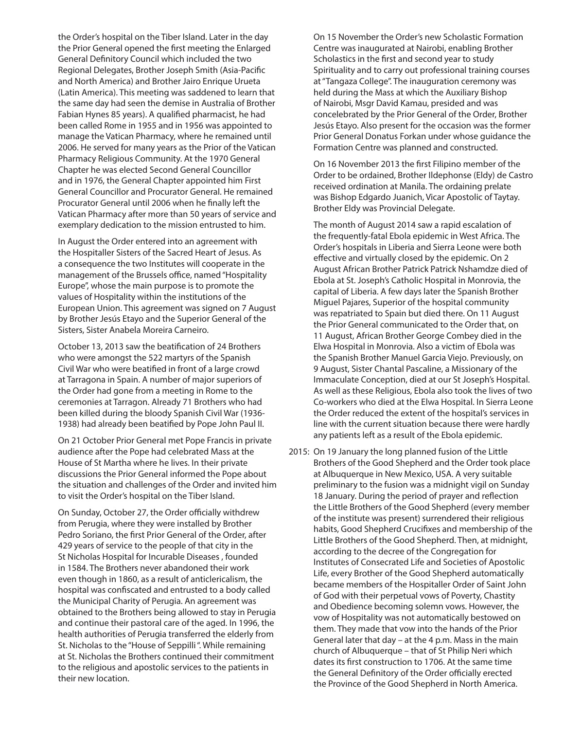the Order's hospital on the Tiber Island. Later in the day the Prior General opened the first meeting the Enlarged General Definitory Council which included the two Regional Delegates, Brother Joseph Smith (Asia-Pacific and North America) and Brother Jairo Enrique Urueta (Latin America). This meeting was saddened to learn that the same day had seen the demise in Australia of Brother Fabian Hynes 85 years). A qualified pharmacist, he had been called Rome in 1955 and in 1956 was appointed to manage the Vatican Pharmacy, where he remained until 2006. He served for many years as the Prior of the Vatican Pharmacy Religious Community. At the 1970 General Chapter he was elected Second General Councillor and in 1976, the General Chapter appointed him First General Councillor and Procurator General. He remained Procurator General until 2006 when he finally left the Vatican Pharmacy after more than 50 years of service and exemplary dedication to the mission entrusted to him.

 In August the Order entered into an agreement with the Hospitaller Sisters of the Sacred Heart of Jesus. As a consequence the two Institutes will cooperate in the management of the Brussels office, named "Hospitality Europe", whose the main purpose is to promote the values of Hospitality within the institutions of the European Union. This agreement was signed on 7 August by Brother Jesús Etayo and the Superior General of the Sisters, Sister Anabela Moreira Carneiro.

 October 13, 2013 saw the beatification of 24 Brothers who were amongst the 522 martyrs of the Spanish Civil War who were beatified in front of a large crowd at Tarragona in Spain. A number of major superiors of the Order had gone from a meeting in Rome to the ceremonies at Tarragon. Already 71 Brothers who had been killed during the bloody Spanish Civil War (1936- 1938) had already been beatified by Pope John Paul II.

 On 21 October Prior General met Pope Francis in private audience after the Pope had celebrated Mass at the House of St Martha where he lives. In their private discussions the Prior General informed the Pope about the situation and challenges of the Order and invited him to visit the Order's hospital on the Tiber Island.

 On Sunday, October 27, the Order officially withdrew from Perugia, where they were installed by Brother Pedro Soriano, the first Prior General of the Order, after 429 years of service to the people of that city in the St Nicholas Hospital for Incurable Diseases , founded in 1584. The Brothers never abandoned their work even though in 1860, as a result of anticlericalism, the hospital was confiscated and entrusted to a body called the Municipal Charity of Perugia. An agreement was obtained to the Brothers being allowed to stay in Perugia and continue their pastoral care of the aged. In 1996, the health authorities of Perugia transferred the elderly from St. Nicholas to the "House of Seppilli ". While remaining at St. Nicholas the Brothers continued their commitment to the religious and apostolic services to the patients in their new location.

 On 15 November the Order's new Scholastic Formation Centre was inaugurated at Nairobi, enabling Brother Scholastics in the first and second year to study Spirituality and to carry out professional training courses at "Tangaza College". The inauguration ceremony was held during the Mass at which the Auxiliary Bishop of Nairobi, Msgr David Kamau, presided and was concelebrated by the Prior General of the Order, Brother Jesús Etayo. Also present for the occasion was the former Prior General Donatus Forkan under whose guidance the Formation Centre was planned and constructed.

 On 16 November 2013 the first Filipino member of the Order to be ordained, Brother Ildephonse (Eldy) de Castro received ordination at Manila. The ordaining prelate was Bishop Edgardo Juanich, Vicar Apostolic of Taytay. Brother Eldy was Provincial Delegate.

 The month of August 2014 saw a rapid escalation of the frequently-fatal Ebola epidemic in West Africa. The Order's hospitals in Liberia and Sierra Leone were both effective and virtually closed by the epidemic. On 2 August African Brother Patrick Patrick Nshamdze died of Ebola at St. Joseph's Catholic Hospital in Monrovia, the capital of Liberia. A few days later the Spanish Brother Miguel Pajares, Superior of the hospital community was repatriated to Spain but died there. On 11 August the Prior General communicated to the Order that, on 11 August, African Brother George Combey died in the Elwa Hospital in Monrovia. Also a victim of Ebola was the Spanish Brother Manuel Garcia Viejo. Previously, on 9 August, Sister Chantal Pascaline, a Missionary of the Immaculate Conception, died at our St Joseph's Hospital. As well as these Religious, Ebola also took the lives of two Co-workers who died at the Elwa Hospital. In Sierra Leone the Order reduced the extent of the hospital's services in line with the current situation because there were hardly any patients left as a result of the Ebola epidemic.

2015: On 19 January the long planned fusion of the Little Brothers of the Good Shepherd and the Order took place at Albuquerque in New Mexico, USA. A very suitable preliminary to the fusion was a midnight vigil on Sunday 18 January. During the period of prayer and reflection the Little Brothers of the Good Shepherd (every member of the institute was present) surrendered their religious habits, Good Shepherd Crucifixes and membership of the Little Brothers of the Good Shepherd. Then, at midnight, according to the decree of the Congregation for Institutes of Consecrated Life and Societies of Apostolic Life, every Brother of the Good Shepherd automatically became members of the Hospitaller Order of Saint John of God with their perpetual vows of Poverty, Chastity and Obedience becoming solemn vows. However, the vow of Hospitality was not automatically bestowed on them. They made that vow into the hands of the Prior General later that day – at the 4 p.m. Mass in the main church of Albuquerque – that of St Philip Neri which dates its first construction to 1706. At the same time the General Definitory of the Order officially erected the Province of the Good Shepherd in North America.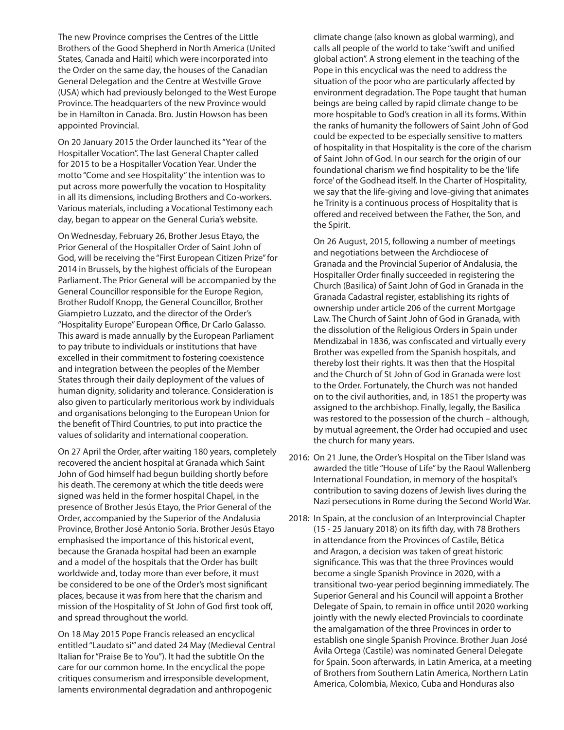The new Province comprises the Centres of the Little Brothers of the Good Shepherd in North America (United States, Canada and Haiti) which were incorporated into the Order on the same day, the houses of the Canadian General Delegation and the Centre at Westville Grove (USA) which had previously belonged to the West Europe Province. The headquarters of the new Province would be in Hamilton in Canada. Bro. Justin Howson has been appointed Provincial.

 On 20 January 2015 the Order launched its "Year of the Hospitaller Vocation". The last General Chapter called for 2015 to be a Hospitaller Vocation Year. Under the motto "Come and see Hospitality" the intention was to put across more powerfully the vocation to Hospitality in all its dimensions, including Brothers and Co-workers. Various materials, including a Vocational Testimony each day, began to appear on the General Curia's website.

 On Wednesday, February 26, Brother Jesus Etayo, the Prior General of the Hospitaller Order of Saint John of God, will be receiving the "First European Citizen Prize" for 2014 in Brussels, by the highest officials of the European Parliament. The Prior General will be accompanied by the General Councillor responsible for the Europe Region, Brother Rudolf Knopp, the General Councillor, Brother Giampietro Luzzato, and the director of the Order's "Hospitality Europe" European Office, Dr Carlo Galasso. This award is made annually by the European Parliament to pay tribute to individuals or institutions that have excelled in their commitment to fostering coexistence and integration between the peoples of the Member States through their daily deployment of the values of human dignity, solidarity and tolerance. Consideration is also given to particularly meritorious work by individuals and organisations belonging to the European Union for the benefit of Third Countries, to put into practice the values of solidarity and international cooperation.

 On 27 April the Order, after waiting 180 years, completely recovered the ancient hospital at Granada which Saint John of God himself had begun building shortly before his death. The ceremony at which the title deeds were signed was held in the former hospital Chapel, in the presence of Brother Jesús Etayo, the Prior General of the Order, accompanied by the Superior of the Andalusia Province, Brother José Antonio Soria. Brother Jesús Etayo emphasised the importance of this historical event, because the Granada hospital had been an example and a model of the hospitals that the Order has built worldwide and, today more than ever before, it must be considered to be one of the Order's most significant places, because it was from here that the charism and mission of the Hospitality of St John of God first took off, and spread throughout the world.

 On 18 May 2015 Pope Francis released an encyclical entitled "Laudato si'" and dated 24 May (Medieval Central Italian for "Praise Be to You"). It had the subtitle On the care for our common home. In the encyclical the pope critiques consumerism and irresponsible development, laments environmental degradation and anthropogenic

climate change (also known as global warming), and calls all people of the world to take "swift and unified global action". A strong element in the teaching of the Pope in this encyclical was the need to address the situation of the poor who are particularly affected by environment degradation. The Pope taught that human beings are being called by rapid climate change to be more hospitable to God's creation in all its forms. Within the ranks of humanity the followers of Saint John of God could be expected to be especially sensitive to matters of hospitality in that Hospitality is the core of the charism of Saint John of God. In our search for the origin of our foundational charism we find hospitality to be the 'life force' of the Godhead itself. In the Charter of Hospitality, we say that the life-giving and love-giving that animates he Trinity is a continuous process of Hospitality that is offered and received between the Father, the Son, and the Spirit.

 On 26 August, 2015, following a number of meetings and negotiations between the Archdiocese of Granada and the Provincial Superior of Andalusia, the Hospitaller Order finally succeeded in registering the Church (Basilica) of Saint John of God in Granada in the Granada Cadastral register, establishing its rights of ownership under article 206 of the current Mortgage Law. The Church of Saint John of God in Granada, with the dissolution of the Religious Orders in Spain under Mendizabal in 1836, was confiscated and virtually every Brother was expelled from the Spanish hospitals, and thereby lost their rights. It was then that the Hospital and the Church of St John of God in Granada were lost to the Order. Fortunately, the Church was not handed on to the civil authorities, and, in 1851 the property was assigned to the archbishop. Finally, legally, the Basilica was restored to the possession of the church – although, by mutual agreement, the Order had occupied and usec the church for many years.

- 2016: On 21 June, the Order's Hospital on the Tiber Island was awarded the title "House of Life" by the Raoul Wallenberg International Foundation, in memory of the hospital's contribution to saving dozens of Jewish lives during the Nazi persecutions in Rome during the Second World War.
- 2018: In Spain, at the conclusion of an Interprovincial Chapter (15 - 25 January 2018) on its fifth day, with 78 Brothers in attendance from the Provinces of Castile, Bética and Aragon, a decision was taken of great historic significance. This was that the three Provinces would become a single Spanish Province in 2020, with a transitional two-year period beginning immediately. The Superior General and his Council will appoint a Brother Delegate of Spain, to remain in office until 2020 working jointly with the newly elected Provincials to coordinate the amalgamation of the three Provinces in order to establish one single Spanish Province. Brother Juan José Ávila Ortega (Castile) was nominated General Delegate for Spain. Soon afterwards, in Latin America, at a meeting of Brothers from Southern Latin America, Northern Latin America, Colombia, Mexico, Cuba and Honduras also